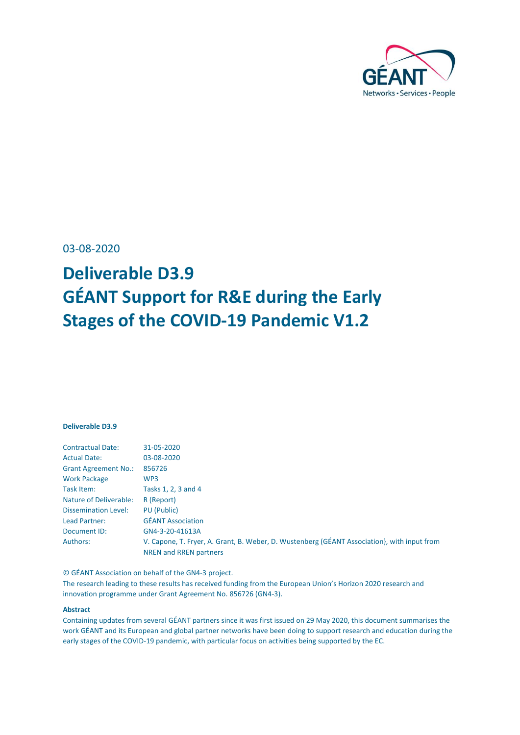

<span id="page-0-0"></span>03-08-2020

## **Deliverable D3.9 GÉANT Support for R&E during the Early Stages of the COVID-19 Pandemic V1.2**

#### **Deliverable D3.9**

| 31-05-2020                                                                                                            |
|-----------------------------------------------------------------------------------------------------------------------|
| 03-08-2020                                                                                                            |
| 856726                                                                                                                |
| WP3                                                                                                                   |
| Tasks 1, 2, 3 and 4                                                                                                   |
| R (Report)                                                                                                            |
| PU (Public)                                                                                                           |
| <b>GÉANT Association</b>                                                                                              |
| GN4-3-20-41613A                                                                                                       |
| V. Capone, T. Fryer, A. Grant, B. Weber, D. Wustenberg (GÉANT Association), with input from<br>NREN and RREN partners |
|                                                                                                                       |

© GÉANT Association on behalf of the GN4-3 project.

The research leading to these results has received funding from the European Union's Horizon 2020 research and innovation programme under Grant Agreement No. 856726 (GN4-3).

#### **Abstract**

Containing updates from several GÉANT partners since it was first issued on 29 May 2020, this document summarises the work GÉANT and its European and global partner networks have been doing to support research and education during the early stages of the COVID-19 pandemic, with particular focus on activities being supported by the EC.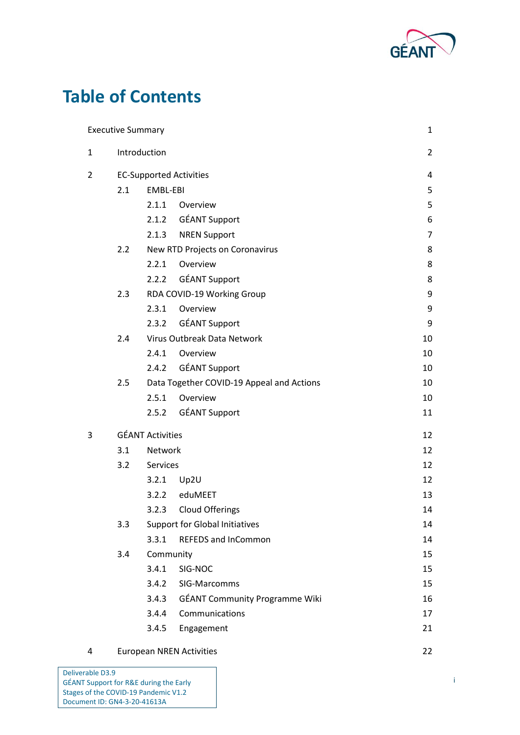

## **Table of Contents**

|                | <b>Executive Summary</b>       |                         |                                           | $\mathbf 1$    |
|----------------|--------------------------------|-------------------------|-------------------------------------------|----------------|
| $\mathbf{1}$   | Introduction                   |                         |                                           | $\overline{2}$ |
| $\overline{2}$ | <b>EC-Supported Activities</b> |                         |                                           | 4              |
|                | 2.1                            | EMBL-EBI                |                                           | 5              |
|                |                                | 2.1.1                   | Overview                                  | 5              |
|                |                                |                         | 2.1.2 GÉANT Support                       | 6              |
|                |                                |                         | 2.1.3 NREN Support                        | $\overline{7}$ |
|                | 2.2                            |                         | New RTD Projects on Coronavirus           | 8              |
|                |                                | 2.2.1                   | Overview                                  | 8              |
|                |                                | 2.2.2                   | <b>GÉANT Support</b>                      | 8              |
|                | 2.3                            |                         | RDA COVID-19 Working Group                | 9              |
|                |                                | 2.3.1                   | Overview                                  | 9              |
|                |                                | 2.3.2                   | <b>GÉANT Support</b>                      | 9              |
|                | 2.4                            |                         | Virus Outbreak Data Network               | 10             |
|                |                                | 2.4.1                   | Overview                                  | 10             |
|                |                                |                         | 2.4.2 GÉANT Support                       | 10             |
|                | 2.5                            |                         | Data Together COVID-19 Appeal and Actions | 10             |
|                |                                | 2.5.1                   | Overview                                  | 10             |
|                |                                |                         | 2.5.2 GÉANT Support                       | 11             |
| 3              |                                | <b>GÉANT Activities</b> |                                           | 12             |
|                | 3.1                            | Network                 |                                           | 12             |
|                | 3.2                            | Services                |                                           | 12             |
|                |                                | 3.2.1                   | Up2U                                      | 12             |
|                |                                | 3.2.2                   | eduMEET                                   | 13             |
|                |                                | 3.2.3                   | Cloud Offerings                           | 14             |
|                | 3.3                            |                         | <b>Support for Global Initiatives</b>     | 14             |
|                |                                | 3.3.1                   | <b>REFEDS and InCommon</b>                | 14             |
|                | 3.4                            | Community               |                                           | 15             |
|                |                                | 3.4.1                   | SIG-NOC                                   | 15             |
|                |                                | 3.4.2                   | SIG-Marcomms                              | 15             |
|                |                                | 3.4.3                   | <b>GÉANT Community Programme Wiki</b>     | 16             |
|                |                                | 3.4.4                   | Communications                            | 17             |
|                |                                | 3.4.5                   | Engagement                                | 21             |
|                |                                |                         |                                           |                |

|  | European NREN Activities |  |
|--|--------------------------|--|
|--|--------------------------|--|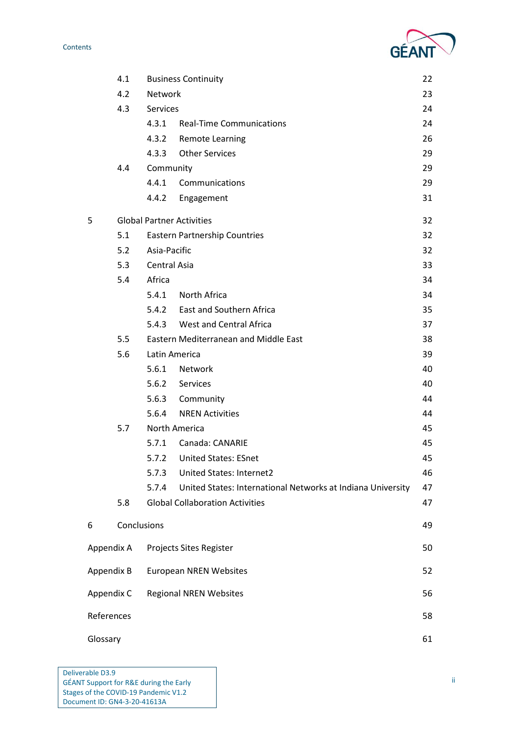# GE

|          | 4.1         | <b>Business Continuity</b><br>22 |                                                             |    |
|----------|-------------|----------------------------------|-------------------------------------------------------------|----|
|          | 4.2         | Network                          |                                                             | 23 |
|          | 4.3         | <b>Services</b>                  |                                                             | 24 |
|          |             |                                  | 4.3.1 Real-Time Communications                              | 24 |
|          |             | 4.3.2                            | <b>Remote Learning</b>                                      | 26 |
|          |             | 4.3.3                            | <b>Other Services</b>                                       | 29 |
|          | 4.4         | Community                        |                                                             | 29 |
|          |             | 4.4.1                            | Communications                                              | 29 |
|          |             |                                  | 4.4.2 Engagement                                            | 31 |
| 5        |             | <b>Global Partner Activities</b> |                                                             | 32 |
|          | 5.1         |                                  | <b>Eastern Partnership Countries</b>                        | 32 |
|          | 5.2         | Asia-Pacific                     |                                                             | 32 |
|          | 5.3         | Central Asia                     |                                                             | 33 |
|          | 5.4         | Africa                           |                                                             | 34 |
|          |             | 5.4.1                            | North Africa                                                | 34 |
|          |             |                                  | 5.4.2 East and Southern Africa                              | 35 |
|          |             |                                  | 5.4.3 West and Central Africa                               | 37 |
|          | 5.5         |                                  | Eastern Mediterranean and Middle East                       | 38 |
|          | 5.6         | Latin America                    |                                                             | 39 |
|          |             | 5.6.1                            | Network                                                     | 40 |
|          |             | 5.6.2 Services                   |                                                             | 40 |
|          |             |                                  | 5.6.3 Community                                             | 44 |
|          |             |                                  | 5.6.4 NREN Activities                                       | 44 |
|          | 5.7         | North America                    |                                                             | 45 |
|          |             | 5.7.1                            | Canada: CANARIE                                             | 45 |
|          |             | 5.7.2                            | <b>United States: ESnet</b>                                 | 45 |
|          |             | 5.7.3                            | United States: Internet2                                    | 46 |
|          |             | 5.7.4                            | United States: International Networks at Indiana University | 47 |
|          | 5.8         |                                  | <b>Global Collaboration Activities</b>                      | 47 |
| 6        | Conclusions |                                  |                                                             | 49 |
|          | Appendix A  |                                  | Projects Sites Register                                     | 50 |
|          | Appendix B  |                                  | <b>European NREN Websites</b>                               | 52 |
|          | Appendix C  |                                  | <b>Regional NREN Websites</b>                               | 56 |
|          | References  |                                  |                                                             | 58 |
| Glossary |             |                                  |                                                             | 61 |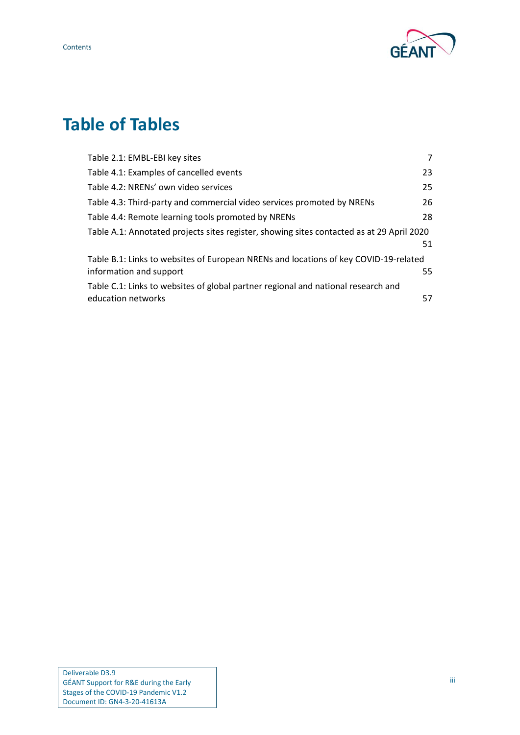

## **Table of Tables**

| Table 2.1: EMBL-EBI key sites                                                             | 7  |
|-------------------------------------------------------------------------------------------|----|
| Table 4.1: Examples of cancelled events                                                   | 23 |
| Table 4.2: NRENs' own video services                                                      | 25 |
| Table 4.3: Third-party and commercial video services promoted by NRENs                    | 26 |
| Table 4.4: Remote learning tools promoted by NRENs                                        | 28 |
| Table A.1: Annotated projects sites register, showing sites contacted as at 29 April 2020 |    |
|                                                                                           | 51 |
| Table B.1: Links to websites of European NRENs and locations of key COVID-19-related      |    |
| information and support                                                                   | 55 |
| Table C.1: Links to websites of global partner regional and national research and         |    |
| education networks                                                                        | 57 |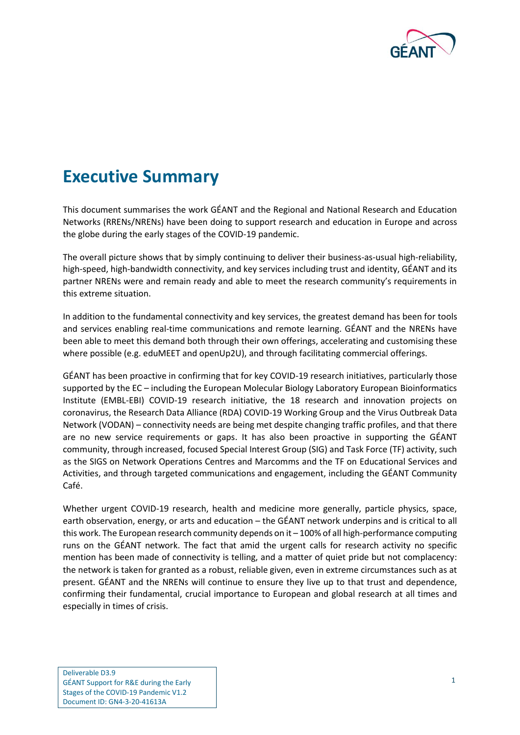

## <span id="page-4-0"></span>**Executive Summary**

This document summarises the work GÉANT and the Regional and National Research and Education Networks (RRENs/NRENs) have been doing to support research and education in Europe and across the globe during the early stages of the COVID-19 pandemic.

The overall picture shows that by simply continuing to deliver their business-as-usual high-reliability, high-speed, high-bandwidth connectivity, and key services including trust and identity, GÉANT and its partner NRENs were and remain ready and able to meet the research community's requirements in this extreme situation.

In addition to the fundamental connectivity and key services, the greatest demand has been for tools and services enabling real-time communications and remote learning. GÉANT and the NRENs have been able to meet this demand both through their own offerings, accelerating and customising these where possible (e.g. eduMEET and openUp2U), and through facilitating commercial offerings.

GÉANT has been proactive in confirming that for key COVID-19 research initiatives, particularly those supported by the EC – including the European Molecular Biology Laboratory European Bioinformatics Institute (EMBL-EBI) COVID-19 research initiative, the 18 research and innovation projects on coronavirus, the Research Data Alliance (RDA) COVID-19 Working Group and the Virus Outbreak Data Network (VODAN) – connectivity needs are being met despite changing traffic profiles, and that there are no new service requirements or gaps. It has also been proactive in supporting the GÉANT community, through increased, focused Special Interest Group (SIG) and Task Force (TF) activity, such as the SIGS on Network Operations Centres and Marcomms and the TF on Educational Services and Activities, and through targeted communications and engagement, including the GÉANT Community Café.

Whether urgent COVID-19 research, health and medicine more generally, particle physics, space, earth observation, energy, or arts and education – the GÉANT network underpins and is critical to all this work. The European research community depends on it – 100% of all high-performance computing runs on the GÉANT network. The fact that amid the urgent calls for research activity no specific mention has been made of connectivity is telling, and a matter of quiet pride but not complacency: the network is taken for granted as a robust, reliable given, even in extreme circumstances such as at present. GÉANT and the NRENs will continue to ensure they live up to that trust and dependence, confirming their fundamental, crucial importance to European and global research at all times and especially in times of crisis.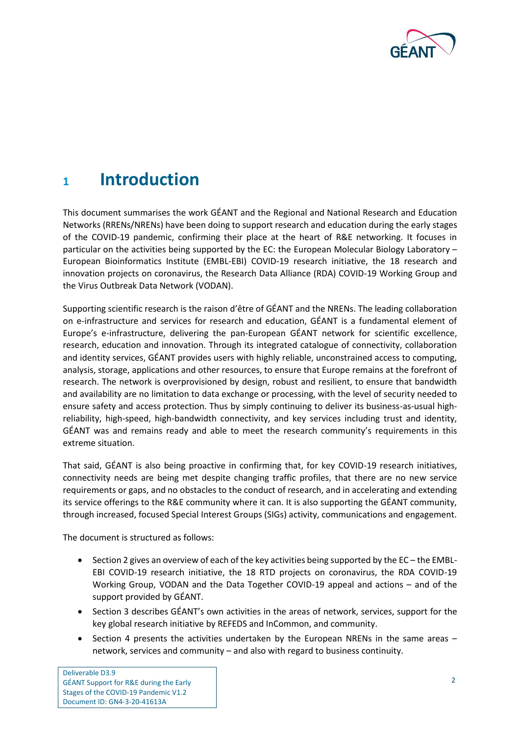

## <span id="page-5-0"></span>**<sup>1</sup> Introduction**

This document summarises the work GÉANT and the Regional and National Research and Education Networks (RRENs/NRENs) have been doing to support research and education during the early stages of the COVID-19 pandemic, confirming their place at the heart of R&E networking. It focuses in particular on the activities being supported by the EC: the European Molecular Biology Laboratory – European Bioinformatics Institute (EMBL-EBI) COVID-19 research initiative, the 18 research and innovation projects on coronavirus, the Research Data Alliance (RDA) COVID-19 Working Group and the Virus Outbreak Data Network (VODAN).

Supporting scientific research is the raison d'être of GÉANT and the NRENs. The leading collaboration on e-infrastructure and services for research and education, GÉANT is a fundamental element of Europe's e-infrastructure, delivering the pan-European GÉANT network for scientific excellence, research, education and innovation. Through its integrated catalogue of connectivity, collaboration and identity services, GÉANT provides users with highly reliable, unconstrained access to computing, analysis, storage, applications and other resources, to ensure that Europe remains at the forefront of research. The network is overprovisioned by design, robust and resilient, to ensure that bandwidth and availability are no limitation to data exchange or processing, with the level of security needed to ensure safety and access protection. Thus by simply continuing to deliver its business-as-usual highreliability, high-speed, high-bandwidth connectivity, and key services including trust and identity, GÉANT was and remains ready and able to meet the research community's requirements in this extreme situation.

That said, GÉANT is also being proactive in confirming that, for key COVID-19 research initiatives, connectivity needs are being met despite changing traffic profiles, that there are no new service requirements or gaps, and no obstacles to the conduct of research, and in accelerating and extending its service offerings to the R&E community where it can. It is also supporting the GÉANT community, through increased, focused Special Interest Groups (SIGs) activity, communications and engagement.

The document is structured as follows:

- Sectio[n 2](#page-7-0) gives an overview of each of the key activities being supported by the EC the EMBL-EBI COVID-19 research initiative, the 18 RTD projects on coronavirus, the RDA COVID-19 Working Group, VODAN and the Data Together COVID-19 appeal and actions – and of the support provided by GÉANT.
- Section [3](#page-15-0) describes GÉANT's own activities in the areas of network, services, support for the key global research initiative by REFEDS and InCommon, and community.
- Section [4](#page-25-0) presents the activities undertaken by the European NRENs in the same areas network, services and community – and also with regard to business continuity.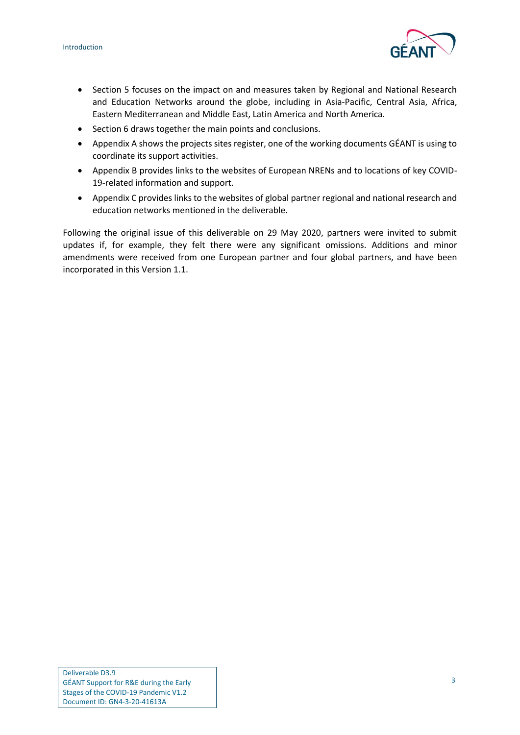

- Section [5](#page-35-0) focuses on the impact on and measures taken by Regional and National Research and Education Networks around the globe, including in Asia-Pacific, Central Asia, Africa, Eastern Mediterranean and Middle East, Latin America and North America.
- Sectio[n 6](#page-52-0) draws together the main points and conclusions.
- [Appendix A](#page-53-0) shows the projects sites register, one of the working documents GÉANT is using to coordinate its support activities.
- [Appendix B](#page-55-0) provides links to the websites of European NRENs and to locations of key COVID-19-related information and support.
- [Appendix C](#page-59-0) provides links to the websites of global partner regional and national research and education networks mentioned in the deliverable.

Following the original issue of this deliverable on 29 May 2020, partners were invited to submit updates if, for example, they felt there were any significant omissions. Additions and minor amendments were received from one European partner and four global partners, and have been incorporated in this Version 1.1.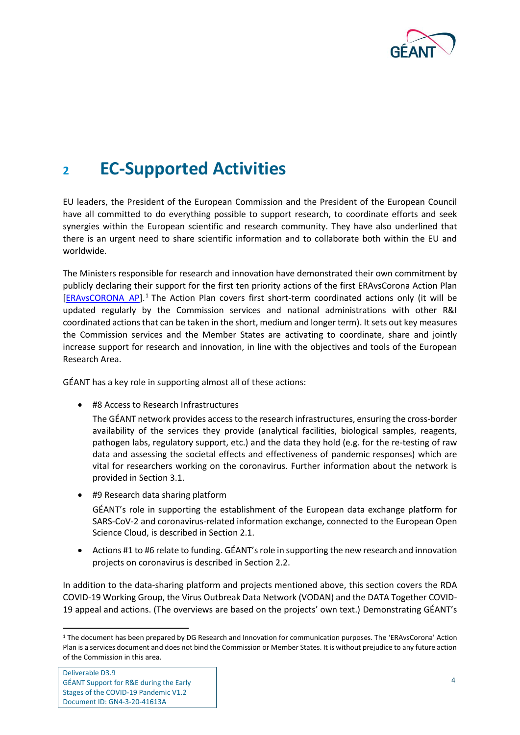

## <span id="page-7-0"></span>**<sup>2</sup> EC-Supported Activities**

EU leaders, the President of the European Commission and the President of the European Council have all committed to do everything possible to support research, to coordinate efforts and seek synergies within the European scientific and research community. They have also underlined that there is an urgent need to share scientific information and to collaborate both within the EU and worldwide.

The Ministers responsible for research and innovation have demonstrated their own commitment by publicly declaring their support for the first ten priority actions of the first ERAvsCorona Action Plan [\[ERAvsCORONA\\_AP\]](#page-62-0).<sup>1</sup> The Action Plan covers first short-term coordinated actions only (it will be updated regularly by the Commission services and national administrations with other R&I coordinated actions that can be taken in the short, medium and longer term). It sets out key measures the Commission services and the Member States are activating to coordinate, share and jointly increase support for research and innovation, in line with the objectives and tools of the European Research Area.

GÉANT has a key role in supporting almost all of these actions:

• #8 Access to Research Infrastructures

The GÉANT network provides access to the research infrastructures, ensuring the cross-border availability of the services they provide (analytical facilities, biological samples, reagents, pathogen labs, regulatory support, etc.) and the data they hold (e.g. for the re-testing of raw data and assessing the societal effects and effectiveness of pandemic responses) which are vital for researchers working on the coronavirus. Further information about the network is provided in Sectio[n 3.1.](#page-15-1)

• #9 Research data sharing platform

GÉANT's role in supporting the establishment of the European data exchange platform for SARS-CoV-2 and coronavirus-related information exchange, connected to the European Open Science Cloud, is described in Sectio[n 2.1.](#page-8-0)

• Actions #1 to #6 relate to funding. GÉANT's role in supporting the new research and innovation projects on coronavirus is described in Sectio[n 2.2.](#page-11-0)

In addition to the data-sharing platform and projects mentioned above, this section covers the RDA COVID-19 Working Group, the Virus Outbreak Data Network (VODAN) and the DATA Together COVID-19 appeal and actions. (The overviews are based on the projects' own text.) Demonstrating GÉANT's

<sup>1</sup> The document has been prepared by DG Research and Innovation for communication purposes. The 'ERAvsCorona' Action Plan is a services document and does not bind the Commission or Member States. It is without prejudice to any future action of the Commission in this area.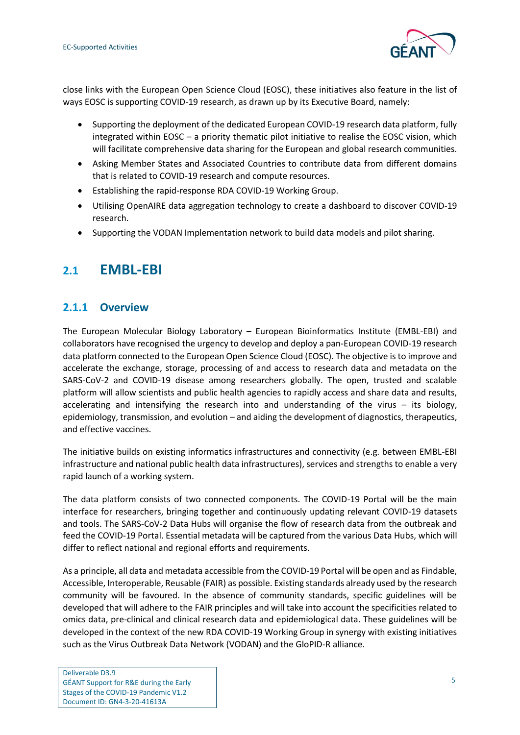

close links with the European Open Science Cloud (EOSC), these initiatives also feature in the list of ways EOSC is supporting COVID-19 research, as drawn up by its Executive Board, namely:

- Supporting the deployment of the dedicated European COVID-19 research data platform, fully integrated within EOSC – a priority thematic pilot initiative to realise the EOSC vision, which will facilitate comprehensive data sharing for the European and global research communities.
- Asking Member States and Associated Countries to contribute data from different domains that is related to COVID-19 research and compute resources.
- Establishing the rapid-response RDA COVID-19 Working Group.
- Utilising OpenAIRE data aggregation technology to create a dashboard to discover COVID-19 research.
- Supporting the VODAN Implementation network to build data models and pilot sharing.

## <span id="page-8-0"></span>**2.1 EMBL-EBI**

### <span id="page-8-1"></span>**2.1.1 Overview**

The European Molecular Biology Laboratory – European Bioinformatics Institute (EMBL-EBI) and collaborators have recognised the urgency to develop and deploy a pan-European COVID-19 research data platform connected to the European Open Science Cloud (EOSC). The objective is to improve and accelerate the exchange, storage, processing of and access to research data and metadata on the SARS-CoV-2 and COVID-19 disease among researchers globally. The open, trusted and scalable platform will allow scientists and public health agencies to rapidly access and share data and results, accelerating and intensifying the research into and understanding of the virus – its biology, epidemiology, transmission, and evolution – and aiding the development of diagnostics, therapeutics, and effective vaccines.

The initiative builds on existing informatics infrastructures and connectivity (e.g. between EMBL-EBI infrastructure and national public health data infrastructures), services and strengths to enable a very rapid launch of a working system.

The data platform consists of two connected components. The COVID-19 Portal will be the main interface for researchers, bringing together and continuously updating relevant COVID-19 datasets and tools. The SARS-CoV-2 Data Hubs will organise the flow of research data from the outbreak and feed the COVID-19 Portal. Essential metadata will be captured from the various Data Hubs, which will differ to reflect national and regional efforts and requirements.

As a principle, all data and metadata accessible from the COVID-19 Portal will be open and as Findable, Accessible, Interoperable, Reusable (FAIR) as possible. Existing standards already used by the research community will be favoured. In the absence of community standards, specific guidelines will be developed that will adhere to the FAIR principles and will take into account the specificities related to omics data, pre-clinical and clinical research data and epidemiological data. These guidelines will be developed in the context of the new RDA COVID-19 Working Group in synergy with existing initiatives such as the Virus Outbreak Data Network (VODAN) and the GloPID-R alliance.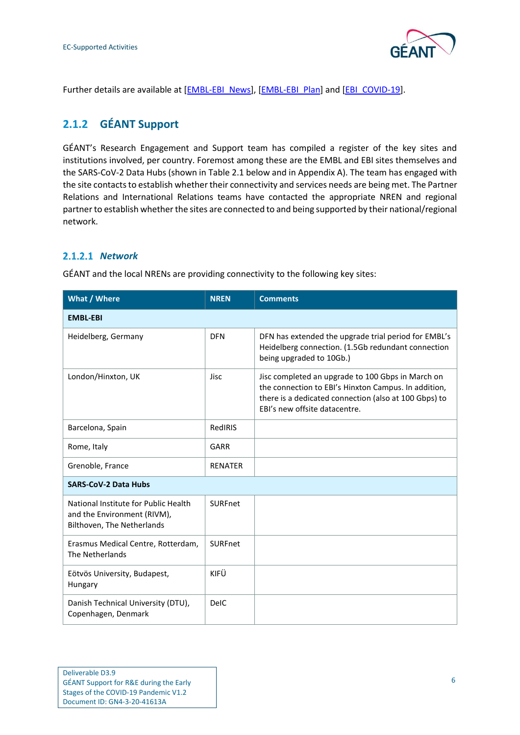

Further details are available at [\[EMBL-EBI\\_News\]](#page-62-1), [\[EMBL-EBI\\_Plan\]](#page-62-2) and [\[EBI\\_COVID-19\]](#page-61-1).

## <span id="page-9-0"></span>**2.1.2 GÉANT Support**

GÉANT's Research Engagement and Support team has compiled a register of the key sites and institutions involved, per country. Foremost among these are the EMBL and EBI sites themselves and the SARS-CoV-2 Data Hubs (shown i[n Table 2.1](#page-10-1) below and in [Appendix A\)](#page-53-0). The team has engaged with the site contacts to establish whether their connectivity and services needs are being met. The Partner Relations and International Relations teams have contacted the appropriate NREN and regional partner to establish whether the sites are connected to and being supported by their national/regional network.

#### *Network*

GÉANT and the local NRENs are providing connectivity to the following key sites:

| What / Where                                                                                      | <b>NREN</b>    | <b>Comments</b>                                                                                                                                                                                     |  |  |
|---------------------------------------------------------------------------------------------------|----------------|-----------------------------------------------------------------------------------------------------------------------------------------------------------------------------------------------------|--|--|
| <b>EMBL-EBI</b>                                                                                   |                |                                                                                                                                                                                                     |  |  |
| Heidelberg, Germany                                                                               | <b>DFN</b>     | DFN has extended the upgrade trial period for EMBL's<br>Heidelberg connection. (1.5Gb redundant connection<br>being upgraded to 10Gb.)                                                              |  |  |
| London/Hinxton, UK                                                                                | <b>Jisc</b>    | Jisc completed an upgrade to 100 Gbps in March on<br>the connection to EBI's Hinxton Campus. In addition,<br>there is a dedicated connection (also at 100 Gbps) to<br>FBI's new offsite datacentre. |  |  |
| Barcelona, Spain                                                                                  | RedIRIS        |                                                                                                                                                                                                     |  |  |
| Rome, Italy                                                                                       | GARR           |                                                                                                                                                                                                     |  |  |
| Grenoble, France                                                                                  | <b>RENATER</b> |                                                                                                                                                                                                     |  |  |
| <b>SARS-CoV-2 Data Hubs</b>                                                                       |                |                                                                                                                                                                                                     |  |  |
| National Institute for Public Health<br>and the Environment (RIVM),<br>Bilthoven, The Netherlands | <b>SURFnet</b> |                                                                                                                                                                                                     |  |  |
| Erasmus Medical Centre, Rotterdam,<br>The Netherlands                                             | <b>SURFnet</b> |                                                                                                                                                                                                     |  |  |
| Eötvös University, Budapest,<br>Hungary                                                           | KIFÜ           |                                                                                                                                                                                                     |  |  |
| Danish Technical University (DTU),<br>Copenhagen, Denmark                                         | <b>DelC</b>    |                                                                                                                                                                                                     |  |  |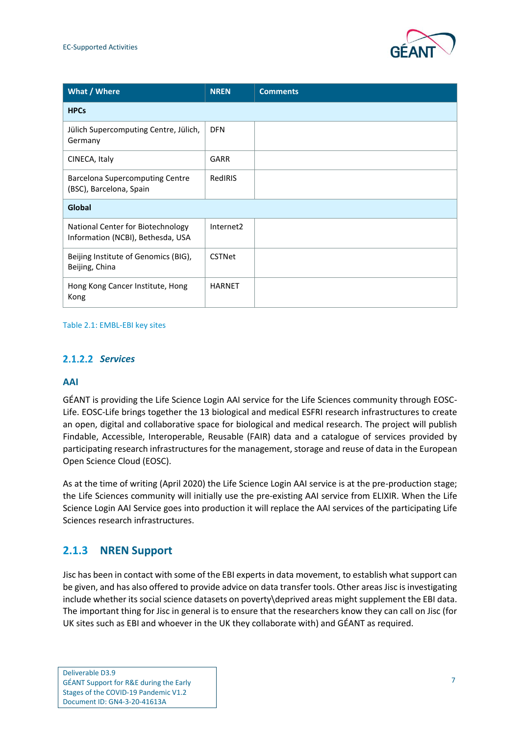

| What / Where                                                           | <b>NREN</b>           | <b>Comments</b> |
|------------------------------------------------------------------------|-----------------------|-----------------|
| <b>HPCs</b>                                                            |                       |                 |
| Jülich Supercomputing Centre, Jülich,<br>Germany                       | <b>DFN</b>            |                 |
| CINECA, Italy                                                          | <b>GARR</b>           |                 |
| <b>Barcelona Supercomputing Centre</b><br>(BSC), Barcelona, Spain      | RedIRIS               |                 |
| Global                                                                 |                       |                 |
| National Center for Biotechnology<br>Information (NCBI), Bethesda, USA | Internet <sub>2</sub> |                 |
| Beijing Institute of Genomics (BIG),<br>Beijing, China                 | <b>CSTNet</b>         |                 |
| Hong Kong Cancer Institute, Hong<br>Kong                               | <b>HARNET</b>         |                 |

#### <span id="page-10-1"></span>Table 2.1: EMBL-EBI key sites

#### *Services*

#### **AAI**

GÉANT is providing the Life Science Login AAI service for the Life Sciences community through EOSC-Life. EOSC-Life brings together the 13 biological and medical ESFRI research infrastructures to create an open, digital and collaborative space for biological and medical research. The project will publish Findable, Accessible, Interoperable, Reusable (FAIR) data and a catalogue of services provided by participating research infrastructures for the management, storage and reuse of data in the European Open Science Cloud (EOSC).

As at the time of writing (April 2020) the Life Science Login AAI service is at the pre-production stage; the Life Sciences community will initially use the pre-existing AAI service from ELIXIR. When the Life Science Login AAI Service goes into production it will replace the AAI services of the participating Life Sciences research infrastructures.

#### <span id="page-10-0"></span>**2.1.3 NREN Support**

Jisc has been in contact with some of the EBI experts in data movement, to establish what support can be given, and has also offered to provide advice on data transfer tools. Other areas Jisc is investigating include whether its social science datasets on poverty\deprived areas might supplement the EBI data. The important thing for Jisc in general is to ensure that the researchers know they can call on Jisc (for UK sites such as EBI and whoever in the UK they collaborate with) and GÉANT as required.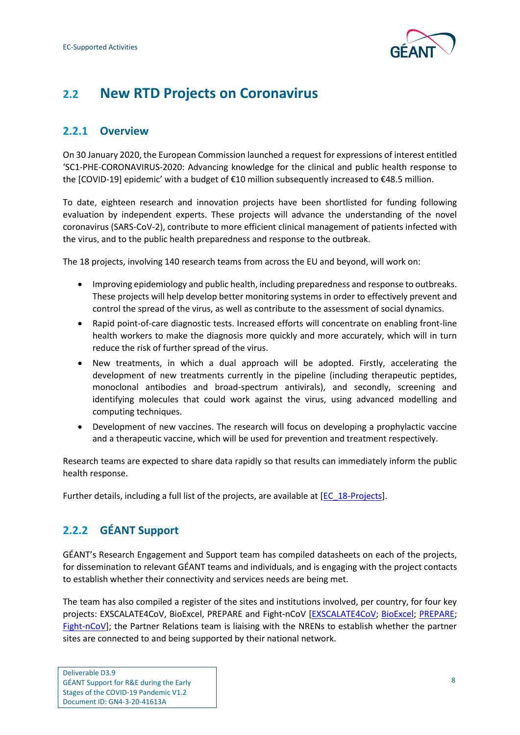

## <span id="page-11-0"></span>**2.2 New RTD Projects on Coronavirus**

### <span id="page-11-1"></span>**2.2.1 Overview**

On 30 January 2020, the European Commission launched a request for expressions of interest entitled 'SC1-PHE-CORONAVIRUS-2020: Advancing knowledge for the clinical and public health response to the [COVID-19] epidemic' with a budget of €10 million subsequently increased to €48.5 million.

To date, eighteen research and innovation projects have been shortlisted for funding following evaluation by independent experts. These projects will advance the understanding of the novel coronavirus (SARS-CoV-2), contribute to more efficient clinical management of patients infected with the virus, and to the public health preparedness and response to the outbreak.

The 18 projects, involving 140 research teams from across the EU and beyond, will work on:

- Improving epidemiology and public health, including preparedness and response to outbreaks. These projects will help develop better monitoring systems in order to effectively prevent and control the spread of the virus, as well as contribute to the assessment of social dynamics.
- Rapid point-of-care diagnostic tests. Increased efforts will concentrate on enabling front-line health workers to make the diagnosis more quickly and more accurately, which will in turn reduce the risk of further spread of the virus.
- New treatments, in which a dual approach will be adopted. Firstly, accelerating the development of new treatments currently in the pipeline (including therapeutic peptides, monoclonal antibodies and broad-spectrum antivirals), and secondly, screening and identifying molecules that could work against the virus, using advanced modelling and computing techniques.
- Development of new vaccines. The research will focus on developing a prophylactic vaccine and a therapeutic vaccine, which will be used for prevention and treatment respectively.

Research teams are expected to share data rapidly so that results can immediately inform the public health response.

Further details, including a full list of the projects, are available at [\[EC\\_18-Projects\]](#page-61-2).

## <span id="page-11-2"></span>**2.2.2 GÉANT Support**

GÉANT's Research Engagement and Support team has compiled datasheets on each of the projects, for dissemination to relevant GÉANT teams and individuals, and is engaging with the project contacts to establish whether their connectivity and services needs are being met.

The team has also compiled a register of the sites and institutions involved, per country, for four key projects: EXSCALATE4CoV, BioExcel, PREPARE and Fight-nCoV [\[EXSCALATE4CoV;](#page-62-3) [BioExcel;](#page-61-3) [PREPARE;](#page-63-0) [Fight-nCoV\]](#page-62-4); the Partner Relations team is liaising with the NRENs to establish whether the partner sites are connected to and being supported by their national network.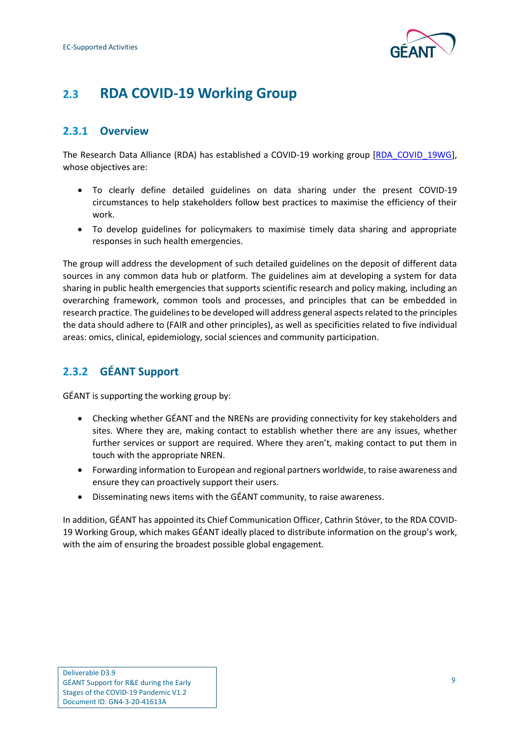

## <span id="page-12-0"></span>**2.3 RDA COVID-19 Working Group**

### <span id="page-12-1"></span>**2.3.1 Overview**

The Research Data Alliance (RDA) has established a COVID-19 working group [\[RDA\\_COVID\\_19WG\]](#page-63-1), whose objectives are:

- To clearly define detailed guidelines on data sharing under the present COVID-19 circumstances to help stakeholders follow best practices to maximise the efficiency of their work.
- To develop guidelines for policymakers to maximise timely data sharing and appropriate responses in such health emergencies.

The group will address the development of such detailed guidelines on the deposit of different data sources in any common data hub or platform. The guidelines aim at developing a system for data sharing in public health emergencies that supports scientific research and policy making, including an overarching framework, common tools and processes, and principles that can be embedded in research practice. The guidelines to be developed will address general aspects related to the principles the data should adhere to (FAIR and other principles), as well as specificities related to five individual areas: omics, clinical, epidemiology, social sciences and community participation.

## <span id="page-12-2"></span>**2.3.2 GÉANT Support**

GÉANT is supporting the working group by:

- Checking whether GÉANT and the NRENs are providing connectivity for key stakeholders and sites. Where they are, making contact to establish whether there are any issues, whether further services or support are required. Where they aren't, making contact to put them in touch with the appropriate NREN.
- Forwarding information to European and regional partners worldwide, to raise awareness and ensure they can proactively support their users.
- Disseminating news items with the GÉANT community, to raise awareness.

In addition, GÉANT has appointed its Chief Communication Officer, Cathrin Stöver, to the RDA COVID-19 Working Group, which makes GÉANT ideally placed to distribute information on the group's work, with the aim of ensuring the broadest possible global engagement.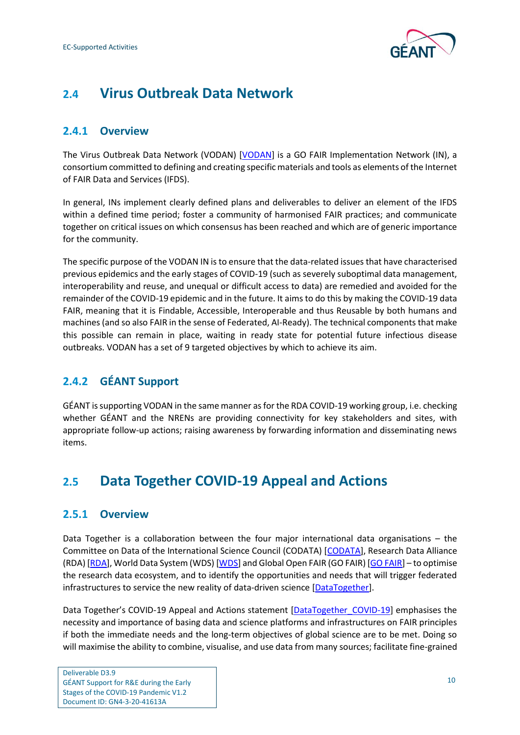

## <span id="page-13-0"></span>**2.4 Virus Outbreak Data Network**

### <span id="page-13-1"></span>**2.4.1 Overview**

The Virus Outbreak Data Network (VODAN) [\[VODAN\]](#page-63-2) is a GO FAIR Implementation Network (IN), a consortium committed to defining and creating specific materials and tools as elements of the Internet of FAIR Data and Services (IFDS).

In general, INs implement clearly defined plans and deliverables to deliver an element of the IFDS within a defined time period; foster a community of harmonised FAIR practices; and communicate together on critical issues on which consensus has been reached and which are of generic importance for the community.

The specific purpose of the VODAN IN is to ensure that the data-related issues that have characterised previous epidemics and the early stages of COVID-19 (such as severely suboptimal data management, interoperability and reuse, and unequal or difficult access to data) are remedied and avoided for the remainder of the COVID-19 epidemic and in the future. It aims to do this by making the COVID-19 data FAIR, meaning that it is Findable, Accessible, Interoperable and thus Reusable by both humans and machines (and so also FAIR in the sense of Federated, AI-Ready). The technical components that make this possible can remain in place, waiting in ready state for potential future infectious disease outbreaks. VODAN has a set of 9 targeted objectives by which to achieve its aim.

## <span id="page-13-2"></span>**2.4.2 GÉANT Support**

GÉANT is supporting VODAN in the same manner as for the RDA COVID-19 working group, i.e. checking whether GÉANT and the NRENs are providing connectivity for key stakeholders and sites, with appropriate follow-up actions; raising awareness by forwarding information and disseminating news items.

## <span id="page-13-3"></span>**2.5 Data Together COVID-19 Appeal and Actions**

#### <span id="page-13-4"></span>**2.5.1 Overview**

Data Together is a collaboration between the four major international data organisations – the Committee on Data of the International Science Council (CODATA) [\[CODATA\]](#page-61-4), Research Data Alliance (RDA) [\[RDA\]](#page-63-3), World Data System (WDS) [\[WDS\]](#page-63-4) and Global Open FAIR (GO FAIR) [GO [FAIR\]](#page-62-5) – to optimise the research data ecosystem, and to identify the opportunities and needs that will trigger federated infrastructures to service the new reality of data-driven science [\[DataTogether\]](#page-61-5).

Data Together's COVID-19 Appeal and Actions statement [\[DataTogether\\_COVID-19\]](#page-61-6) emphasises the necessity and importance of basing data and science platforms and infrastructures on FAIR principles if both the immediate needs and the long-term objectives of global science are to be met. Doing so will maximise the ability to combine, visualise, and use data from many sources; facilitate fine-grained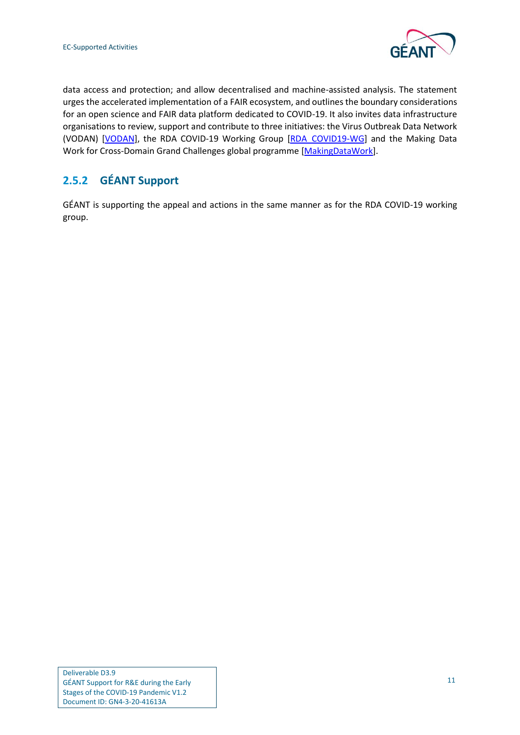

data access and protection; and allow decentralised and machine-assisted analysis. The statement urges the accelerated implementation of a FAIR ecosystem, and outlines the boundary considerations for an open science and FAIR data platform dedicated to COVID-19. It also invites data infrastructure organisations to review, support and contribute to three initiatives: the Virus Outbreak Data Network (VODAN) [\[VODAN\]](#page-63-2), the RDA COVID-19 Working Group [\[RDA\\_COVID19-WG\]](#page-63-1) and the Making Data Work for Cross-Domain Grand Challenges global programme [\[MakingDataWork\]](#page-62-6).

## <span id="page-14-0"></span>**2.5.2 GÉANT Support**

GÉANT is supporting the appeal and actions in the same manner as for the RDA COVID-19 working group.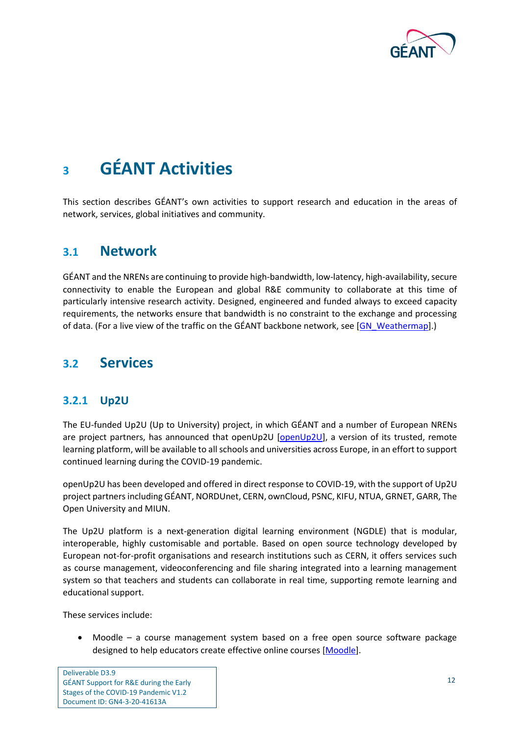

## <span id="page-15-0"></span>**<sup>3</sup> GÉANT Activities**

This section describes GÉANT's own activities to support research and education in the areas of network, services, global initiatives and community.

## <span id="page-15-1"></span>**3.1 Network**

GÉANT and the NRENs are continuing to provide high-bandwidth, low-latency, high-availability, secure connectivity to enable the European and global R&E community to collaborate at this time of particularly intensive research activity. Designed, engineered and funded always to exceed capacity requirements, the networks ensure that bandwidth is no constraint to the exchange and processing of data. (For a live view of the traffic on the GÉANT backbone network, see [\[GN\\_Weathermap\]](#page-62-7).)

## <span id="page-15-2"></span>**3.2 Services**

#### <span id="page-15-3"></span>**3.2.1 Up2U**

The EU-funded Up2U (Up to University) project, in which GÉANT and a number of European NRENs are project partners, has announced that openUp2U [\[openUp2U\]](#page-63-5), a version of its trusted, remote learning platform, will be available to all schools and universities across Europe, in an effort to support continued learning during the COVID-19 pandemic.

openUp2U has been developed and offered in direct response to COVID-19, with the support of Up2U project partners including GÉANT, NORDUnet, CERN, ownCloud, PSNC, KIFU, NTUA, GRNET, GARR, The Open University and MIUN.

The Up2U platform is a next-generation digital learning environment (NGDLE) that is modular, interoperable, highly customisable and portable. Based on open source technology developed by European not-for-profit organisations and research institutions such as CERN, it offers services such as course management, videoconferencing and file sharing integrated into a learning management system so that teachers and students can collaborate in real time, supporting remote learning and educational support.

These services include:

• Moodle – a course management system based on a free open source software package designed to help educators create effective online courses [\[Moodle\]](#page-62-8).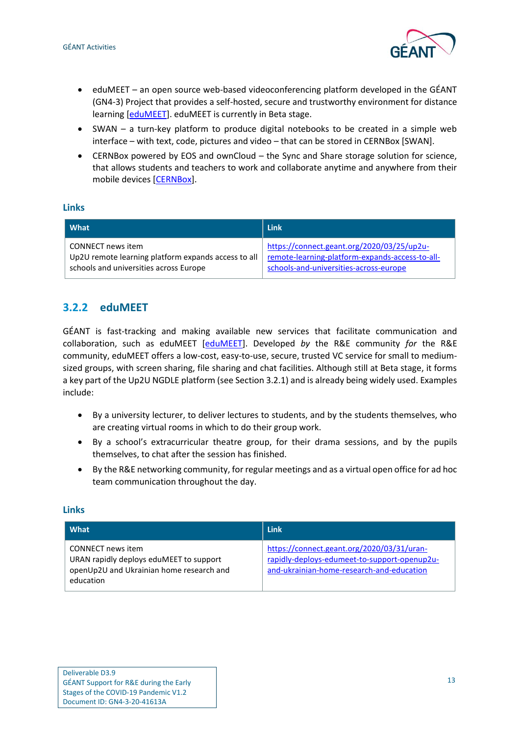

- eduMEET an open source web-based videoconferencing platform developed in the GÉANT (GN4-3) Project that provides a self-hosted, secure and trustworthy environment for distance learning [\[eduMEET\]](#page-61-7). eduMEET is currently in Beta stage.
- SWAN a turn-key platform to produce digital notebooks to be created in a simple web interface – with text, code, pictures and video – that can be stored in CERNBox [\[SWAN\]](#page-63-6).
- CERNBox powered by EOS and ownCloud the Sync and Share storage solution for science, that allows students and teachers to work and collaborate anytime and anywhere from their mobile devices [\[CERNBox\]](#page-61-8).

#### **Links**

| What                                                | <b>Link</b>                                     |
|-----------------------------------------------------|-------------------------------------------------|
| CONNECT news item                                   | https://connect.geant.org/2020/03/25/up2u-      |
| Up2U remote learning platform expands access to all | remote-learning-platform-expands-access-to-all- |
| schools and universities across Europe              | schools-and-universities-across-europe          |

## <span id="page-16-0"></span>**3.2.2 eduMEET**

GÉANT is fast-tracking and making available new services that facilitate communication and collaboration, such as eduMEET [\[eduMEET\]](#page-61-7). Developed *by* the R&E community *for* the R&E community, eduMEET offers a low-cost, easy-to-use, secure, trusted VC service for small to mediumsized groups, with screen sharing, file sharing and chat facilities. Although still at Beta stage, it forms a key part of the Up2U NGDLE platform (see Section 3.2.1) and is already being widely used. Examples include:

- By a university lecturer, to deliver lectures to students, and by the students themselves, who are creating virtual rooms in which to do their group work.
- By a school's extracurricular theatre group, for their drama sessions, and by the pupils themselves, to chat after the session has finished.
- By the R&E networking community, for regular meetings and as a virtual open office for ad hoc team communication throughout the day.

| What                                                                                                                  | <b>Link</b>                                                                                                                             |
|-----------------------------------------------------------------------------------------------------------------------|-----------------------------------------------------------------------------------------------------------------------------------------|
| CONNECT news item<br>URAN rapidly deploys eduMEET to support<br>openUp2U and Ukrainian home research and<br>education | https://connect.geant.org/2020/03/31/uran-<br>rapidly-deploys-edumeet-to-support-openup2u-<br>and-ukrainian-home-research-and-education |

#### **Links**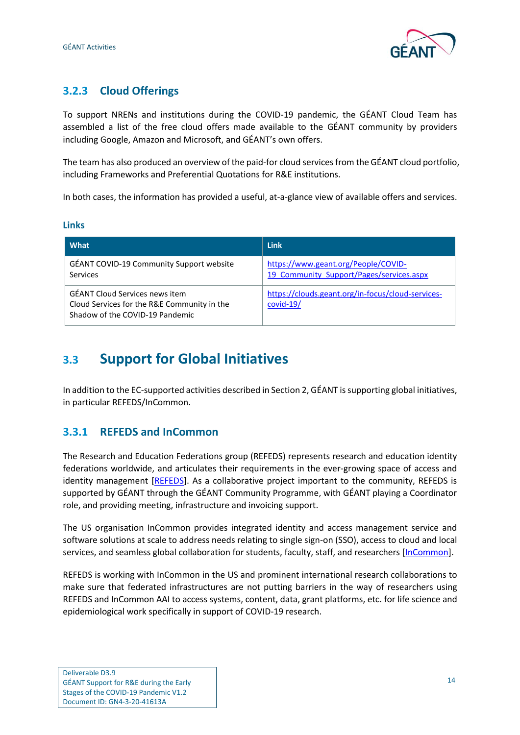

## <span id="page-17-0"></span>**3.2.3 Cloud Offerings**

To support NRENs and institutions during the COVID-19 pandemic, the GÉANT Cloud Team has assembled a list of the free cloud offers made available to the GÉANT community by providers including Google, Amazon and Microsoft, and GÉANT's own offers.

The team has also produced an overview of the paid-for cloud services from the GÉANT cloud portfolio, including Frameworks and Preferential Quotations for R&E institutions.

In both cases, the information has provided a useful, at-a-glance view of available offers and services.

#### **Links**

| What                                                                                                                    | Link                                                                            |
|-------------------------------------------------------------------------------------------------------------------------|---------------------------------------------------------------------------------|
| GÉANT COVID-19 Community Support website<br><b>Services</b>                                                             | https://www.geant.org/People/COVID-<br>19 Community Support/Pages/services.aspx |
| <b>GÉANT Cloud Services news item</b><br>Cloud Services for the R&E Community in the<br>Shadow of the COVID-19 Pandemic | https://clouds.geant.org/in-focus/cloud-services-<br>$covid-19/$                |

## <span id="page-17-1"></span>**3.3 Support for Global Initiatives**

In addition to the EC-supported activities described in Sectio[n 2,](#page-7-0) GÉANT is supporting global initiatives, in particular REFEDS/InCommon.

#### <span id="page-17-2"></span>**3.3.1 REFEDS and InCommon**

The Research and Education Federations group (REFEDS) represents research and education identity federations worldwide, and articulates their requirements in the ever-growing space of access and identity management [\[REFEDS\]](#page-63-7). As a collaborative project important to the community, REFEDS is supported by GÉANT through the GÉANT Community Programme, with GÉANT playing a Coordinator role, and providing meeting, infrastructure and invoicing support.

The US organisation InCommon provides integrated identity and access management service and software solutions at scale to address needs relating to single sign-on (SSO), access to cloud and local services, and seamless global collaboration for students, faculty, staff, and researchers [\[InCommon\]](#page-62-9).

REFEDS is working with InCommon in the US and prominent international research collaborations to make sure that federated infrastructures are not putting barriers in the way of researchers using REFEDS and InCommon AAI to access systems, content, data, grant platforms, etc. for life science and epidemiological work specifically in support of COVID-19 research.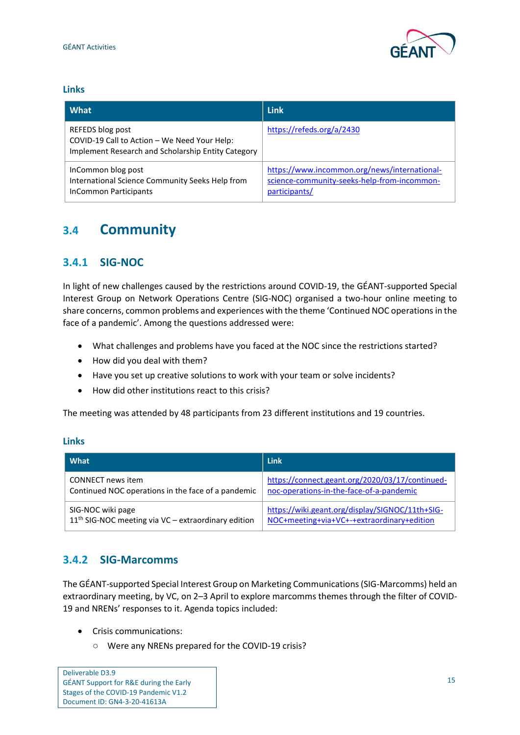

#### **Links**

| l What                                                                                                                 | <b>Link</b>                                                                                                  |
|------------------------------------------------------------------------------------------------------------------------|--------------------------------------------------------------------------------------------------------------|
| REFEDS blog post<br>COVID-19 Call to Action - We Need Your Help:<br>Implement Research and Scholarship Entity Category | https://refeds.org/a/2430                                                                                    |
| InCommon blog post<br>International Science Community Seeks Help from<br><b>InCommon Participants</b>                  | https://www.incommon.org/news/international-<br>science-community-seeks-help-from-incommon-<br>participants/ |

## <span id="page-18-0"></span>**3.4 Community**

### <span id="page-18-1"></span>**3.4.1 SIG-NOC**

In light of new challenges caused by the restrictions around COVID-19, the GÉANT-supported Special Interest Group on Network Operations Centre (SIG-NOC) organised a two-hour online meeting to share concerns, common problems and experiences with the theme 'Continued NOC operations in the face of a pandemic'. Among the questions addressed were:

- What challenges and problems have you faced at the NOC since the restrictions started?
- How did you deal with them?
- Have you set up creative solutions to work with your team or solve incidents?
- How did other institutions react to this crisis?

The meeting was attended by 48 participants from 23 different institutions and 19 countries.

#### **Links**

| What                                                  | <b>Link</b>                                     |
|-------------------------------------------------------|-------------------------------------------------|
| <b>CONNECT</b> news item                              | https://connect.geant.org/2020/03/17/continued- |
| Continued NOC operations in the face of a pandemic    | noc-operations-in-the-face-of-a-pandemic        |
| SIG-NOC wiki page                                     | https://wiki.geant.org/display/SIGNOC/11th+SIG- |
| $11th$ SIG-NOC meeting via VC – extraordinary edition | NOC+meeting+via+VC+-+extraordinary+edition      |

### <span id="page-18-2"></span>**3.4.2 SIG-Marcomms**

The GÉANT-supported Special Interest Group on Marketing Communications (SIG-Marcomms) held an extraordinary meeting, by VC, on 2–3 April to explore marcomms themes through the filter of COVID-19 and NRENs' responses to it. Agenda topics included:

- Crisis communications:
	- Were any NRENs prepared for the COVID-19 crisis?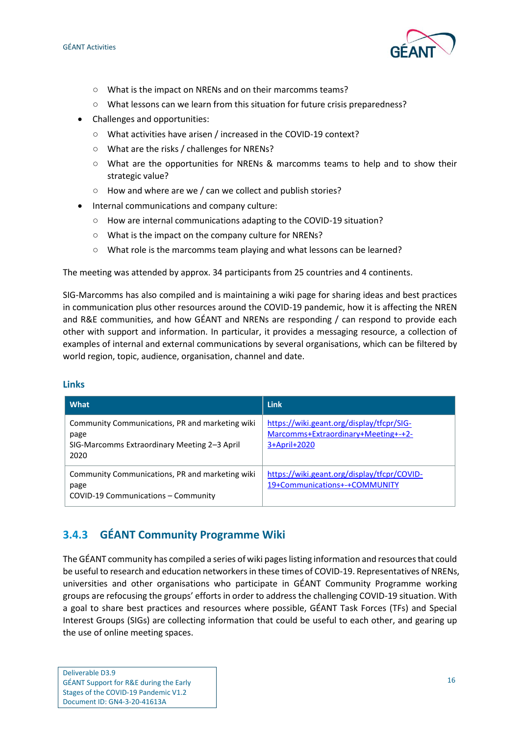

- What is the impact on NRENs and on their marcomms teams?
- What lessons can we learn from this situation for future crisis preparedness?
- Challenges and opportunities:
	- What activities have arisen / increased in the COVID-19 context?
	- What are the risks / challenges for NRENs?
	- What are the opportunities for NRENs & marcomms teams to help and to show their strategic value?
	- How and where are we / can we collect and publish stories?
- Internal communications and company culture:
	- How are internal communications adapting to the COVID-19 situation?
	- What is the impact on the company culture for NRENs?
	- What role is the marcomms team playing and what lessons can be learned?

The meeting was attended by approx. 34 participants from 25 countries and 4 continents.

SIG-Marcomms has also compiled and is maintaining a wiki page for sharing ideas and best practices in communication plus other resources around the COVID-19 pandemic, how it is affecting the NREN and R&E communities, and how GÉANT and NRENs are responding / can respond to provide each other with support and information. In particular, it provides a messaging resource, a collection of examples of internal and external communications by several organisations, which can be filtered by world region, topic, audience, organisation, channel and date.

| What                                                                                                            | <b>Link</b>                                                                                      |
|-----------------------------------------------------------------------------------------------------------------|--------------------------------------------------------------------------------------------------|
| Community Communications, PR and marketing wiki<br>page<br>SIG-Marcomms Extraordinary Meeting 2-3 April<br>2020 | https://wiki.geant.org/display/tfcpr/SIG-<br>Marcomms+Extraordinary+Meeting+-+2-<br>3+April+2020 |
| Community Communications, PR and marketing wiki<br>page<br>COVID-19 Communications - Community                  | https://wiki.geant.org/display/tfcpr/COVID-<br>19+Communications+-+COMMUNITY                     |

#### **Links**

### <span id="page-19-0"></span>**3.4.3 GÉANT Community Programme Wiki**

The GÉANT community has compiled a series of wiki pages listing information and resources that could be useful to research and education networkers in these times of COVID-19. Representatives of NRENs, universities and other organisations who participate in GÉANT Community Programme working groups are refocusing the groups' efforts in order to address the challenging COVID-19 situation. With a goal to share best practices and resources where possible, GÉANT Task Forces (TFs) and Special Interest Groups (SIGs) are collecting information that could be useful to each other, and gearing up the use of online meeting spaces.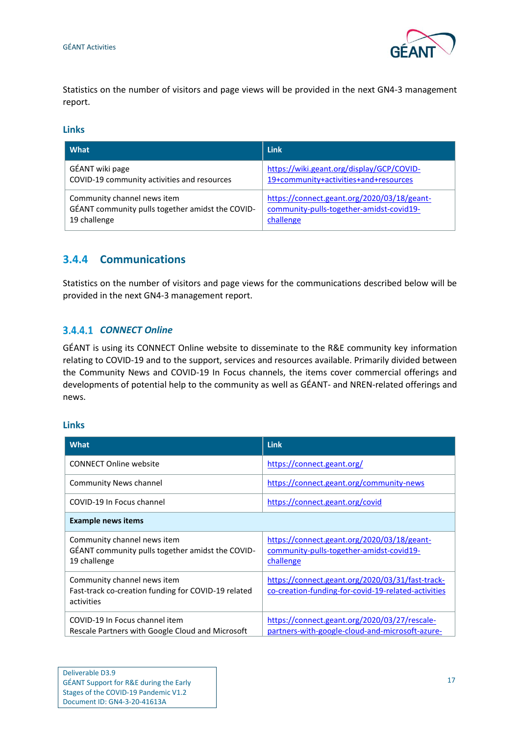

Statistics on the number of visitors and page views will be provided in the next GN4-3 management report.

#### **Links**

| What                                             | <b>Link</b>                                 |
|--------------------------------------------------|---------------------------------------------|
| GÉANT wiki page                                  | https://wiki.geant.org/display/GCP/COVID-   |
| COVID-19 community activities and resources      | 19+community+activities+and+resources       |
| Community channel news item                      | https://connect.geant.org/2020/03/18/geant- |
| GÉANT community pulls together amidst the COVID- | community-pulls-together-amidst-covid19-    |
| 19 challenge                                     | challenge                                   |

#### <span id="page-20-0"></span>**3.4.4 Communications**

Statistics on the number of visitors and page views for the communications described below will be provided in the next GN4-3 management report.

#### **3.4.4.1 CONNECT Online**

GÉANT is using its CONNECT Online website to disseminate to the R&E community key information relating to COVID-19 and to the support, services and resources available. Primarily divided between the Community News and COVID-19 In Focus channels, the items cover commercial offerings and developments of potential help to the community as well as GÉANT- and NREN-related offerings and news.

#### **Links**

| What                                                                                             | <b>Link</b>                                                                                             |  |
|--------------------------------------------------------------------------------------------------|---------------------------------------------------------------------------------------------------------|--|
| <b>CONNECT Online website</b>                                                                    | https://connect.geant.org/                                                                              |  |
| Community News channel                                                                           | https://connect.geant.org/community-news                                                                |  |
| COVID-19 In Focus channel                                                                        | https://connect.geant.org/covid                                                                         |  |
| <b>Example news items</b>                                                                        |                                                                                                         |  |
| Community channel news item<br>GÉANT community pulls together amidst the COVID-<br>19 challenge  | https://connect.geant.org/2020/03/18/geant-<br>community-pulls-together-amidst-covid19-<br>challenge    |  |
| Community channel news item<br>Fast-track co-creation funding for COVID-19 related<br>activities | https://connect.geant.org/2020/03/31/fast-track-<br>co-creation-funding-for-covid-19-related-activities |  |
| COVID-19 In Focus channel item<br>Rescale Partners with Google Cloud and Microsoft               | https://connect.geant.org/2020/03/27/rescale-<br>partners-with-google-cloud-and-microsoft-azure-        |  |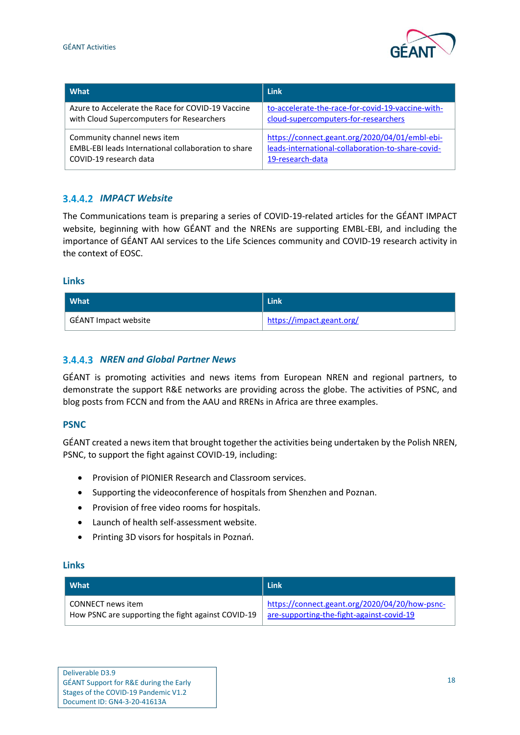

| l What                                              | <b>Link</b>                                       |
|-----------------------------------------------------|---------------------------------------------------|
| Azure to Accelerate the Race for COVID-19 Vaccine   | to-accelerate-the-race-for-covid-19-vaccine-with- |
| with Cloud Supercomputers for Researchers           | cloud-supercomputers-for-researchers              |
| Community channel news item                         | https://connect.geant.org/2020/04/01/embl-ebi-    |
| EMBL-EBI leads International collaboration to share | leads-international-collaboration-to-share-covid- |
| COVID-19 research data                              | 19-research-data                                  |

#### **3.4.4.2 IMPACT Website**

The Communications team is preparing a series of COVID-19-related articles for the GÉANT IMPACT website, beginning with how GÉANT and the NRENs are supporting EMBL-EBI, and including the importance of GÉANT AAI services to the Life Sciences community and COVID-19 research activity in the context of EOSC.

#### **Links**

| <b>What</b>          | Link                      |
|----------------------|---------------------------|
| GÉANT Impact website | https://impact.geant.org/ |

#### *NREN and Global Partner News*

GÉANT is promoting activities and news items from European NREN and regional partners, to demonstrate the support R&E networks are providing across the globe. The activities of PSNC, and blog posts from FCCN and from the AAU and RRENs in Africa are three examples.

#### **PSNC**

GÉANT created a newsitem that brought together the activities being undertaken by the Polish NREN, PSNC, to support the fight against COVID-19, including:

- Provision of PIONIER Research and Classroom services.
- Supporting the videoconference of hospitals from Shenzhen and Poznan.
- Provision of free video rooms for hospitals.
- Launch of health self-assessment website.
- Printing 3D visors for hospitals in Poznań.

#### **Links**

| l What                                             | <b>Link</b>                                    |
|----------------------------------------------------|------------------------------------------------|
| CONNECT news item                                  | https://connect.geant.org/2020/04/20/how-psnc- |
| How PSNC are supporting the fight against COVID-19 | are-supporting-the-fight-against-covid-19      |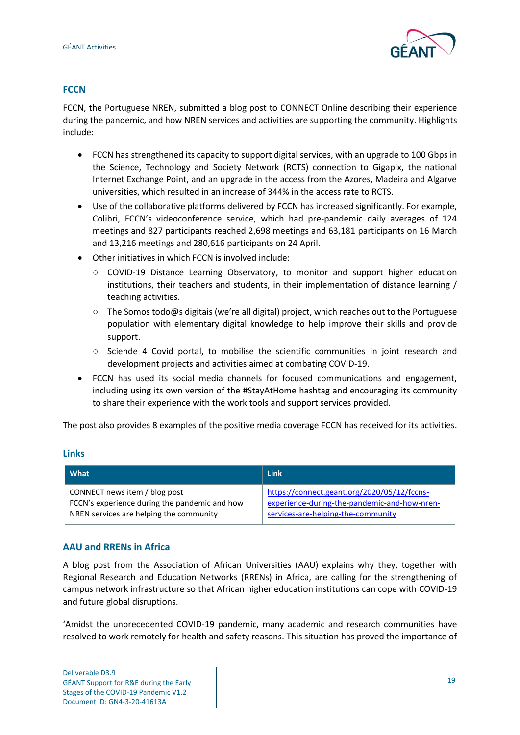

#### **FCCN**

FCCN, the Portuguese NREN, submitted a blog post to CONNECT Online describing their experience during the pandemic, and how NREN services and activities are supporting the community. Highlights include:

- FCCN has strengthened its capacity to support digital services, with an upgrade to 100 Gbps in the Science, Technology and Society Network (RCTS) connection to Gigapix, the national Internet Exchange Point, and an upgrade in the access from the Azores, Madeira and Algarve universities, which resulted in an increase of 344% in the access rate to RCTS.
- Use of the collaborative platforms delivered by FCCN has increased significantly. For example, Colibri, FCCN's videoconference service, which had pre-pandemic daily averages of 124 meetings and 827 participants reached 2,698 meetings and 63,181 participants on 16 March and 13,216 meetings and 280,616 participants on 24 April.
- Other initiatives in which FCCN is involved include:
	- COVID-19 Distance Learning Observatory, to monitor and support higher education institutions, their teachers and students, in their implementation of distance learning / teaching activities.
	- The Somos todo@s digitais (we're all digital) project, which reaches out to the Portuguese population with elementary digital knowledge to help improve their skills and provide support.
	- Sciende 4 Covid portal, to mobilise the scientific communities in joint research and development projects and activities aimed at combating COVID-19.
- FCCN has used its social media channels for focused communications and engagement, including using its own version of the #StayAtHome hashtag and encouraging its community to share their experience with the work tools and support services provided.

The post also provides 8 examples of the positive media coverage FCCN has received for its activities.

#### **Links**

| l What                                        | Link                                         |
|-----------------------------------------------|----------------------------------------------|
| CONNECT news item / blog post                 | https://connect.geant.org/2020/05/12/fccns-  |
| FCCN's experience during the pandemic and how | experience-during-the-pandemic-and-how-nren- |
| NREN services are helping the community       | services-are-helping-the-community           |

#### **AAU and RRENs in Africa**

A blog post from the Association of African Universities (AAU) explains why they, together with Regional Research and Education Networks (RRENs) in Africa, are calling for the strengthening of campus network infrastructure so that African higher education institutions can cope with COVID-19 and future global disruptions.

'Amidst the unprecedented COVID-19 pandemic, many academic and research communities have resolved to work remotely for health and safety reasons. This situation has proved the importance of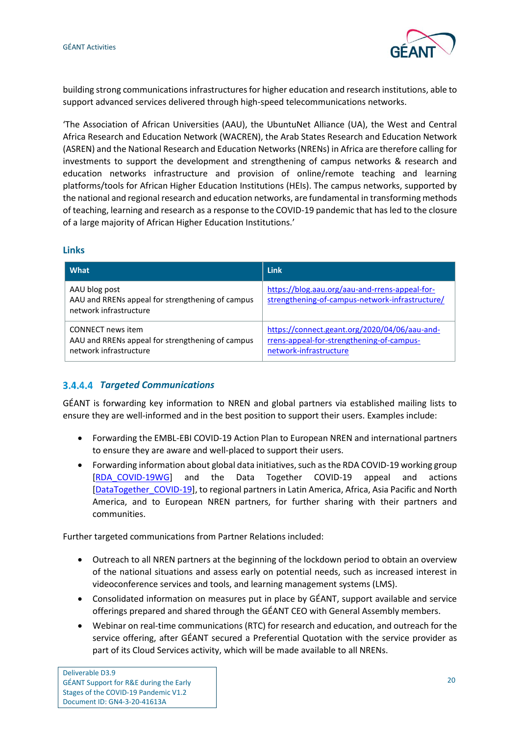

building strong communications infrastructures for higher education and research institutions, able to support advanced services delivered through high-speed telecommunications networks.

'The Association of African Universities (AAU), the UbuntuNet Alliance (UA), the West and Central Africa Research and Education Network (WACREN), the Arab States Research and Education Network (ASREN) and the National Research and Education Networks (NRENs) in Africa are therefore calling for investments to support the development and strengthening of campus networks & research and education networks infrastructure and provision of online/remote teaching and learning platforms/tools for African Higher Education Institutions (HEIs). The campus networks, supported by the national and regional research and education networks, are fundamental in transforming methods of teaching, learning and research as a response to the COVID-19 pandemic that has led to the closure of a large majority of African Higher Education Institutions.'

#### **Links**

| What                                                                                            | Link                                                                                                                 |
|-------------------------------------------------------------------------------------------------|----------------------------------------------------------------------------------------------------------------------|
| AAU blog post<br>AAU and RRENs appeal for strengthening of campus<br>network infrastructure     | https://blog.aau.org/aau-and-rrens-appeal-for-<br>strengthening-of-campus-network-infrastructure/                    |
| CONNECT news item<br>AAU and RRENs appeal for strengthening of campus<br>network infrastructure | https://connect.geant.org/2020/04/06/aau-and-<br>rrens-appeal-for-strengthening-of-campus-<br>network-infrastructure |

#### *Targeted Communications*

GÉANT is forwarding key information to NREN and global partners via established mailing lists to ensure they are well-informed and in the best position to support their users. Examples include:

- Forwarding the EMBL-EBI COVID-19 Action Plan to European NREN and international partners to ensure they are aware and well-placed to support their users.
- Forwarding information about global data initiatives, such as the RDA COVID-19 working group [\[RDA\\_COVID-19WG\]](#page-63-1) and the Data Together COVID-19 appeal and actions [\[DataTogether\\_COVID-19\]](#page-61-6), to regional partners in Latin America, Africa, Asia Pacific and North America, and to European NREN partners, for further sharing with their partners and communities.

Further targeted communications from Partner Relations included:

- Outreach to all NREN partners at the beginning of the lockdown period to obtain an overview of the national situations and assess early on potential needs, such as increased interest in videoconference services and tools, and learning management systems (LMS).
- Consolidated information on measures put in place by GÉANT, support available and service offerings prepared and shared through the GÉANT CEO with General Assembly members.
- Webinar on real-time communications (RTC) for research and education, and outreach for the service offering, after GÉANT secured a Preferential Quotation with the service provider as part of its Cloud Services activity, which will be made available to all NRENs.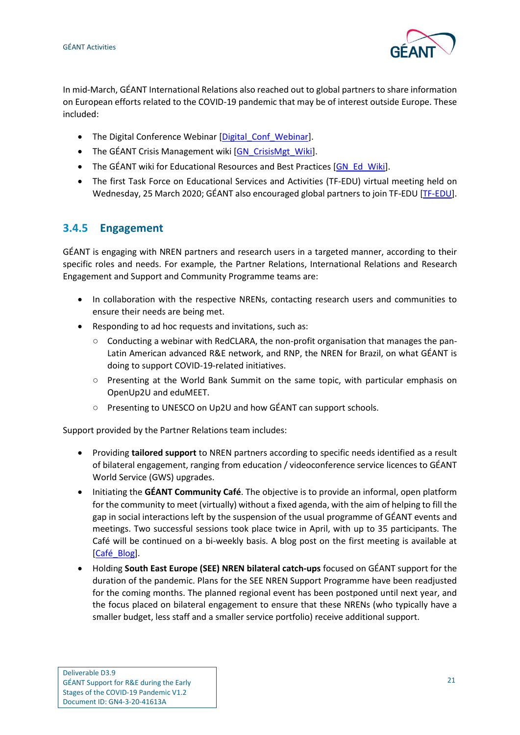

In mid-March, GÉANT International Relations also reached out to global partners to share information on European efforts related to the COVID-19 pandemic that may be of interest outside Europe. These included:

- The Digital Conference Webinar [\[Digital\\_Conf\\_Webinar\]](#page-61-9).
- The GÉANT Crisis Management wiki [\[GN\\_CrisisMgt\\_Wiki\]](#page-62-10).
- The GÉANT wiki for Educational Resources and Best Practices [\[GN\\_Ed\\_Wiki\]](#page-62-11).
- The first Task Force on Educational Services and Activities (TF-EDU) virtual meeting held on Wednesday, 25 March 2020; GÉANT also encouraged global partners to join TF-EDU [\[TF-EDU\]](#page-63-8).

### <span id="page-24-0"></span>**3.4.5 Engagement**

GÉANT is engaging with NREN partners and research users in a targeted manner, according to their specific roles and needs. For example, the Partner Relations, International Relations and Research Engagement and Support and Community Programme teams are:

- In collaboration with the respective NRENs, contacting research users and communities to ensure their needs are being met.
- Responding to ad hoc requests and invitations, such as:
	- Conducting a webinar with RedCLARA, the non-profit organisation that manages the pan-Latin American advanced R&E network, and RNP, the NREN for Brazil, on what GÉANT is doing to support COVID-19-related initiatives.
	- Presenting at the World Bank Summit on the same topic, with particular emphasis on OpenUp2U and eduMEET.
	- Presenting to UNESCO on Up2U and how GÉANT can support schools.

Support provided by the Partner Relations team includes:

- Providing **tailored support** to NREN partners according to specific needs identified as a result of bilateral engagement, ranging from education / videoconference service licences to GÉANT World Service (GWS) upgrades.
- Initiating the **GÉANT Community Café**. The objective is to provide an informal, open platform for the community to meet (virtually) without a fixed agenda, with the aim of helping to fill the gap in social interactions left by the suspension of the usual programme of GÉANT events and meetings. Two successful sessions took place twice in April, with up to 35 participants. The Café will be continued on a bi-weekly basis. A blog post on the first meeting is available at [\[Café\\_Blog\]](#page-61-10).
- Holding **South East Europe (SEE) NREN bilateral catch-ups** focused on GÉANT support for the duration of the pandemic. Plans for the SEE NREN Support Programme have been readjusted for the coming months. The planned regional event has been postponed until next year, and the focus placed on bilateral engagement to ensure that these NRENs (who typically have a smaller budget, less staff and a smaller service portfolio) receive additional support.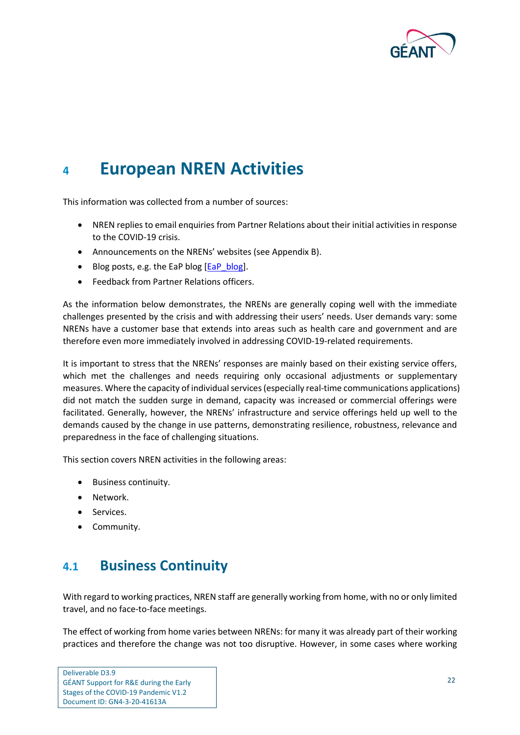

## <span id="page-25-0"></span>**<sup>4</sup> European NREN Activities**

This information was collected from a number of sources:

- NREN replies to email enquiries from Partner Relations about their initial activities in response to the COVID-19 crisis.
- Announcements on the NRENs' websites (se[e Appendix B\)](#page-55-0).
- Blog posts, e.g. the EaP blog [\[EaP\\_blog\]](#page-61-11).
- Feedback from Partner Relations officers.

As the information below demonstrates, the NRENs are generally coping well with the immediate challenges presented by the crisis and with addressing their users' needs. User demands vary: some NRENs have a customer base that extends into areas such as health care and government and are therefore even more immediately involved in addressing COVID-19-related requirements.

It is important to stress that the NRENs' responses are mainly based on their existing service offers, which met the challenges and needs requiring only occasional adjustments or supplementary measures. Where the capacity of individual services (especially real-time communications applications) did not match the sudden surge in demand, capacity was increased or commercial offerings were facilitated. Generally, however, the NRENs' infrastructure and service offerings held up well to the demands caused by the change in use patterns, demonstrating resilience, robustness, relevance and preparedness in the face of challenging situations.

This section covers NREN activities in the following areas:

- Business continuity.
- Network.
- Services.
- <span id="page-25-1"></span>• Community.

## **4.1 Business Continuity**

With regard to working practices, NREN staff are generally working from home, with no or only limited travel, and no face-to-face meetings.

The effect of working from home varies between NRENs: for many it was already part of their working practices and therefore the change was not too disruptive. However, in some cases where working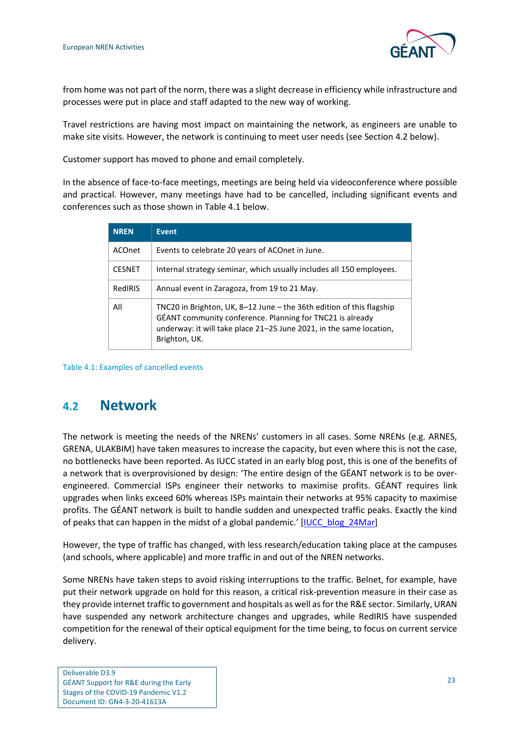

from home was not part of the norm, there was a slight decrease in efficiency while infrastructure and processes were put in place and staff adapted to the new way of working.

Travel restrictions are having most impact on maintaining the network, as engineers are unable to make site visits. However, the network is continuing to meet user needs (see Section [4.2](#page-26-0) below).

Customer support has moved to phone and email completely.

In the absence of face-to-face meetings, meetings are being held via videoconference where possible and practical. However, many meetings have had to be cancelled, including significant events and conferences such as those shown i[n Table 4.1](#page-26-1) below.

| <b>NREN</b>   | <b>Event</b>                                                                                                                                                                                                              |  |
|---------------|---------------------------------------------------------------------------------------------------------------------------------------------------------------------------------------------------------------------------|--|
| <b>ACOnet</b> | Events to celebrate 20 years of ACOnet in June.                                                                                                                                                                           |  |
| <b>CESNET</b> | Internal strategy seminar, which usually includes all 150 employees.                                                                                                                                                      |  |
| RedIRIS       | Annual event in Zaragoza, from 19 to 21 May.                                                                                                                                                                              |  |
| All           | TNC20 in Brighton, UK, 8-12 June - the 36th edition of this flagship<br>GÉANT community conference. Planning for TNC21 is already<br>underway: it will take place 21-25 June 2021, in the same location,<br>Brighton, UK. |  |

<span id="page-26-1"></span>Table 4.1: Examples of cancelled events

## <span id="page-26-0"></span>**4.2 Network**

The network is meeting the needs of the NRENs' customers in all cases. Some NRENs (e.g. ARNES, GRENA, ULAKBIM) have taken measures to increase the capacity, but even where this is not the case, no bottlenecks have been reported. As IUCC stated in an early blog post, this is one of the benefits of a network that is overprovisioned by design: 'The entire design of the GÉANT network is to be overengineered. Commercial ISPs engineer their networks to maximise profits. GÉANT requires link upgrades when links exceed 60% whereas ISPs maintain their networks at 95% capacity to maximise profits. The GÉANT network is built to handle sudden and unexpected traffic peaks. Exactly the kind of peaks that can happen in the midst of a global pandemic.' [\[IUCC\\_blog\\_24Mar\]](#page-62-12)

However, the type of traffic has changed, with less research/education taking place at the campuses (and schools, where applicable) and more traffic in and out of the NREN networks.

Some NRENs have taken steps to avoid risking interruptions to the traffic. Belnet, for example, have put their network upgrade on hold for this reason, a critical risk-prevention measure in their case as they provide internet traffic to government and hospitals as well as for the R&E sector. Similarly, URAN have suspended any network architecture changes and upgrades, while RedIRIS have suspended competition for the renewal of their optical equipment for the time being, to focus on current service delivery.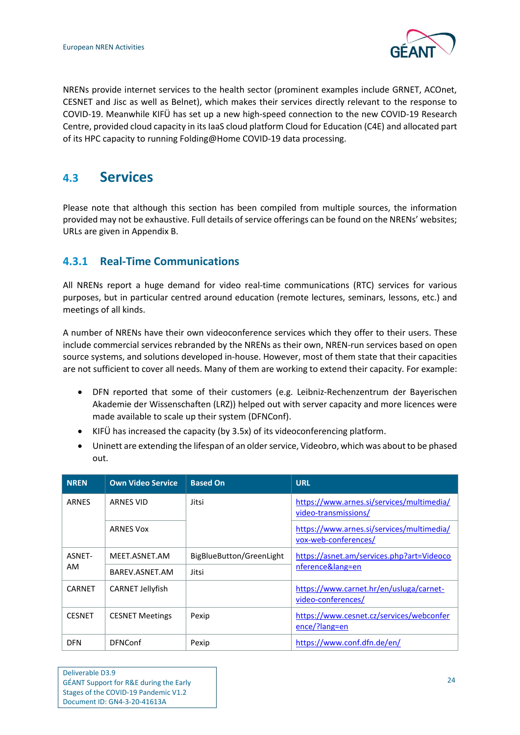

NRENs provide internet services to the health sector (prominent examples include GRNET, ACOnet, CESNET and Jisc as well as Belnet), which makes their services directly relevant to the response to COVID-19. Meanwhile KIFÜ has set up a new high-speed connection to the new COVID-19 Research Centre, provided cloud capacity in its IaaS cloud platform Cloud for Education (C4E) and allocated part of its HPC capacity to running Folding@Home COVID-19 data processing.

## <span id="page-27-0"></span>**4.3 Services**

Please note that although this section has been compiled from multiple sources, the information provided may not be exhaustive. Full details of service offerings can be found on the NRENs' websites; URLs are given i[n Appendix B.](#page-55-0)

### <span id="page-27-1"></span>**4.3.1 Real-Time Communications**

All NRENs report a huge demand for video real-time communications (RTC) services for various purposes, but in particular centred around education (remote lectures, seminars, lessons, etc.) and meetings of all kinds.

A number of NRENs have their own videoconference services which they offer to their users. These include commercial services rebranded by the NRENs as their own, NREN-run services based on open source systems, and solutions developed in-house. However, most of them state that their capacities are not sufficient to cover all needs. Many of them are working to extend their capacity. For example:

- DFN reported that some of their customers (e.g. Leibniz-Rechenzentrum der Bayerischen Akademie der Wissenschaften (LRZ)) helped out with server capacity and more licences were made available to scale up their system (DFNConf).
- KIFÜ has increased the capacity (by 3.5x) of its videoconferencing platform.
- Uninett are extending the lifespan of an older service, Videobro, which was about to be phased out.

| <b>NREN</b>   | <b>Own Video Service</b> | <b>Based On</b>          | <b>URL</b>                                                        |
|---------------|--------------------------|--------------------------|-------------------------------------------------------------------|
| <b>ARNES</b>  | <b>ARNES VID</b>         | Jitsi                    | https://www.arnes.si/services/multimedia/<br>video-transmissions/ |
|               | <b>ARNES Vox</b>         |                          | https://www.arnes.si/services/multimedia/<br>vox-web-conferences/ |
| ASNET-        | MEET.ASNET.AM            | BigBlueButton/GreenLight | https://asnet.am/services.php?art=Videoco                         |
| AM            | BAREV.ASNET.AM           | Jitsi                    | nference⟨=en                                                      |
| <b>CARNET</b> | <b>CARNET Jellyfish</b>  |                          | https://www.carnet.hr/en/usluga/carnet-<br>video-conferences/     |
| <b>CESNET</b> | <b>CESNET Meetings</b>   | Pexip                    | https://www.cesnet.cz/services/webconfer<br>ence/?lang=en         |
| <b>DFN</b>    | <b>DFNConf</b>           | Pexip                    | https://www.conf.dfn.de/en/                                       |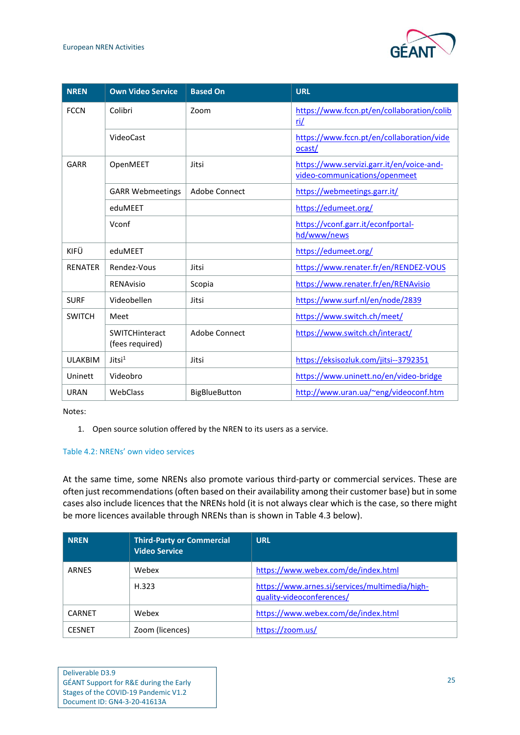

| <b>NREN</b>    | <b>Own Video Service</b>          | <b>Based On</b>      | <b>URL</b>                                                                 |
|----------------|-----------------------------------|----------------------|----------------------------------------------------------------------------|
| <b>FCCN</b>    | Colibri                           | Zoom                 | https://www.fccn.pt/en/collaboration/colib<br>ri/                          |
|                | VideoCast                         |                      | https://www.fccn.pt/en/collaboration/vide<br>ocast/                        |
| GARR           | OpenMEET                          | Jitsi                | https://www.servizi.garr.it/en/voice-and-<br>video-communications/openmeet |
|                | <b>GARR Webmeetings</b>           | Adobe Connect        | https://webmeetings.garr.it/                                               |
|                | eduMEET                           |                      | https://edumeet.org/                                                       |
|                | Vconf                             |                      | https://vconf.garr.it/econfportal-<br>hd/www/news                          |
| KIFÜ           | eduMEET                           |                      | https://edumeet.org/                                                       |
| <b>RENATER</b> | Rendez-Vous                       | Jitsi                | https://www.renater.fr/en/RENDEZ-VOUS                                      |
|                | RENAvisio                         | Scopia               | https://www.renater.fr/en/RENAvisio                                        |
| <b>SURF</b>    | Videobellen                       | Jitsi                | https://www.surf.nl/en/node/2839                                           |
| <b>SWITCH</b>  | Meet                              |                      | https://www.switch.ch/meet/                                                |
|                | SWITCHinteract<br>(fees required) | Adobe Connect        | https://www.switch.ch/interact/                                            |
| <b>ULAKBIM</b> | Jitsi <sup>1</sup>                | Jitsi                | https://eksisozluk.com/jitsi--3792351                                      |
| Uninett        | Videobro                          |                      | https://www.uninett.no/en/video-bridge                                     |
| <b>URAN</b>    | WebClass                          | <b>BigBlueButton</b> | http://www.uran.ua/~eng/videoconf.htm                                      |

Notes:

1. Open source solution offered by the NREN to its users as a service.

#### <span id="page-28-0"></span>Table 4.2: NRENs' own video services

At the same time, some NRENs also promote various third-party or commercial services. These are often just recommendations (often based on their availability among their customer base) but in some cases also include licences that the NRENs hold (it is not always clear which is the case, so there might be more licences available through NRENs than is shown in [Table 4.3](#page-29-1) below).

| <b>NREN</b>   | <b>Third-Party or Commercial</b><br><b>Video Service</b> | <b>URL</b>                                                                  |
|---------------|----------------------------------------------------------|-----------------------------------------------------------------------------|
| <b>ARNES</b>  | Webex                                                    | https://www.webex.com/de/index.html                                         |
|               | H.323                                                    | https://www.arnes.si/services/multimedia/high-<br>quality-videoconferences/ |
| <b>CARNET</b> | Webex                                                    | https://www.webex.com/de/index.html                                         |
| <b>CESNET</b> | Zoom (licences)                                          | https://zoom.us/                                                            |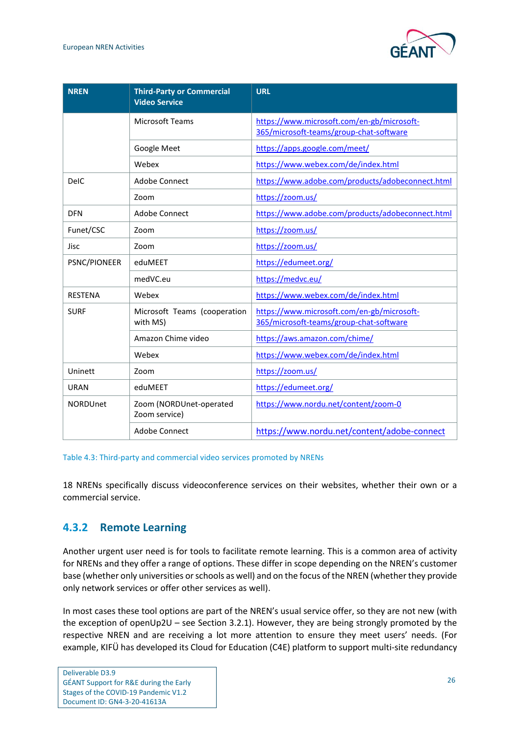

| <b>NREN</b>     | <b>Third-Party or Commercial</b><br><b>Video Service</b> | <b>URL</b>                                                                            |
|-----------------|----------------------------------------------------------|---------------------------------------------------------------------------------------|
|                 | <b>Microsoft Teams</b>                                   | https://www.microsoft.com/en-gb/microsoft-<br>365/microsoft-teams/group-chat-software |
|                 | Google Meet                                              | https://apps.google.com/meet/                                                         |
|                 | Webex                                                    | https://www.webex.com/de/index.html                                                   |
| <b>DelC</b>     | Adobe Connect                                            | https://www.adobe.com/products/adobeconnect.html                                      |
|                 | Zoom                                                     | https://zoom.us/                                                                      |
| <b>DFN</b>      | Adobe Connect                                            | https://www.adobe.com/products/adobeconnect.html                                      |
| Funet/CSC       | Zoom                                                     | https://zoom.us/                                                                      |
| Jisc            | Zoom                                                     | https://zoom.us/                                                                      |
| PSNC/PIONEER    | eduMEET                                                  | https://edumeet.org/                                                                  |
|                 | medVC.eu                                                 | https://medvc.eu/                                                                     |
| <b>RESTENA</b>  | Webex                                                    | https://www.webex.com/de/index.html                                                   |
| <b>SURF</b>     | Microsoft Teams (cooperation<br>with MS)                 | https://www.microsoft.com/en-gb/microsoft-<br>365/microsoft-teams/group-chat-software |
|                 | Amazon Chime video                                       | https://aws.amazon.com/chime/                                                         |
|                 | Webex                                                    | https://www.webex.com/de/index.html                                                   |
| Uninett         | Zoom                                                     | https://zoom.us/                                                                      |
| <b>URAN</b>     | eduMEET                                                  | https://edumeet.org/                                                                  |
| <b>NORDUnet</b> | Zoom (NORDUnet-operated<br>Zoom service)                 | https://www.nordu.net/content/zoom-0                                                  |
|                 | Adobe Connect                                            | https://www.nordu.net/content/adobe-connect                                           |

#### <span id="page-29-1"></span>Table 4.3: Third-party and commercial video services promoted by NRENs

18 NRENs specifically discuss videoconference services on their websites, whether their own or a commercial service.

#### <span id="page-29-0"></span>**4.3.2 Remote Learning**

Another urgent user need is for tools to facilitate remote learning. This is a common area of activity for NRENs and they offer a range of options. These differ in scope depending on the NREN's customer base (whether only universities or schools as well) and on the focus of the NREN (whether they provide only network services or offer other services as well).

In most cases these tool options are part of the NREN's usual service offer, so they are not new (with the exception of openUp2U – see Section [3.2.1\)](#page-15-3). However, they are being strongly promoted by the respective NREN and are receiving a lot more attention to ensure they meet users' needs. (For example, KIFÜ has developed its Cloud for Education (C4E) platform to support multi-site redundancy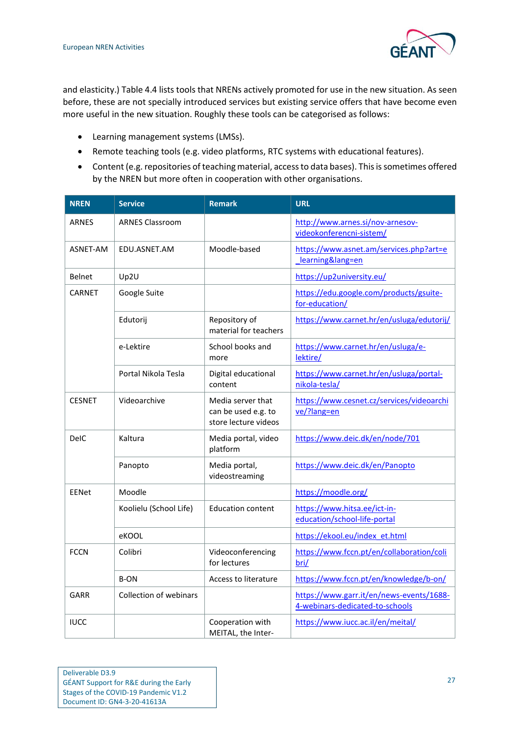

and elasticity.) [Table 4.4](#page-31-0) lists tools that NRENs actively promoted for use in the new situation. As seen before, these are not specially introduced services but existing service offers that have become even more useful in the new situation. Roughly these tools can be categorised as follows:

- Learning management systems (LMSs).
- Remote teaching tools (e.g. video platforms, RTC systems with educational features).
- Content (e.g. repositories of teaching material, access to data bases). This is sometimes offered by the NREN but more often in cooperation with other organisations.

| <b>NREN</b>   | <b>Service</b>         | <b>Remark</b>                                                    | <b>URL</b>                                                                  |
|---------------|------------------------|------------------------------------------------------------------|-----------------------------------------------------------------------------|
| <b>ARNES</b>  | <b>ARNES Classroom</b> |                                                                  | http://www.arnes.si/nov-arnesov-<br>videokonferencni-sistem/                |
| ASNET-AM      | EDU.ASNET.AM           | Moodle-based                                                     | https://www.asnet.am/services.php?art=e<br>learning⟨=en                     |
| <b>Belnet</b> | Up2U                   |                                                                  | https://up2university.eu/                                                   |
| CARNET        | Google Suite           |                                                                  | https://edu.google.com/products/gsuite-<br>for-education/                   |
|               | Edutorij               | Repository of<br>material for teachers                           | https://www.carnet.hr/en/usluga/edutorij/                                   |
|               | e-Lektire              | School books and<br>more                                         | https://www.carnet.hr/en/usluga/e-<br>lektire/                              |
|               | Portal Nikola Tesla    | Digital educational<br>content                                   | https://www.carnet.hr/en/usluga/portal-<br>nikola-tesla/                    |
| <b>CESNET</b> | Videoarchive           | Media server that<br>can be used e.g. to<br>store lecture videos | https://www.cesnet.cz/services/videoarchi<br>ve/?lang=en                    |
| <b>DelC</b>   | Kaltura                | Media portal, video<br>platform                                  | https://www.deic.dk/en/node/701                                             |
|               | Panopto                | Media portal,<br>videostreaming                                  | https://www.deic.dk/en/Panopto                                              |
| <b>EENet</b>  | Moodle                 |                                                                  | https://moodle.org/                                                         |
|               | Koolielu (School Life) | <b>Education content</b>                                         | https://www.hitsa.ee/ict-in-<br>education/school-life-portal                |
|               | eKOOL                  |                                                                  | https://ekool.eu/index_et.html                                              |
| <b>FCCN</b>   | Colibri                | Videoconferencing<br>for lectures                                | https://www.fccn.pt/en/collaboration/coli<br>bri/                           |
|               | B-ON                   | Access to literature                                             | https://www.fccn.pt/en/knowledge/b-on/                                      |
| GARR          | Collection of webinars |                                                                  | https://www.garr.it/en/news-events/1688-<br>4-webinars-dedicated-to-schools |
| <b>IUCC</b>   |                        | Cooperation with<br>MEITAL, the Inter-                           | https://www.iucc.ac.il/en/meital/                                           |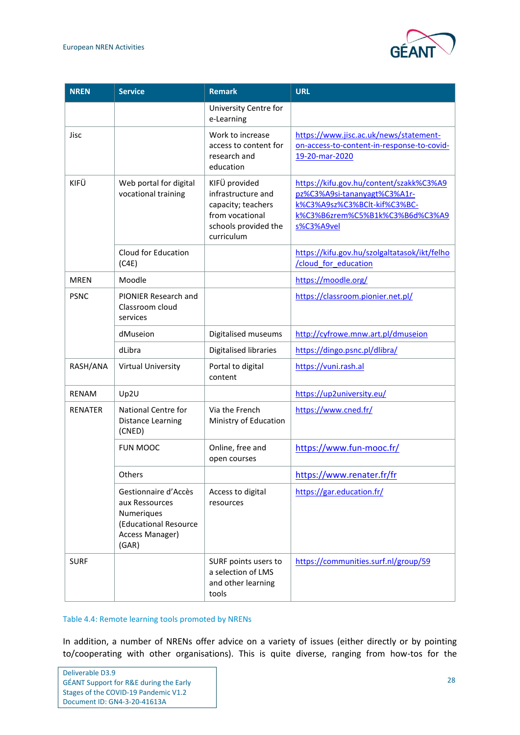

| <b>NREN</b>    | <b>Service</b>                                                                                            | <b>Remark</b>                                                                                                      | <b>URL</b>                                                                                                                                               |
|----------------|-----------------------------------------------------------------------------------------------------------|--------------------------------------------------------------------------------------------------------------------|----------------------------------------------------------------------------------------------------------------------------------------------------------|
|                |                                                                                                           | University Centre for<br>e-Learning                                                                                |                                                                                                                                                          |
| Jisc           |                                                                                                           | Work to increase<br>access to content for<br>research and<br>education                                             | https://www.jisc.ac.uk/news/statement-<br>on-access-to-content-in-response-to-covid-<br>19-20-mar-2020                                                   |
| KIFÜ           | Web portal for digital<br>vocational training                                                             | KIFÜ provided<br>infrastructure and<br>capacity; teachers<br>from vocational<br>schools provided the<br>curriculum | https://kifu.gov.hu/content/szakk%C3%A9<br>pz%C3%A9si-tananyagt%C3%A1r-<br>k%C3%A9sz%C3%BClt-kif%C3%BC-<br>k%C3%B6zrem%C5%B1k%C3%B6d%C3%A9<br>s%C3%A9vel |
|                | Cloud for Education<br>(C4E)                                                                              |                                                                                                                    | https://kifu.gov.hu/szolgaltatasok/ikt/felho<br>/cloud for education                                                                                     |
| <b>MREN</b>    | Moodle                                                                                                    |                                                                                                                    | https://moodle.org/                                                                                                                                      |
| <b>PSNC</b>    | <b>PIONIER Research and</b><br>Classroom cloud<br>services                                                |                                                                                                                    | https://classroom.pionier.net.pl/                                                                                                                        |
|                | dMuseion                                                                                                  | Digitalised museums                                                                                                | http://cyfrowe.mnw.art.pl/dmuseion                                                                                                                       |
|                | dLibra                                                                                                    | Digitalised libraries                                                                                              | https://dingo.psnc.pl/dlibra/                                                                                                                            |
| RASH/ANA       | <b>Virtual University</b>                                                                                 | Portal to digital<br>content                                                                                       | https://vuni.rash.al                                                                                                                                     |
| <b>RENAM</b>   | Up2U                                                                                                      |                                                                                                                    | https://up2university.eu/                                                                                                                                |
| <b>RENATER</b> | National Centre for<br><b>Distance Learning</b><br>(CNED)                                                 | Via the French<br>Ministry of Education                                                                            | https://www.cned.fr/                                                                                                                                     |
|                | FUN MOOC                                                                                                  | Online, free and<br>open courses                                                                                   | https://www.fun-mooc.fr/                                                                                                                                 |
|                | Others                                                                                                    |                                                                                                                    | https://www.renater.fr/fr                                                                                                                                |
|                | Gestionnaire d'Accès<br>aux Ressources<br>Numeriques<br>(Educational Resource<br>Access Manager)<br>(GAR) | Access to digital<br>resources                                                                                     | https://gar.education.fr/                                                                                                                                |
| <b>SURF</b>    |                                                                                                           | SURF points users to<br>a selection of LMS<br>and other learning<br>tools                                          | https://communities.surf.nl/group/59                                                                                                                     |

#### <span id="page-31-0"></span>Table 4.4: Remote learning tools promoted by NRENs

In addition, a number of NRENs offer advice on a variety of issues (either directly or by pointing to/cooperating with other organisations). This is quite diverse, ranging from how-tos for the

| Deliverable D3.9                                  |
|---------------------------------------------------|
| <b>GÉANT Support for R&amp;E during the Early</b> |
| Stages of the COVID-19 Pandemic V1.2              |
| Document ID: GN4-3-20-41613A                      |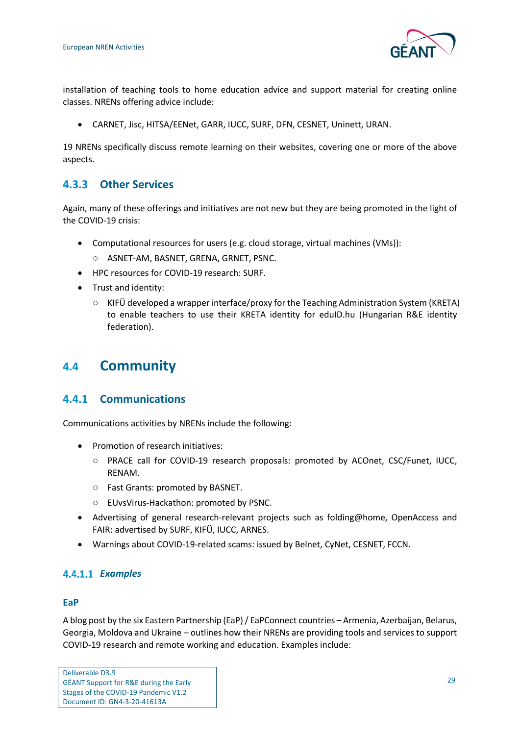

installation of teaching tools to home education advice and support material for creating online classes. NRENs offering advice include:

• CARNET, Jisc, HITSA/EENet, GARR, IUCC, SURF, DFN, CESNET, Uninett, URAN.

19 NRENs specifically discuss remote learning on their websites, covering one or more of the above aspects.

### <span id="page-32-0"></span>**4.3.3 Other Services**

Again, many of these offerings and initiatives are not new but they are being promoted in the light of the COVID-19 crisis:

- Computational resources for users (e.g. cloud storage, virtual machines (VMs)): ○ ASNET-AM, BASNET, GRENA, GRNET, PSNC.
- HPC resources for COVID-19 research: SURF.
- Trust and identity:
	- KIFÜ developed a wrapper interface/proxy for the Teaching Administration System (KRETA) to enable teachers to use their KRETA identity for eduID.hu (Hungarian R&E identity federation).

## <span id="page-32-1"></span>**4.4 Community**

#### <span id="page-32-2"></span>**4.4.1 Communications**

Communications activities by NRENs include the following:

- Promotion of research initiatives:
	- PRACE call for COVID-19 research proposals: promoted by ACOnet, CSC/Funet, IUCC, RENAM.
	- Fast Grants: promoted by BASNET.
	- EUvsVirus-Hackathon: promoted by PSNC.
- Advertising of general research-relevant projects such as folding@home, OpenAccess and FAIR: advertised by SURF, KIFÜ, IUCC, ARNES.
- Warnings about COVID-19-related scams: issued by Belnet, CyNet, CESNET, FCCN.

#### *Examples*

#### **EaP**

A blog post by the six Eastern Partnership (EaP) / EaPConnect countries – Armenia, Azerbaijan, Belarus, Georgia, Moldova and Ukraine – outlines how their NRENs are providing tools and services to support COVID-19 research and remote working and education. Examples include: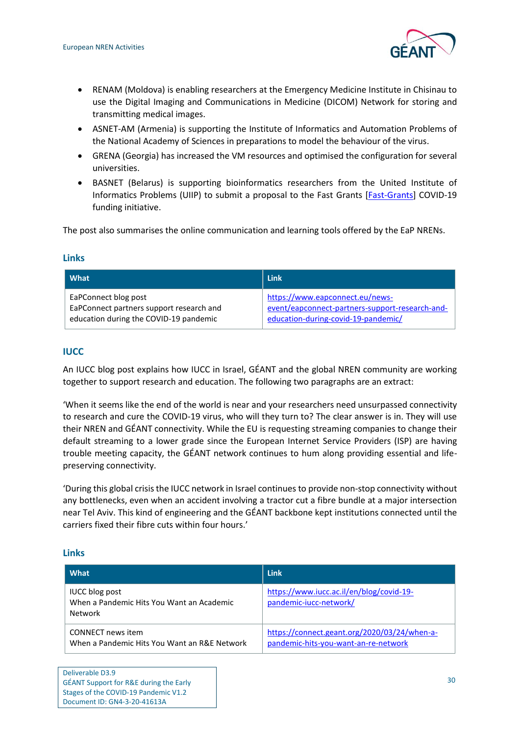

- RENAM (Moldova) is enabling researchers at the Emergency Medicine Institute in Chisinau to use the Digital Imaging and Communications in Medicine (DICOM) Network for storing and transmitting medical images.
- ASNET-AM (Armenia) is supporting the Institute of Informatics and Automation Problems of the National Academy of Sciences in preparations to model the behaviour of the virus.
- GRENA (Georgia) has increased the VM resources and optimised the configuration for several universities.
- BASNET (Belarus) is supporting bioinformatics researchers from the United Institute of Informatics Problems (UIIP) to submit a proposal to the Fast Grants [\[Fast-Grants\]](#page-62-13) COVID-19 funding initiative.

The post also summarises the online communication and learning tools offered by the EaP NRENs.

#### **Links**

| What                                     | <b>Link</b>                                     |
|------------------------------------------|-------------------------------------------------|
| EaPConnect blog post                     | https://www.eapconnect.eu/news-                 |
| EaPConnect partners support research and | event/eapconnect-partners-support-research-and- |
| education during the COVID-19 pandemic   | education-during-covid-19-pandemic/             |

#### **IUCC**

An IUCC blog post explains how IUCC in Israel, GÉANT and the global NREN community are working together to support research and education. The following two paragraphs are an extract:

'When it seems like the end of the world is near and your researchers need unsurpassed connectivity to research and cure the COVID-19 virus, who will they turn to? The clear answer is in. They will use their NREN and GÉANT connectivity. While the EU is requesting streaming companies to change their default streaming to a lower grade since the European Internet Service Providers (ISP) are having trouble meeting capacity, the GÉANT network continues to hum along providing essential and lifepreserving connectivity.

'During this global crisis the IUCC network in Israel continues to provide non-stop connectivity without any bottlenecks, even when an accident involving a tractor cut a fibre bundle at a major intersection near Tel Aviv. This kind of engineering and the GÉANT backbone kept institutions connected until the carriers fixed their fibre cuts within four hours.'

#### **Links**

| What                                                                          | Link                                                                                 |
|-------------------------------------------------------------------------------|--------------------------------------------------------------------------------------|
| <b>IUCC blog post</b><br>When a Pandemic Hits You Want an Academic<br>Network | https://www.iucc.ac.il/en/blog/covid-19-<br>pandemic-iucc-network/                   |
| CONNECT news item<br>When a Pandemic Hits You Want an R&E Network             | https://connect.geant.org/2020/03/24/when-a-<br>pandemic-hits-you-want-an-re-network |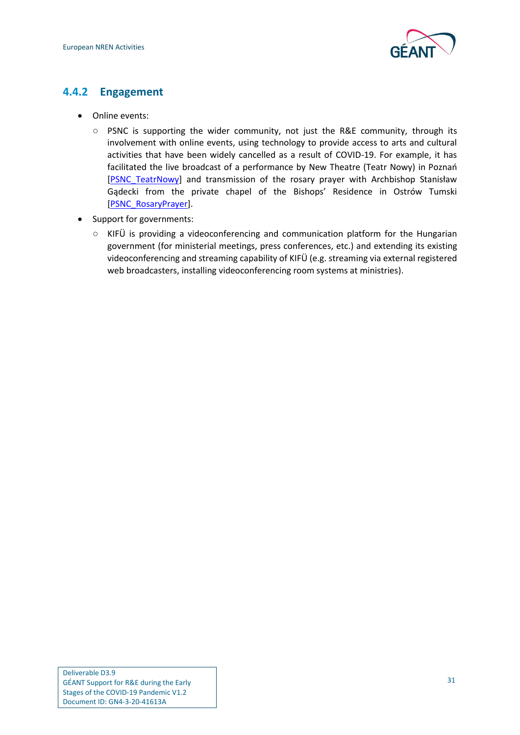

### <span id="page-34-0"></span>**4.4.2 Engagement**

- Online events:
	- PSNC is supporting the wider community, not just the R&E community, through its involvement with online events, using technology to provide access to arts and cultural activities that have been widely cancelled as a result of COVID-19. For example, it has facilitated the live broadcast of a performance by New Theatre (Teatr Nowy) in Poznań [\[PSNC\\_TeatrNowy\]](#page-63-9) and transmission of the rosary prayer with Archbishop Stanisław Gądecki from the private chapel of the Bishops' Residence in Ostrów Tumski [\[PSNC\\_RosaryPrayer\]](#page-63-10).
- Support for governments:
	- KIFÜ is providing a videoconferencing and communication platform for the Hungarian government (for ministerial meetings, press conferences, etc.) and extending its existing videoconferencing and streaming capability of KIFÜ (e.g. streaming via external registered web broadcasters, installing videoconferencing room systems at ministries).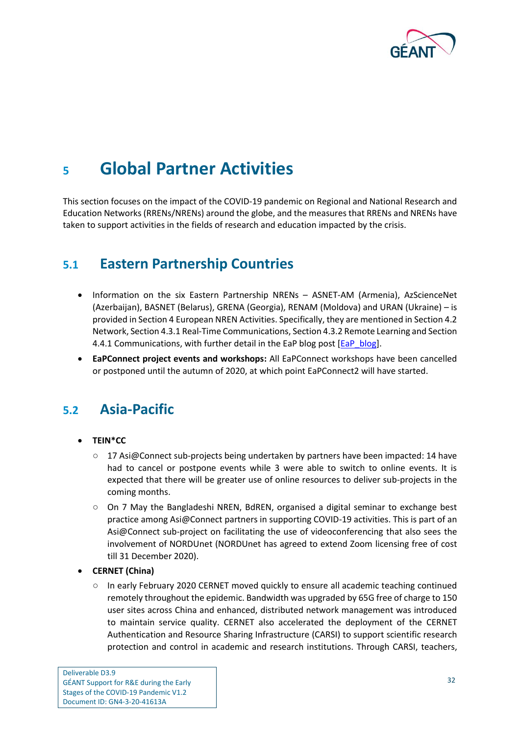

## <span id="page-35-0"></span>**<sup>5</sup> Global Partner Activities**

This section focuses on the impact of the COVID-19 pandemic on Regional and National Research and Education Networks (RRENs/NRENs) around the globe, and the measures that RRENs and NRENs have taken to support activities in the fields of research and education impacted by the crisis.

## <span id="page-35-1"></span>**5.1 Eastern Partnership Countries**

- Information on the six Eastern Partnership NRENs ASNET-AM (Armenia), AzScienceNet (Azerbaijan), BASNET (Belarus), GRENA (Georgia), RENAM (Moldova) and URAN (Ukraine) – is provided in Sectio[n 4](#page-25-0) [European NREN](#page-25-0) Activities. Specifically, they are mentioned in Sectio[n 4.2](#page-26-0) [Network,](#page-26-0) Sectio[n 4.3.1](#page-27-1) Real-Time [Communications,](#page-27-1) Sectio[n 4.3.2](#page-29-0) [Remote Learning](#page-29-0) and Section [4.4.1](#page-32-2) [Communications,](#page-32-2) with further detail in the EaP blog post [\[EaP\\_blog\]](#page-61-11).
- **EaPConnect project events and workshops:** All EaPConnect workshops have been cancelled or postponed until the autumn of 2020, at which point EaPConnect2 will have started.

## <span id="page-35-2"></span>**5.2 Asia-Pacific**

#### • **TEIN\*CC**

- 17 Asi@Connect sub-projects being undertaken by partners have been impacted: 14 have had to cancel or postpone events while 3 were able to switch to online events. It is expected that there will be greater use of online resources to deliver sub-projects in the coming months.
- On 7 May the Bangladeshi NREN, BdREN, organised a digital seminar to exchange best practice among Asi@Connect partners in supporting COVID-19 activities. This is part of an Asi@Connect sub-project on facilitating the use of videoconferencing that also sees the involvement of NORDUnet (NORDUnet has agreed to extend Zoom licensing free of cost till 31 December 2020).
- **CERNET (China)**
	- In early February 2020 CERNET moved quickly to ensure all academic teaching continued remotely throughout the epidemic. Bandwidth was upgraded by 65G free of charge to 150 user sites across China and enhanced, distributed network management was introduced to maintain service quality. CERNET also accelerated the deployment of the CERNET Authentication and Resource Sharing Infrastructure (CARSI) to support scientific research protection and control in academic and research institutions. Through CARSI, teachers,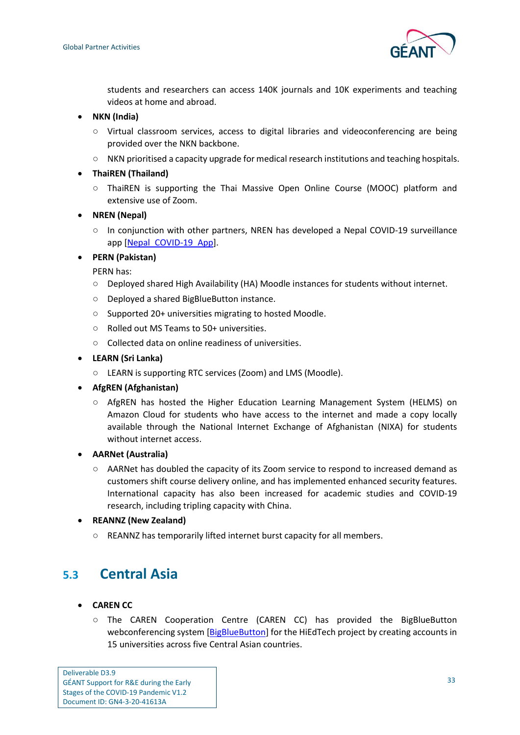

students and researchers can access 140K journals and 10K experiments and teaching videos at home and abroad.

- **NKN (India)**
	- Virtual classroom services, access to digital libraries and videoconferencing are being provided over the NKN backbone.
	- NKN prioritised a capacity upgrade for medical research institutions and teaching hospitals.
- **ThaiREN (Thailand)**
	- ThaiREN is supporting the Thai Massive Open Online Course (MOOC) platform and extensive use of Zoom.
- **NREN (Nepal)**
	- In conjunction with other partners, NREN has developed a Nepal COVID-19 surveillance app [\[Nepal\\_COVID-19\\_App\]](#page-62-14).
- **PERN (Pakistan)**

PERN has:

- Deployed shared High Availability (HA) Moodle instances for students without internet.
- Deployed a shared BigBlueButton instance.
- Supported 20+ universities migrating to hosted Moodle.
- Rolled out MS Teams to 50+ universities.
- Collected data on online readiness of universities.
- **LEARN (Sri Lanka)**
	- LEARN is supporting RTC services (Zoom) and LMS (Moodle).
- **AfgREN (Afghanistan)**
	- AfgREN has hosted the Higher Education Learning Management System (HELMS) on Amazon Cloud for students who have access to the internet and made a copy locally available through the National Internet Exchange of Afghanistan (NIXA) for students without internet access.
- **AARNet (Australia)**
	- AARNet has doubled the capacity of its Zoom service to respond to increased demand as customers shift course delivery online, and has implemented enhanced security features. International capacity has also been increased for academic studies and COVID-19 research, including tripling capacity with China.
- **REANNZ (New Zealand)**
	- REANNZ has temporarily lifted internet burst capacity for all members.

## <span id="page-36-0"></span>**5.3 Central Asia**

- **CAREN CC**
	- The CAREN Cooperation Centre (CAREN CC) has provided the BigBlueButton webconferencing system [\[BigBlueButton\]](#page-61-12) for the HiEdTech project by creating accounts in 15 universities across five Central Asian countries.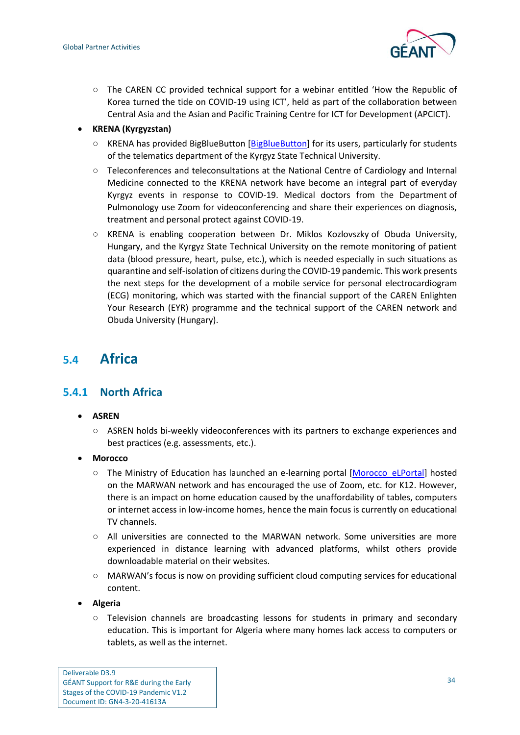

○ The CAREN CC provided technical support for a webinar entitled 'How the Republic of Korea turned the tide on COVID-19 using ICT', held as part of the collaboration between Central Asia and the Asian and Pacific Training Centre for ICT for Development (APCICT).

#### • **KRENA (Kyrgyzstan)**

- KRENA has provided BigBlueButton [\[BigBlueButton\]](#page-61-12) for its users, particularly for students of the telematics department of the Kyrgyz State Technical University.
- Teleconferences and teleconsultations at the National Centre of Cardiology and Internal Medicine connected to the KRENA network have become an integral part of everyday Kyrgyz events in response to COVID-19. Medical doctors from the Department of Pulmonology use Zoom for videoconferencing and share their experiences on diagnosis, treatment and personal protect against COVID-19.
- KRENA is enabling cooperation between Dr. Miklos Kozlovszky of Obuda University, Hungary, and the Kyrgyz State Technical University on the remote monitoring of patient data (blood pressure, heart, pulse, etc.), which is needed especially in such situations as quarantine and self-isolation of citizens during the COVID-19 pandemic. This work presents the next steps for the development of a mobile service for personal electrocardiogram (ECG) monitoring, which was started with the financial support of the CAREN Enlighten Your Research (EYR) programme and the technical support of the CAREN network and Obuda University (Hungary).

## <span id="page-37-0"></span>**5.4 Africa**

### <span id="page-37-1"></span>**5.4.1 North Africa**

- **ASREN**
	- ASREN holds bi-weekly videoconferences with its partners to exchange experiences and best practices (e.g. assessments, etc.).
- **Morocco**
	- The Ministry of Education has launched an e-learning portal [\[Morocco\\_eLPortal\]](#page-62-15) hosted on the MARWAN network and has encouraged the use of Zoom, etc. for K12. However, there is an impact on home education caused by the unaffordability of tables, computers or internet access in low-income homes, hence the main focus is currently on educational TV channels.
	- $\circ$  All universities are connected to the MARWAN network. Some universities are more experienced in distance learning with advanced platforms, whilst others provide downloadable material on their websites.
	- MARWAN's focus is now on providing sufficient cloud computing services for educational content.
- **Algeria**
	- Television channels are broadcasting lessons for students in primary and secondary education. This is important for Algeria where many homes lack access to computers or tablets, as well as the internet.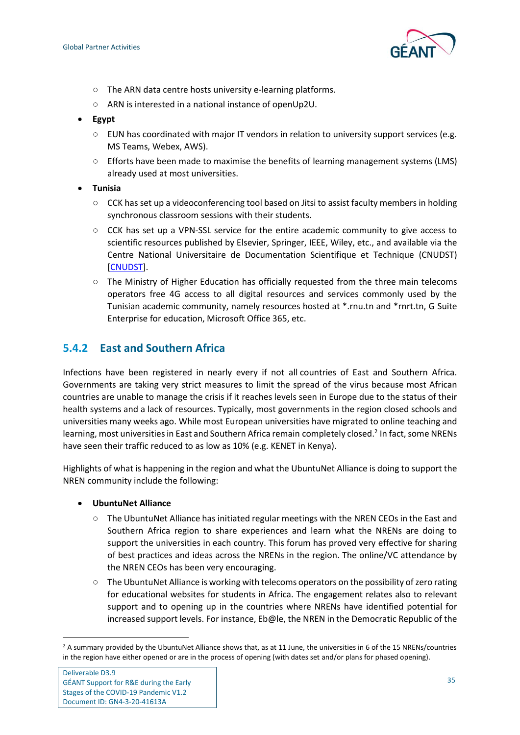

- The ARN data centre hosts university e-learning platforms.
- ARN is interested in a national instance of openUp2U.
- **Egypt**
	- $\circ$  EUN has coordinated with major IT vendors in relation to university support services (e.g. MS Teams, Webex, AWS).
	- Efforts have been made to maximise the benefits of learning management systems (LMS) already used at most universities.
- **Tunisia**
	- CCK has set up a videoconferencing tool based on Jitsi to assist faculty members in holding synchronous classroom sessions with their students.
	- CCK has set up a VPN-SSL service for the entire academic community to give access to scientific resources published by Elsevier, Springer, IEEE, Wiley, etc., and available via the Centre National Universitaire de Documentation Scientifique et Technique (CNUDST) [\[CNUDST\]](#page-61-13).
	- The Ministry of Higher Education has officially requested from the three main telecoms operators free 4G access to all digital resources and services commonly used by the Tunisian academic community, namely resources hosted at \*.rnu.tn and \*rnrt.tn, G Suite Enterprise for education, Microsoft Office 365, etc.

#### <span id="page-38-0"></span>**5.4.2 East and Southern Africa**

Infections have been registered in nearly every if not all countries of East and Southern Africa. Governments are taking very strict measures to limit the spread of the virus because most African countries are unable to manage the crisis if it reaches levels seen in Europe due to the status of their health systems and a lack of resources. Typically, most governments in the region closed schools and universities many weeks ago. While most European universities have migrated to online teaching and learning, most universities in East and Southern Africa remain completely closed.<sup>2</sup> In fact, some NRENs have seen their traffic reduced to as low as 10% (e.g. KENET in Kenya).

Highlights of what is happening in the region and what the UbuntuNet Alliance is doing to support the NREN community include the following:

- **UbuntuNet Alliance**
	- The UbuntuNet Alliance has initiated regular meetings with the NREN CEOs in the East and Southern Africa region to share experiences and learn what the NRENs are doing to support the universities in each country. This forum has proved very effective for sharing of best practices and ideas across the NRENs in the region. The online/VC attendance by the NREN CEOs has been very encouraging.
	- The UbuntuNet Alliance is working with telecoms operators on the possibility of zero rating for educational websites for students in Africa. The engagement relates also to relevant support and to opening up in the countries where NRENs have identified potential for increased support levels. For instance, Eb@le, the NREN in the Democratic Republic of the

<sup>&</sup>lt;sup>2</sup> A summary provided by the UbuntuNet Alliance shows that, as at 11 June, the universities in 6 of the 15 NRENs/countries in the region have either opened or are in the process of opening (with dates set and/or plans for phased opening).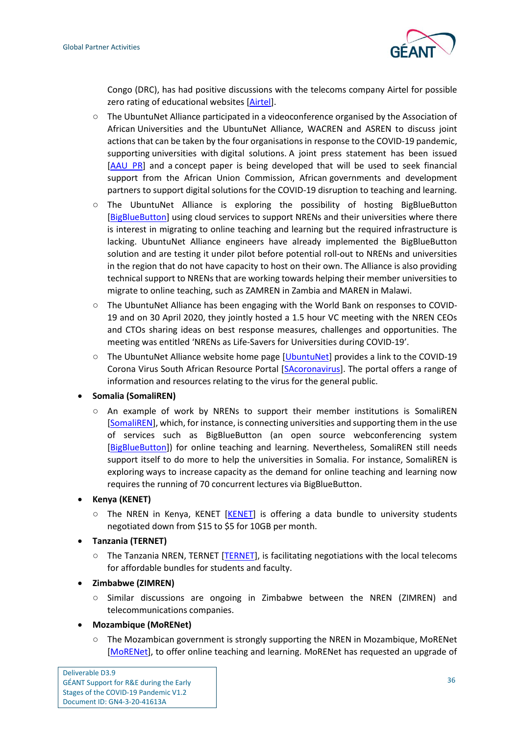

Congo (DRC), has had positive discussions with the telecoms company Airtel for possible zero rating of educational websites [\[Airtel\]](#page-61-14).

- The UbuntuNet Alliance participated in a videoconference organised by the Association of African Universities and the UbuntuNet Alliance, WACREN and ASREN to discuss joint actions that can be taken by the four organisations in response to the COVID-19 pandemic, supporting universities with digital solutions. A joint press statement has been issued [\[AAU\\_PR\]](#page-61-15) and a concept paper is being developed that will be used to seek financial support from the African Union Commission, African governments and development partners to support digital solutions for the COVID-19 disruption to teaching and learning.
- The UbuntuNet Alliance is exploring the possibility of hosting BigBlueButton [\[BigBlueButton\]](#page-61-12) using cloud services to support NRENs and their universities where there is interest in migrating to online teaching and learning but the required infrastructure is lacking. UbuntuNet Alliance engineers have already implemented the BigBlueButton solution and are testing it under pilot before potential roll-out to NRENs and universities in the region that do not have capacity to host on their own. The Alliance is also providing technical support to NRENs that are working towards helping their member universities to migrate to online teaching, such as ZAMREN in Zambia and MAREN in Malawi.
- The UbuntuNet Alliance has been engaging with the World Bank on responses to COVID-19 and on 30 April 2020, they jointly hosted a 1.5 hour VC meeting with the NREN CEOs and CTOs sharing ideas on best response measures, challenges and opportunities. The meeting was entitled 'NRENs as Life-Savers for Universities during COVID-19'.
- The UbuntuNet Alliance website home page [\[UbuntuNet\]](#page-63-11) provides a link to the COVID-19 Corona Virus South African Resource Portal [\[SAcoronavirus\]](#page-63-12). The portal offers a range of information and resources relating to the virus for the general public.

#### • **Somalia (SomaliREN)**

An example of work by NRENs to support their member institutions is [SomaliREN](http://somaliren.org/) [\[SomaliREN\]](#page-63-13), which, for instance, is connecting universities and supporting them in the use of services such as BigBlueButton (an open source webconferencing system [\[BigBlueButton\]](#page-61-12)) for online teaching and learning. Nevertheless, SomaliREN still needs support itself to do more to help the universities in Somalia. For instance, SomaliREN is exploring ways to increase capacity as the demand for online teaching and learning now requires the running of 70 concurrent lectures via BigBlueButton.

#### • **Kenya (KENET)**

- $\circ$  The NREN in Kenya, KENET [\[KENET\]](#page-62-16) is offering a data bundle to university students negotiated down from \$15 to \$5 for 10GB per month.
- **Tanzania (TERNET)**
	- $\circ$  The Tanzania NREN, TERNET [\[TERNET\]](#page-63-14), is facilitating negotiations with the local telecoms for affordable bundles for students and faculty.

#### • **Zimbabwe (ZIMREN)**

○ Similar discussions are ongoing in Zimbabwe between the NREN [\(ZIMREN\)](https://zimren.ac.zw/) and telecommunications companies.

#### • **Mozambique (MoRENet)**

○ The Mozambican government is strongly supporting the NREN in Mozambique, MoRENet [\[MoRENet\]](#page-62-17), to offer online teaching and learning. MoRENet has requested an upgrade of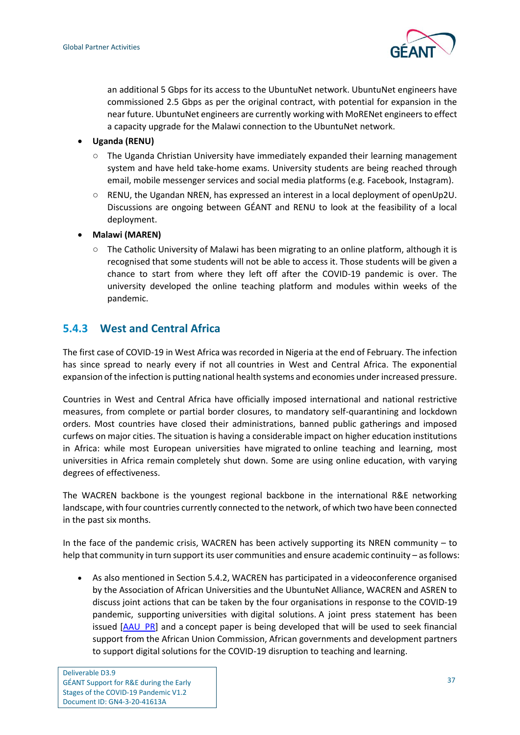

an additional 5 Gbps for its access to the UbuntuNet network. UbuntuNet engineers have commissioned 2.5 Gbps as per the original contract, with potential for expansion in the near future. UbuntuNet engineers are currently working with MoRENet engineers to effect a capacity upgrade for the Malawi connection to the UbuntuNet network.

- **Uganda (RENU)**
	- $\circ$  The Uganda Christian University have immediately expanded their learning management system and have held take-home exams. University students are being reached through email, mobile messenger services and social media platforms (e.g. Facebook, Instagram).
	- RENU, the Ugandan NREN, has expressed an interest in a local deployment of openUp2U. Discussions are ongoing between GÉANT and RENU to look at the feasibility of a local deployment.
- **Malawi (MAREN)**
	- The Catholic University of Malawi has been migrating to an online platform, although it is recognised that some students will not be able to access it. Those students will be given a chance to start from where they left off after the COVID-19 pandemic is over. The university developed the online teaching platform and modules within weeks of the pandemic.

#### <span id="page-40-0"></span>**5.4.3 West and Central Africa**

The first case of COVID-19 in West Africa was recorded in Nigeria at the end of February. The infection has since spread to nearly every if not all countries in West and Central Africa. The exponential expansion of the infection is putting national health systems and economies under increased pressure.

Countries in West and Central Africa have officially imposed international and national restrictive measures, from complete or partial border closures, to mandatory self-quarantining and lockdown orders. Most countries have closed their administrations, banned public gatherings and imposed curfews on major cities. The situation is having a considerable impact on higher education institutions in Africa: while most European universities have migrated to online teaching and learning, most universities in Africa remain completely shut down. Some are using online education, with varying degrees of effectiveness.

The WACREN backbone is the youngest regional backbone in the international R&E networking landscape, with four countries currently connected to the network, of which two have been connected in the past six months.

In the face of the pandemic crisis, WACREN has been actively supporting its NREN community – to help that community in turn support its user communities and ensure academic continuity – as follows:

• As also mentioned in Section [5.4.2,](#page-38-0) WACREN has participated in a videoconference organised by the Association of African Universities and the UbuntuNet Alliance, WACREN and ASREN to discuss joint actions that can be taken by the four organisations in response to the COVID-19 pandemic, supporting universities with digital solutions. A joint press statement has been issued [\[AAU\\_PR\]](#page-61-15) and a concept paper is being developed that will be used to seek financial support from the African Union Commission, African governments and development partners to support digital solutions for the COVID-19 disruption to teaching and learning.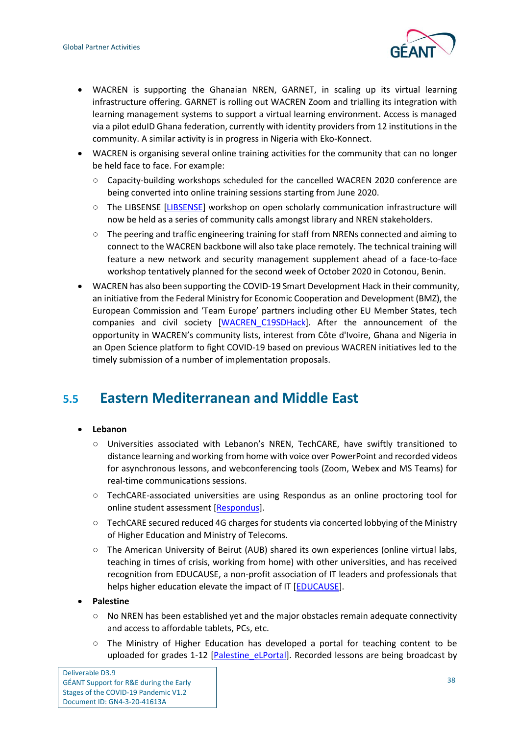

- WACREN is supporting the Ghanaian NREN, GARNET, in scaling up its virtual learning infrastructure offering. GARNET is rolling out WACREN Zoom and trialling its integration with learning management systems to support a virtual learning environment. Access is managed via a pilot eduID Ghana federation, currently with identity providers from 12 institutions in the community. A similar activity is in progress in Nigeria with Eko-Konnect.
- WACREN is organising several online training activities for the community that can no longer be held face to face. For example:
	- Capacity-building workshops scheduled for the cancelled WACREN 2020 conference are being converted into online training sessions starting from June 2020.
	- The LIBSENSE [\[LIBSENSE\]](#page-62-18) workshop on open scholarly communication infrastructure will now be held as a series of community calls amongst library and NREN stakeholders.
	- The peering and traffic engineering training for staff from NRENs connected and aiming to connect to the WACREN backbone will also take place remotely. The technical training will feature a new network and security management supplement ahead of a face-to-face workshop tentatively planned for the second week of October 2020 in Cotonou, Benin.
- WACREN has also been supporting the COVID-19 Smart Development Hack in their community, an initiative from the Federal Ministry for Economic Cooperation and Development (BMZ), the European Commission and 'Team Europe' partners including other EU Member States, tech companies and civil society [\[WACREN\\_C19SDHack\]](#page-63-15). After the announcement of the opportunity in WACREN's community lists, interest from Côte d'Ivoire, Ghana and Nigeria in an Open Science platform to fight COVID-19 based on previous WACREN initiatives led to the timely submission of a number of implementation proposals.

## <span id="page-41-0"></span>**5.5 Eastern Mediterranean and Middle East**

#### • **Lebanon**

- Universities associated with Lebanon's NREN, TechCARE, have swiftly transitioned to distance learning and working from home with voice over PowerPoint and recorded videos for asynchronous lessons, and webconferencing tools (Zoom, Webex and MS Teams) for real-time communications sessions.
- TechCARE-associated universities are using Respondus as an online proctoring tool for online student assessment [\[Respondus\]](#page-63-16).
- TechCARE secured reduced 4G charges for students via concerted lobbying of the Ministry of Higher Education and Ministry of Telecoms.
- The American University of Beirut (AUB) shared its own experiences (online virtual labs, teaching in times of crisis, working from home) with other universities, and has received recognition from EDUCAUSE, a non-profit association of IT leaders and professionals that helps higher education elevate the impact of IT [\[EDUCAUSE\]](#page-61-16).

#### • **Palestine**

- No NREN has been established yet and the major obstacles remain adequate connectivity and access to affordable tablets, PCs, etc.
- The Ministry of Higher Education has developed a portal for teaching content to be uploaded for grades 1-12 [\[Palestine\\_eLPortal\]](#page-63-17). Recorded lessons are being broadcast by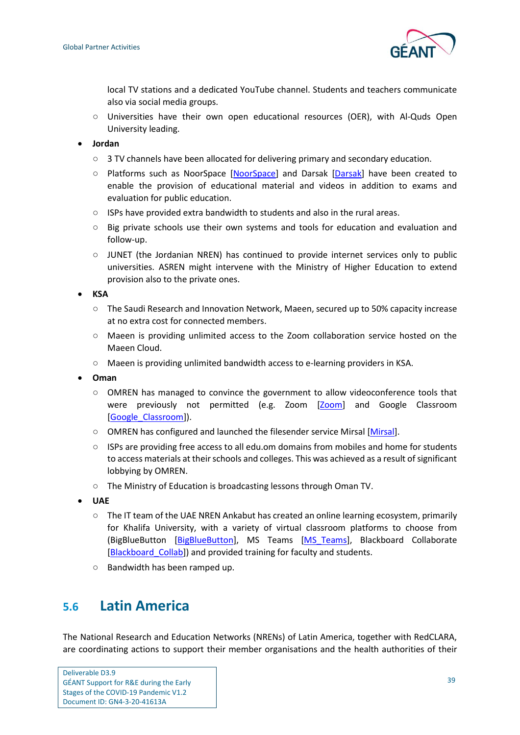

local TV stations and a dedicated YouTube channel. Students and teachers communicate also via social media groups.

- Universities have their own open educational resources (OER), with Al-Quds Open University leading.
- **Jordan**
	- $\circ$  3 TV channels have been allocated for delivering primary and secondary education.
	- Platforms such as NoorSpace [\[NoorSpace\]](#page-62-19) and Darsak [\[Darsak\]](#page-61-17) have been created to enable the provision of educational material and videos in addition to exams and evaluation for public education.
	- ISPs have provided extra bandwidth to students and also in the rural areas.
	- Big private schools use their own systems and tools for education and evaluation and follow-up.
	- JUNET (the Jordanian NREN) has continued to provide internet services only to public universities. ASREN might intervene with the Ministry of Higher Education to extend provision also to the private ones.

• **KSA**

- The Saudi Research and Innovation Network, Maeen, secured up to 50% capacity increase at no extra cost for connected members.
- Maeen is providing unlimited access to the Zoom collaboration service hosted on the Maeen Cloud.
- Maeen is providing unlimited bandwidth access to e-learning providers in KSA.
- **Oman**
	- OMREN has managed to convince the government to allow videoconference tools that were previously not permitted (e.g. Zoom [\[Zoom\]](#page-63-18) and Google Classroom [\[Google\\_Classroom\]](#page-62-20)).
	- OMREN has configured and launched the filesender service Mirsal [\[Mirsal\]](#page-62-21).
	- ISPs are providing free access to all edu.om domains from mobiles and home for students to access materials at their schools and colleges. This was achieved as a result of significant lobbying by OMREN.
	- The Ministry of Education is broadcasting lessons through Oman TV.
- **UAE**
	- The IT team of the UAE NREN Ankabut has created an online learning ecosystem, primarily for Khalifa University, with a variety of virtual classroom platforms to choose from (BigBlueButton [\[BigBlueButton\]](#page-61-12), MS Teams [\[MS\\_Teams\]](#page-62-22), Blackboard Collaborate [Blackboard Collab]) and provided training for faculty and students.
	- Bandwidth has been ramped up.

## <span id="page-42-0"></span>**5.6 Latin America**

The National Research and Education Networks (NRENs) of Latin America, together with RedCLARA, are coordinating actions to support their member organisations and the health authorities of their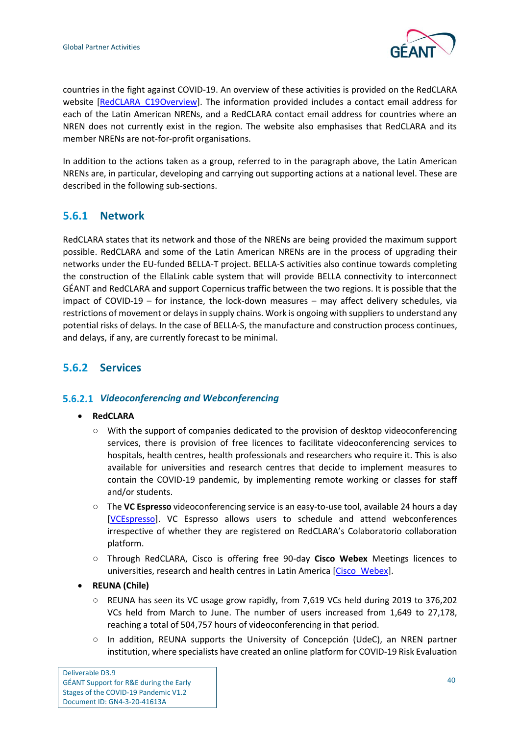

countries in the fight against COVID-19. An overview of these activities is provided on the RedCLARA website [\[RedCLARA\\_C19Overview\]](#page-63-19). The information provided includes a contact email address for each of the Latin American NRENs, and a RedCLARA contact email address for countries where an NREN does not currently exist in the region. The website also emphasises that RedCLARA and its member NRENs are not-for-profit organisations.

In addition to the actions taken as a group, referred to in the paragraph above, the Latin American NRENs are, in particular, developing and carrying out supporting actions at a national level. These are described in the following sub-sections.

### <span id="page-43-0"></span>**5.6.1 Network**

RedCLARA states that its network and those of the NRENs are being provided the maximum support possible. RedCLARA and some of the Latin American NRENs are in the process of upgrading their networks under the EU-funded BELLA-T project. BELLA-S activities also continue towards completing the construction of the EllaLink cable system that will provide BELLA connectivity to interconnect GÉANT and RedCLARA and support Copernicus traffic between the two regions. It is possible that the impact of COVID-19 – for instance, the lock-down measures – may affect delivery schedules, via restrictions of movement or delays in supply chains. Work is ongoing with suppliers to understand any potential risks of delays. In the case of BELLA-S, the manufacture and construction process continues, and delays, if any, are currently forecast to be minimal.

### <span id="page-43-1"></span>**5.6.2 Services**

#### *Videoconferencing and Webconferencing*

- **RedCLARA**
	- With the support of companies dedicated to the provision of desktop videoconferencing services, there is provision of free licences to facilitate videoconferencing services to hospitals, health centres, health professionals and researchers who require it. This is also available for universities and research centres that decide to implement measures to contain the COVID-19 pandemic, by implementing remote working or classes for staff and/or students.
	- The **VC Espresso** videoconferencing service is an easy-to-use tool, available 24 hours a day [\[VCEspresso\]](#page-63-20). VC Espresso allows users to schedule and attend webconferences irrespective of whether they are registered on RedCLARA's Colaboratorio collaboration platform.
	- Through RedCLARA, Cisco is offering free 90-day **Cisco Webex** Meetings licences to universities, research and health centres in Latin America [\[Cisco\\_Webex\]](#page-61-19).
- **REUNA (Chile)**
	- REUNA has seen its VC usage grow rapidly, from 7,619 VCs held during 2019 to 376,202 VCs held from March to June. The number of users increased from 1,649 to 27,178, reaching a total of 504,757 hours of videoconferencing in that period.
	- In addition, REUNA supports the University of Concepción (UdeC), an NREN partner institution, where specialists have created an online platform for COVID-19 Risk Evaluation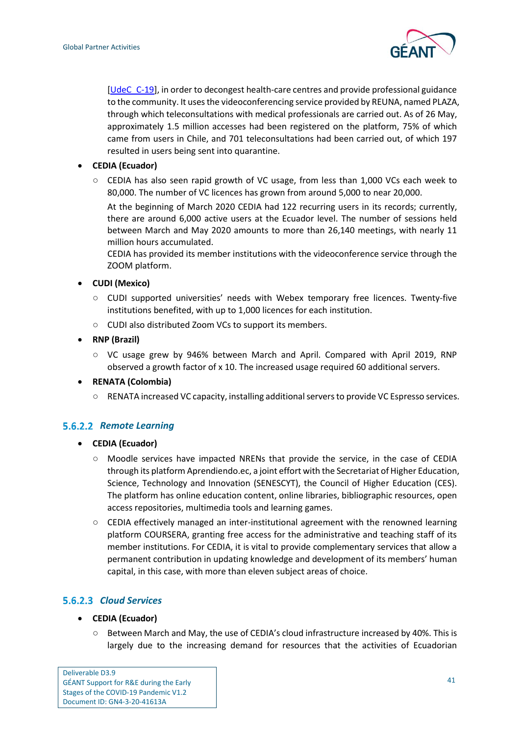

[\[UdeC\\_C-19\]](#page-63-21), in order to decongest health-care centres and provide professional guidance to the community. It uses the videoconferencing service provided by REUNA, named PLAZA, through which teleconsultations with medical professionals are carried out. As of 26 May, approximately 1.5 million accesses had been registered on the platform, 75% of which came from users in Chile, and 701 teleconsultations had been carried out, of which 197 resulted in users being sent into quarantine.

- **CEDIA (Ecuador)**
	- CEDIA has also seen rapid growth of VC usage, from less than 1,000 VCs each week to 80,000. The number of VC licences has grown from around 5,000 to near 20,000.

At the beginning of March 2020 CEDIA had 122 recurring users in its records; currently, there are around 6,000 active users at the Ecuador level. The number of sessions held between March and May 2020 amounts to more than 26,140 meetings, with nearly 11 million hours accumulated.

CEDIA has provided its member institutions with the videoconference service through the ZOOM platform.

#### • **CUDI (Mexico)**

- CUDI supported universities' needs with Webex temporary free licences. Twenty-five institutions benefited, with up to 1,000 licences for each institution.
- CUDI also distributed Zoom VCs to support its members.
- **RNP (Brazil)**
	- VC usage grew by 946% between March and April. Compared with April 2019, RNP observed a growth factor of x 10. The increased usage required 60 additional servers.
- **RENATA (Colombia)**
	- RENATA increased VC capacity, installing additional servers to provide VC Espresso services.

#### **5.6.2.2 Remote Learning**

- **CEDIA (Ecuador)**
	- Moodle services have impacted NRENs that provide the service, in the case of CEDIA through its platform Aprendiendo.ec, a joint effort with the Secretariat of Higher Education, Science, Technology and Innovation (SENESCYT), the Council of Higher Education (CES). The platform has online education content, online libraries, bibliographic resources, open access repositories, multimedia tools and learning games.
	- CEDIA effectively managed an inter-institutional agreement with the renowned learning platform COURSERA, granting free access for the administrative and teaching staff of its member institutions. For CEDIA, it is vital to provide complementary services that allow a permanent contribution in updating knowledge and development of its members' human capital, in this case, with more than eleven subject areas of choice.

#### *Cloud Services*

- **CEDIA (Ecuador)**
	- Between March and May, the use of CEDIA's cloud infrastructure increased by 40%. This is largely due to the increasing demand for resources that the activities of Ecuadorian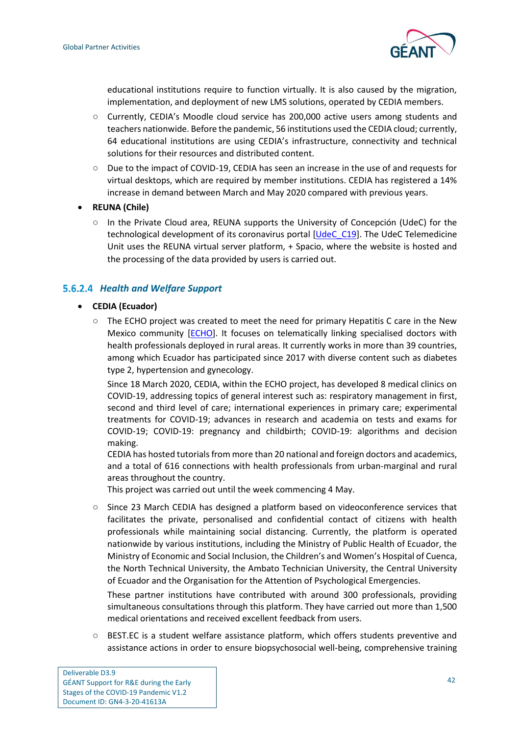

educational institutions require to function virtually. It is also caused by the migration, implementation, and deployment of new LMS solutions, operated by CEDIA members.

- Currently, CEDIA's Moodle cloud service has 200,000 active users among students and teachers nationwide. Before the pandemic, 56 institutions used the CEDIA cloud; currently, 64 educational institutions are using CEDIA's infrastructure, connectivity and technical solutions for their resources and distributed content.
- Due to the impact of COVID-19, CEDIA has seen an increase in the use of and requests for virtual desktops, which are required by member institutions. CEDIA has registered a 14% increase in demand between March and May 2020 compared with previous years.
- **REUNA (Chile)**
	- In the Private Cloud area, REUNA supports the University of Concepción (UdeC) for the technological development of its coronavirus portal [\[UdeC\\_C19\]](#page-63-21). The UdeC Telemedicine Unit uses the REUNA virtual server platform, + Spacio, where the website is hosted and the processing of the data provided by users is carried out.

#### *Health and Welfare Support*

#### • **CEDIA (Ecuador)**

○ The ECHO project was created to meet the need for primary Hepatitis C care in the New Mexico community [\[ECHO\]](#page-61-20). It focuses on telematically linking specialised doctors with health professionals deployed in rural areas. It currently works in more than 39 countries, among which Ecuador has participated since 2017 with diverse content such as diabetes type 2, hypertension and gynecology.

Since 18 March 2020, CEDIA, within the ECHO project, has developed 8 medical clinics on COVID-19, addressing topics of general interest such as: respiratory management in first, second and third level of care; international experiences in primary care; experimental treatments for COVID-19; advances in research and academia on tests and exams for COVID-19; COVID-19: pregnancy and childbirth; COVID-19: algorithms and decision making.

CEDIA has hosted tutorials from more than 20 national and foreign doctors and academics, and a total of 616 connections with health professionals from urban-marginal and rural areas throughout the country.

This project was carried out until the week commencing 4 May.

○ Since 23 March CEDIA has designed a platform based on videoconference services that facilitates the private, personalised and confidential contact of citizens with health professionals while maintaining social distancing. Currently, the platform is operated nationwide by various institutions, including the Ministry of Public Health of Ecuador, the Ministry of Economic and Social Inclusion, the Children's and Women's Hospital of Cuenca, the North Technical University, the Ambato Technician University, the Central University of Ecuador and the Organisation for the Attention of Psychological Emergencies.

These partner institutions have contributed with around 300 professionals, providing simultaneous consultations through this platform. They have carried out more than 1,500 medical orientations and received excellent feedback from users.

○ BEST.EC is a student welfare assistance platform, which offers students preventive and assistance actions in order to ensure biopsychosocial well-being, comprehensive training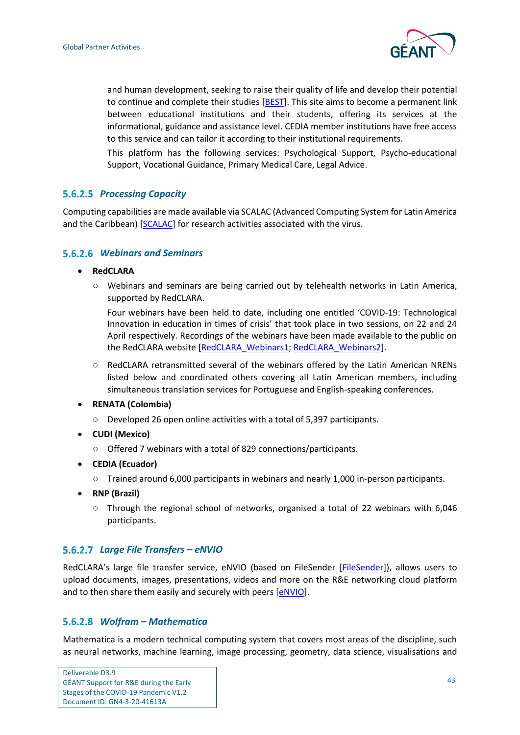

and human development, seeking to raise their quality of life and develop their potential to continue and complete their studies [\[BEST\]](#page-61-21). This site aims to become a permanent link between educational institutions and their students, offering its services at the informational, guidance and assistance level. CEDIA member institutions have free access to this service and can tailor it according to their institutional requirements.

This platform has the following services: Psychological Support, Psycho-educational Support, Vocational Guidance, Primary Medical Care, Legal Advice.

#### *Processing Capacity*

Computing capabilities are made available via SCALAC (Advanced Computing System for Latin America and the Caribbean) [\[SCALAC\]](#page-63-22) for research activities associated with the virus.

#### *Webinars and Seminars*

- **RedCLARA**
	- Webinars and seminars are being carried out by telehealth networks in Latin America, supported by RedCLARA.

Four webinars have been held to date, including one entitled 'COVID-19: Technological Innovation in education in times of crisis' that took place in two sessions, on 22 and 24 April respectively. Recordings of the webinars have been made available to the public on the RedCLARA website [\[RedCLARA\\_Webinars1;](#page-63-23) [RedCLARA\\_Webinars2\]](#page-63-24).

- RedCLARA retransmitted several of the webinars offered by the Latin American NRENs listed below and coordinated others covering all Latin American members, including simultaneous translation services for Portuguese and English-speaking conferences.
- **RENATA (Colombia)**
	- Developed 26 open online activities with a total of 5,397 participants.
- **CUDI (Mexico)**
	- Offered 7 webinars with a total of 829 connections/participants.
- **CEDIA (Ecuador)**
	- Trained around 6,000 participants in webinars and nearly 1,000 in-person participants.
- **RNP (Brazil)**
	- Through the regional school of networks, organised a total of 22 webinars with 6,046 participants.

#### *Large File Transfers – eNVIO*

RedCLARA's large file transfer service, eNVIO (based on FileSender [\[FileSender\]](#page-62-23)), allows users to upload documents, images, presentations, videos and more on the R&E networking cloud platform and to then share them easily and securely with peers [\[eNVIO\]](#page-62-24).

#### *Wolfram – Mathematica*

Mathematica is a modern technical computing system that covers most areas of the discipline, such as neural networks, machine learning, image processing, geometry, data science, visualisations and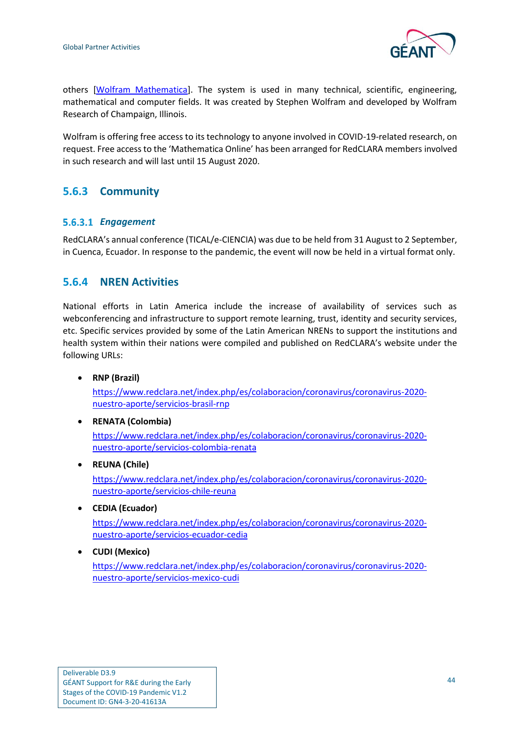

others [\[Wolfram\\_Mathematica\]](#page-63-25). The system is used in many technical, scientific, engineering, mathematical and computer fields. It was created by Stephen Wolfram and developed by Wolfram Research of Champaign, Illinois.

Wolfram is offering free access to its technology to anyone involved in COVID-19-related research, on request. Free access to the 'Mathematica Online' has been arranged for RedCLARA members involved in such research and will last until 15 August 2020.

## <span id="page-47-0"></span>**5.6.3 Community**

#### *Engagement*

RedCLARA's annual conference (TICAL/e-CIENCIA) was due to be held from 31 August to 2 September, in Cuenca, Ecuador. In response to the pandemic, the event will now be held in a virtual format only.

### <span id="page-47-1"></span>**5.6.4 NREN Activities**

National efforts in Latin America include the increase of availability of services such as webconferencing and infrastructure to support remote learning, trust, identity and security services, etc. Specific services provided by some of the Latin American NRENs to support the institutions and health system within their nations were compiled and published on RedCLARA's website under the following URLs:

• **RNP (Brazil)**

[https://www.redclara.net/index.php/es/colaboracion/coronavirus/coronavirus-2020](https://www.redclara.net/index.php/es/colaboracion/coronavirus/coronavirus-2020-nuestro-aporte/servicios-brasil-rnp) [nuestro-aporte/servicios-brasil-rnp](https://www.redclara.net/index.php/es/colaboracion/coronavirus/coronavirus-2020-nuestro-aporte/servicios-brasil-rnp)

- **RENATA (Colombia)** [https://www.redclara.net/index.php/es/colaboracion/coronavirus/coronavirus-2020](https://www.redclara.net/index.php/es/colaboracion/coronavirus/coronavirus-2020-nuestro-aporte/servicios-colombia-renata) [nuestro-aporte/servicios-colombia-renata](https://www.redclara.net/index.php/es/colaboracion/coronavirus/coronavirus-2020-nuestro-aporte/servicios-colombia-renata)
- **REUNA (Chile)**

[https://www.redclara.net/index.php/es/colaboracion/coronavirus/coronavirus-2020](https://www.redclara.net/index.php/es/colaboracion/coronavirus/coronavirus-2020-nuestro-aporte/servicios-chile-reuna) [nuestro-aporte/servicios-chile-reuna](https://www.redclara.net/index.php/es/colaboracion/coronavirus/coronavirus-2020-nuestro-aporte/servicios-chile-reuna)

- **CEDIA (Ecuador)** [https://www.redclara.net/index.php/es/colaboracion/coronavirus/coronavirus-2020](https://www.redclara.net/index.php/es/colaboracion/coronavirus/coronavirus-2020-nuestro-aporte/servicios-ecuador-cedia) [nuestro-aporte/servicios-ecuador-cedia](https://www.redclara.net/index.php/es/colaboracion/coronavirus/coronavirus-2020-nuestro-aporte/servicios-ecuador-cedia)
- **CUDI (Mexico)**

[https://www.redclara.net/index.php/es/colaboracion/coronavirus/coronavirus-2020](https://www.redclara.net/index.php/es/colaboracion/coronavirus/coronavirus-2020-nuestro-aporte/servicios-mexico-cudi) [nuestro-aporte/servicios-mexico-cudi](https://www.redclara.net/index.php/es/colaboracion/coronavirus/coronavirus-2020-nuestro-aporte/servicios-mexico-cudi)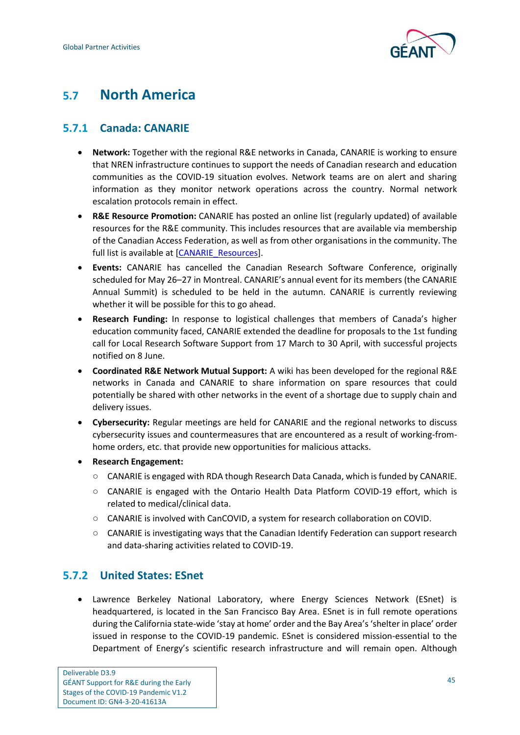

## <span id="page-48-0"></span>**5.7 North America**

## <span id="page-48-1"></span>**5.7.1 Canada: CANARIE**

- **Network:** Together with the regional R&E networks in Canada, CANARIE is working to ensure that NREN infrastructure continues to support the needs of Canadian research and education communities as the COVID-19 situation evolves. Network teams are on alert and sharing information as they monitor network operations across the country. Normal network escalation protocols remain in effect.
- **R&E Resource Promotion:** CANARIE has posted an online list (regularly updated) of available resources for the R&E community. This includes resources that are available via membership of the Canadian Access Federation, as well as from other organisations in the community. The full list is available at [\[CANARIE\\_Resources\]](#page-61-22).
- **Events:** CANARIE has cancelled the Canadian Research Software Conference, originally scheduled for May 26–27 in Montreal. CANARIE's annual event for its members (the CANARIE Annual Summit) is scheduled to be held in the autumn. CANARIE is currently reviewing whether it will be possible for this to go ahead.
- **Research Funding:** In response to logistical challenges that members of Canada's higher education community faced, CANARIE extended the deadline for proposals to the 1st funding call for Local Research Software Support from 17 March to 30 April, with successful projects notified on 8 June.
- **Coordinated R&E Network Mutual Support:** A wiki has been developed for the regional R&E networks in Canada and CANARIE to share information on spare resources that could potentially be shared with other networks in the event of a shortage due to supply chain and delivery issues.
- **Cybersecurity:** Regular meetings are held for CANARIE and the regional networks to discuss cybersecurity issues and countermeasures that are encountered as a result of working-fromhome orders, etc. that provide new opportunities for malicious attacks.
- **Research Engagement:**
	- CANARIE is engaged with RDA though Research Data Canada, which is funded by CANARIE.
	- CANARIE is engaged with the Ontario Health Data Platform COVID-19 effort, which is related to medical/clinical data.
	- CANARIE is involved with CanCOVID, a system for research collaboration on COVID.
	- CANARIE is investigating ways that the Canadian Identify Federation can support research and data-sharing activities related to COVID-19.

## <span id="page-48-2"></span>**5.7.2 United States: ESnet**

• Lawrence Berkeley National Laboratory, where Energy Sciences Network (ESnet) is headquartered, is located in the San Francisco Bay Area. ESnet is in full remote operations during the California state-wide 'stay at home' order and the Bay Area's 'shelter in place' order issued in response to the COVID-19 pandemic. ESnet is considered mission-essential to the Department of Energy's scientific research infrastructure and will remain open. Although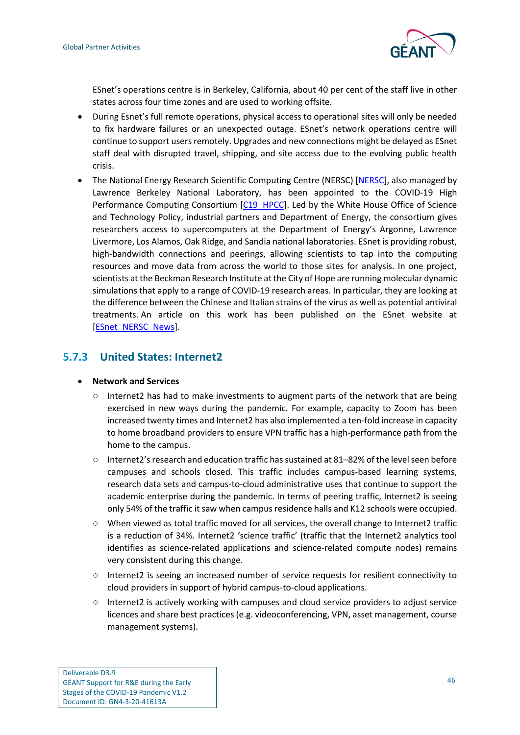

ESnet's operations centre is in Berkeley, California, about 40 per cent of the staff live in other states across four time zones and are used to working offsite.

- During Esnet's full remote operations, physical access to operational sites will only be needed to fix hardware failures or an unexpected outage. ESnet's network operations centre will continue to support users remotely. Upgrades and new connections might be delayed as ESnet staff deal with disrupted travel, shipping, and site access due to the evolving public health crisis.
- The National Energy Research Scientific Computing Centre (NERSC) [\[NERSC\]](#page-62-25), also managed by Lawrence Berkeley National Laboratory, has been appointed to the COVID-19 High Performance Computing Consortium [\[C19\\_HPCC\]](#page-61-23). Led by the White House Office of Science and Technology Policy, industrial partners and Department of Energy, the consortium gives researchers access to supercomputers at the Department of Energy's Argonne, Lawrence Livermore, Los Alamos, Oak Ridge, and Sandia national laboratories. ESnet is providing robust, high-bandwidth connections and peerings, allowing scientists to tap into the computing resources and move data from across the world to those sites for analysis. In one project, scientists at the Beckman Research Institute at the City of Hope are running molecular dynamic simulations that apply to a range of COVID-19 research areas. In particular, they are looking at the difference between the Chinese and Italian strains of the virus as well as potential antiviral treatments. An article on this work has been published on the ESnet website at [\[ESnet\\_NERSC\\_News\]](#page-62-26).

#### <span id="page-49-0"></span>**5.7.3 United States: Internet2**

#### • **Network and Services**

- $\circ$  Internet2 has had to make investments to augment parts of the network that are being exercised in new ways during the pandemic. For example, capacity to Zoom has been increased twenty times and Internet2 has also implemented a ten-fold increase in capacity to home broadband providers to ensure VPN traffic has a high-performance path from the home to the campus.
- $\circ$  Internet2's research and education traffic has sustained at 81–82% of the level seen before campuses and schools closed. This traffic includes campus-based learning systems, research data sets and campus-to-cloud administrative uses that continue to support the academic enterprise during the pandemic. In terms of peering traffic, Internet2 is seeing only 54% of the traffic it saw when campus residence halls and K12 schools were occupied.
- When viewed as total traffic moved for all services, the overall change to Internet2 traffic is a reduction of 34%. Internet2 'science traffic' (traffic that the Internet2 analytics tool identifies as science-related applications and science-related compute nodes) remains very consistent during this change.
- Internet2 is seeing an increased number of service requests for resilient connectivity to cloud providers in support of hybrid campus-to-cloud applications.
- Internet2 is actively working with campuses and cloud service providers to adjust service licences and share best practices (e.g. videoconferencing, VPN, asset management, course management systems).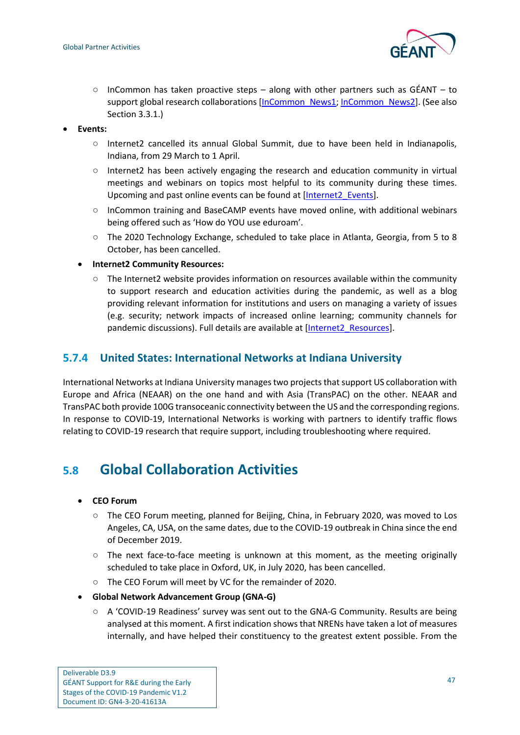

- $\circ$  InCommon has taken proactive steps along with other partners such as GÉANT to support global research collaborations [\[InCommon\\_News1;](#page-62-27) [InCommon\\_News2\]](#page-62-28). (See also Sectio[n 3.3.1.](#page-17-2))
- **Events:**
	- Internet2 cancelled its annual Global Summit, due to have been held in Indianapolis, Indiana, from 29 March to 1 April.
	- Internet2 has been actively engaging the research and education community in virtual meetings and webinars on topics most helpful to its community during these times. Upcoming and past online events can be found at [\[Internet2\\_Events\]](#page-62-29).
	- InCommon training and [BaseCAMP](https://incommon.org/news/registration-open-for-virtual-basecamp-2020/) events have moved online, with additional webinars being offered such as 'How do YOU use eduroam'.
	- The 2020 Technology Exchange, scheduled to take place in Atlanta, Georgia, from 5 to 8 October, has been cancelled.
	- **Internet2 Community Resources:**
		- The Internet2 website provides information on resources available within the community to support research and education activities during the pandemic, as well as a blog providing relevant information for institutions and users on managing a variety of issues (e.g. security; network impacts of increased online learning; community channels for pandemic discussions). Full details are available at [\[Internet2\\_Resources\]](#page-62-30).

#### <span id="page-50-0"></span>**5.7.4 United States: International Networks at Indiana University**

International Networks at Indiana University manages two projects that support US collaboration with Europe and Africa (NEAAR) on the one hand and with Asia (TransPAC) on the other. NEAAR and TransPAC both provide 100G transoceanic connectivity between the US and the corresponding regions. In response to COVID-19, International Networks is working with partners to identify traffic flows relating to COVID-19 research that require support, including troubleshooting where required.

## <span id="page-50-1"></span>**5.8 Global Collaboration Activities**

- **CEO Forum**
	- The CEO Forum meeting, planned for Beijing, China, in February 2020, was moved to Los Angeles, CA, USA, on the same dates, due to the COVID-19 outbreak in China since the end of December 2019.
	- $\circ$  The next face-to-face meeting is unknown at this moment, as the meeting originally scheduled to take place in Oxford, UK, in July 2020, has been cancelled.
	- The CEO Forum will meet by VC for the remainder of 2020.
- **Global Network Advancement Group (GNA-G)**
	- $\circ$  A 'COVID-19 Readiness' survey was sent out to the GNA-G Community. Results are being analysed at this moment. A first indication shows that NRENs have taken a lot of measures internally, and have helped their constituency to the greatest extent possible. From the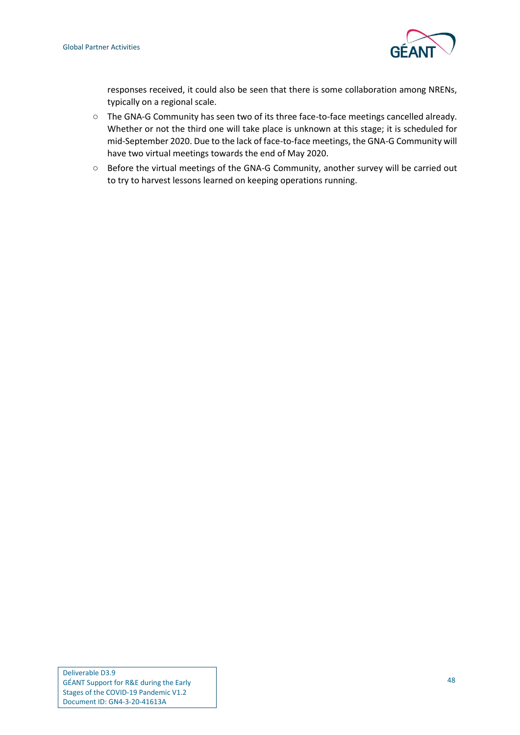

responses received, it could also be seen that there is some collaboration among NRENs, typically on a regional scale.

- The GNA-G Community has seen two of its three face-to-face meetings cancelled already. Whether or not the third one will take place is unknown at this stage; it is scheduled for mid-September 2020. Due to the lack of face-to-face meetings, the GNA-G Community will have two virtual meetings towards the end of May 2020.
- Before the virtual meetings of the GNA-G Community, another survey will be carried out to try to harvest lessons learned on keeping operations running.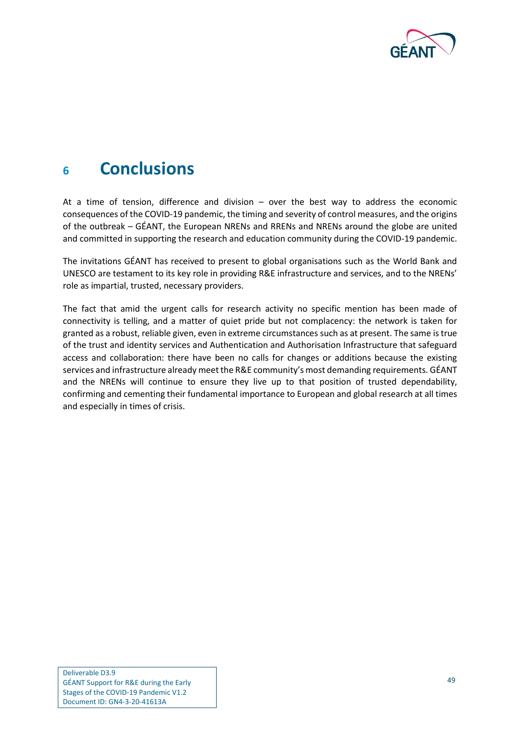

## <span id="page-52-0"></span>**<sup>6</sup> Conclusions**

At a time of tension, difference and division – over the best way to address the economic consequences of the COVID-19 pandemic, the timing and severity of control measures, and the origins of the outbreak – GÉANT, the European NRENs and RRENs and NRENs around the globe are united and committed in supporting the research and education community during the COVID-19 pandemic.

The invitations GÉANT has received to present to global organisations such as the World Bank and UNESCO are testament to its key role in providing R&E infrastructure and services, and to the NRENs' role as impartial, trusted, necessary providers.

The fact that amid the urgent calls for research activity no specific mention has been made of connectivity is telling, and a matter of quiet pride but not complacency: the network is taken for granted as a robust, reliable given, even in extreme circumstances such as at present. The same is true of the trust and identity services and Authentication and Authorisation Infrastructure that safeguard access and collaboration: there have been no calls for changes or additions because the existing services and infrastructure already meet the R&E community's most demanding requirements. GÉANT and the NRENs will continue to ensure they live up to that position of trusted dependability, confirming and cementing their fundamental importance to European and global research at all times and especially in times of crisis.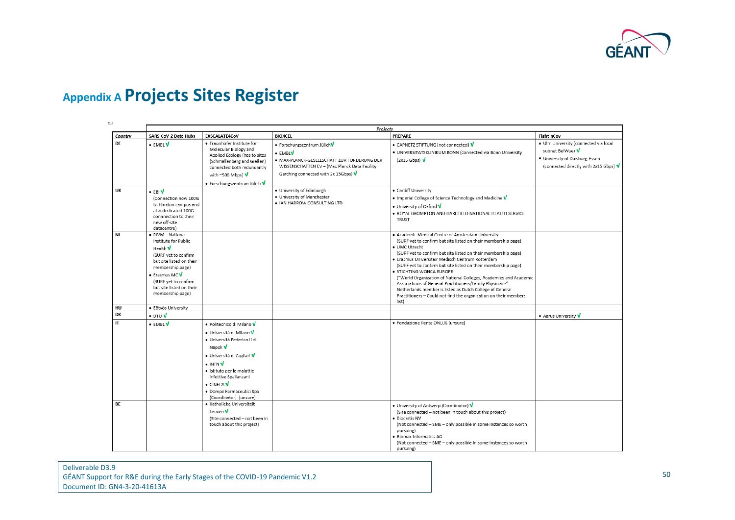

## **Appendix A Projects Sites Register**

<span id="page-53-0"></span>

|              | <b>Projects</b>                                                                                                                                                                                                     |                                                                                                                                                                                                                                                                                                                       |                                                                                                                                                                                |                                                                                                                                                                                                                                                                                                                                                                                                                                                                                                                                                                                                                                    |                                                                                                                                      |
|--------------|---------------------------------------------------------------------------------------------------------------------------------------------------------------------------------------------------------------------|-----------------------------------------------------------------------------------------------------------------------------------------------------------------------------------------------------------------------------------------------------------------------------------------------------------------------|--------------------------------------------------------------------------------------------------------------------------------------------------------------------------------|------------------------------------------------------------------------------------------------------------------------------------------------------------------------------------------------------------------------------------------------------------------------------------------------------------------------------------------------------------------------------------------------------------------------------------------------------------------------------------------------------------------------------------------------------------------------------------------------------------------------------------|--------------------------------------------------------------------------------------------------------------------------------------|
| Country      | SARS-CoV-2 Data Hubs                                                                                                                                                                                                | EXSCALATE4CoV                                                                                                                                                                                                                                                                                                         | <b>BIOXCEL</b>                                                                                                                                                                 | PREPARE                                                                                                                                                                                                                                                                                                                                                                                                                                                                                                                                                                                                                            | Fight-nCov                                                                                                                           |
| <b>DE</b>    | • EMBLV                                                                                                                                                                                                             | · Fraunhofer Institute for<br>Molecular Biology and<br>Applied Ecology (has to sites<br>(Schmallenberg and Gießen)<br>connected both redundantly<br>with ~500 Mbps) V<br>• Forschungszentrum Jülich V                                                                                                                 | · Forschungszentrum JülichV<br>• EMBLV<br>· MAX-PLANCK-GESELLSCHAFT ZUR FORDERUNG DER<br>WISSENSCHAFTEN EV - (Max Planck Data Facility<br>Garching connected with 2x 15Gbps) V | • CAPNETZ STIFTUNG (not connected) V<br>· UNIVERSITATSKLINIKUM BONN (connected via Bonn University<br>$(2x15 Gbps)$ V                                                                                                                                                                                                                                                                                                                                                                                                                                                                                                              | · Ulm University (connected via local<br>subnet BelWue) V<br>· University of Duisburg-Essen<br>(connected directly with 2x15 Gbps) V |
| UK           | $\cdot$ EBIV<br>(Connection now 100G<br>to Hinxton campus and<br>also dedicated 100G<br>connnection to their<br>new off-site<br>datacentre)                                                                         |                                                                                                                                                                                                                                                                                                                       | · University of Edinburgh<br>· University of Manchester<br>. IAN HARROW CONSULTING LTD                                                                                         | • Cardiff University<br>• Imperial College of Science Technology and Medicine V<br>. University of Oxford V<br>. ROYAL BROMPTON AND HAREFIELD NATIONAL HEALTH SERVICE<br>TRUST                                                                                                                                                                                                                                                                                                                                                                                                                                                     |                                                                                                                                      |
| <b>NL</b>    | RIVM-National<br>Institute for Public<br>Health V<br>(SURF yet to confirm<br>but site listed on their<br>membership page)<br>• Erasmus MC V<br>(SURF vet to confirm<br>but site listed on their<br>membership page) |                                                                                                                                                                                                                                                                                                                       |                                                                                                                                                                                | . Academic Medical Centre of Amsterdam University<br>(SURF yet to confirm but site listed on their membership page)<br>· UMC Utrecht<br>(SURF yet to confirm but site listed on their membership page)<br>· Erasmus Universitair Medisch Centrum Rotterdam<br>(SURF yet to confirm but site listed on their membership page)<br>· STICHTING WONCA EUROPE<br>("World Organization of National Colleges, Academies and Academic<br>Associations of General Practitioners/Family Physicians"<br>Netherlands member is listed as Dutch College of General<br>Practitioners - Could not find the organisation on their members<br>list) |                                                                                                                                      |
| HU           | · Eötvös University                                                                                                                                                                                                 |                                                                                                                                                                                                                                                                                                                       |                                                                                                                                                                                |                                                                                                                                                                                                                                                                                                                                                                                                                                                                                                                                                                                                                                    |                                                                                                                                      |
| DK           | $\bullet$ dtu $\sqrt{}$                                                                                                                                                                                             |                                                                                                                                                                                                                                                                                                                       |                                                                                                                                                                                |                                                                                                                                                                                                                                                                                                                                                                                                                                                                                                                                                                                                                                    | • Aarus University V                                                                                                                 |
| $\mathsf{I}$ | • EMBL V                                                                                                                                                                                                            | · Politecnico di Milano V<br>• Università di Milano V<br>· Università Federico II di<br>Napoli V<br>• Università di Cagliari V<br>$\bullet$ infn $\mathbf V$<br>· Istituto per le malattie<br>infettive Spallanzani<br>$\bullet$ CINECA $\overline{\mathsf{V}}$<br>· Dompé Farmaceutici Spa<br>(Coordinator) (unsure) |                                                                                                                                                                                | · Fondazione Penta ONLUS (unsure)                                                                                                                                                                                                                                                                                                                                                                                                                                                                                                                                                                                                  |                                                                                                                                      |
| BE           |                                                                                                                                                                                                                     | · Katholieke Universiteit<br>Leuven V<br>(Site connected - not been in<br>touch about this project)                                                                                                                                                                                                                   |                                                                                                                                                                                | • University of Antwerp (Coordinator) V<br>(Site connected - not been in touch about this project)<br>· Biocartis NV<br>(Not connected - SME - only possible in some instances so worth<br>pursuing)<br>· Biomax Informatics AG<br>(Not connected - SME - only possible in some instances so worth<br>pursuing)                                                                                                                                                                                                                                                                                                                    |                                                                                                                                      |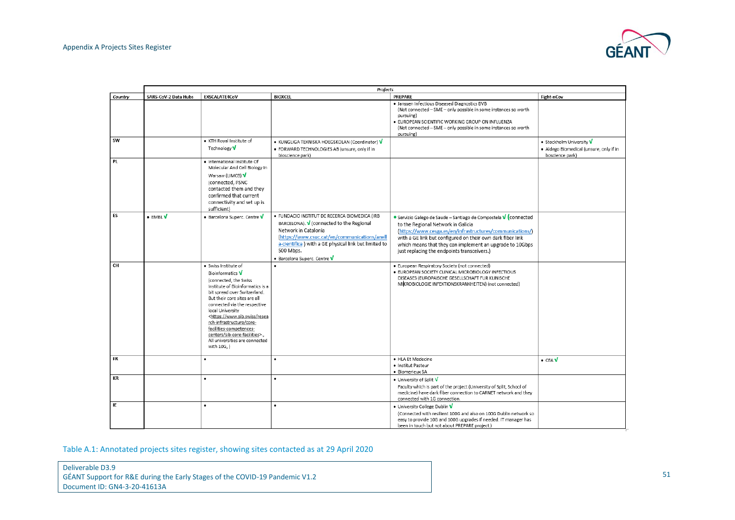

|           | Projects             |                                                                                                                                                                                                                                                                                                                                                                                                                          |                                                                                                                                                                                                                                                                          |                                                                                                                                                                                                                                                                                                                                              |                                                                                        |
|-----------|----------------------|--------------------------------------------------------------------------------------------------------------------------------------------------------------------------------------------------------------------------------------------------------------------------------------------------------------------------------------------------------------------------------------------------------------------------|--------------------------------------------------------------------------------------------------------------------------------------------------------------------------------------------------------------------------------------------------------------------------|----------------------------------------------------------------------------------------------------------------------------------------------------------------------------------------------------------------------------------------------------------------------------------------------------------------------------------------------|----------------------------------------------------------------------------------------|
| Country   | SARS-CoV-2 Data Hubs | EXSCALATE4CoV                                                                                                                                                                                                                                                                                                                                                                                                            | <b>BIOXCEL</b>                                                                                                                                                                                                                                                           | PREPARE                                                                                                                                                                                                                                                                                                                                      | Fight-nCov                                                                             |
|           |                      |                                                                                                                                                                                                                                                                                                                                                                                                                          |                                                                                                                                                                                                                                                                          | · Janssen Infectious Diseased Diagnostics BVB<br>(Not connected - SME - only possible in some instances so worth<br>pursuing)<br>· EUROPEAN SCIENTIFIC WORKING GROUP ON INFLUENZA<br>(Not connected - SME - only possible in some instances so worth<br>pursuing)                                                                            |                                                                                        |
| SW        |                      | · KTH Royal Institute of<br>Technology V                                                                                                                                                                                                                                                                                                                                                                                 | • KUNGLIGA TEKNISKA HOEGSKOLAN (Coordinator) V<br>. FORWARD TECHNOLOGIES AB (unsure, only if in<br>bioscience park)                                                                                                                                                      |                                                                                                                                                                                                                                                                                                                                              | • Stockholm University V<br>· Aldego Biomedical (unsure, only if in<br>boscience park) |
| PL        |                      | · International Institute Of<br>Molecular And Cell Biology In<br>Warsaw (LIMCB) V<br>(connected, PSNC<br>contacted them and they<br>confirmed that current<br>connectivity and set up is<br>sufficient)                                                                                                                                                                                                                  |                                                                                                                                                                                                                                                                          |                                                                                                                                                                                                                                                                                                                                              |                                                                                        |
| ES        | • EMBLV              | • Barcelona Superc. Centre V                                                                                                                                                                                                                                                                                                                                                                                             | · FUNDACIO INSTITUT DE RECERCA BIOMEDICA (IRB<br>BARCELONA). V (connected to the Regional<br>Network in Catalonia<br>(https://www.csuc.cat/en/communications/anell<br>a-cientifica ) with a GE physical link but limited to<br>500 Mbps.<br>· Barcelona Superc. Centre V | ● Servizio Galego de Saude – Santiago de Compostela V (connected<br>to the Regional Network in Galicia<br>(https://www.cesga.es/en/infrastructures/communications/)<br>with a GE link but configured on their own dark fiber link<br>which means that they can implement an upgrade to 10Gbps<br>just replacing the endpoints transceivers.) |                                                                                        |
| <b>CH</b> |                      | · Swiss Institute of<br>Bioinformatics V<br>(connected, the Swiss<br>Institute of Bioinformatics is a<br>bit spread over Switzerland.<br>But their core sites are all<br>connected via the respective<br>local University<br><https: resea<br="" www.sib.swiss="">rch-infrastructure/core-<br/>facilities-competences-<br/>centers/sib-core-facilities&gt;.,<br/>All universities are connected<br/>with 10G, )</https:> |                                                                                                                                                                                                                                                                          | · European Respiratory Society (not connected)<br>· EUROPEAN SOCIETY CLINICAL MICROBIOLOGY INFECTIOUS<br>DISEASES (EUROPAISCHE GESELLSCHAFT FUR KLINISCHE<br>MIKROBIOLOGIE INFEKTIONSKRANKHEITEN) (not connected)                                                                                                                            |                                                                                        |
| FR        |                      | ٠                                                                                                                                                                                                                                                                                                                                                                                                                        | ٠                                                                                                                                                                                                                                                                        | · HLA Et Medecine<br>· Institut Pasteur<br>· Biomerieux SA                                                                                                                                                                                                                                                                                   | $\bullet$ CEA $\overline{\mathsf{V}}$                                                  |
| КR        |                      | ٠                                                                                                                                                                                                                                                                                                                                                                                                                        |                                                                                                                                                                                                                                                                          | • University of Split V<br>Faculty which is part of the project (University of Split, School of<br>medicine) have dark fiber connection to CARNET network and they<br>connected with 1G connection.                                                                                                                                          |                                                                                        |
| IE        |                      | $\bullet$                                                                                                                                                                                                                                                                                                                                                                                                                | $\bullet$                                                                                                                                                                                                                                                                | • University College Dublin V<br>(Connected with resilient 100G and also on 100G Dublin network so<br>easy to provide 10G and 100G upgrades if needed. IT manager has<br>been in touch but not about PREPARE project.)                                                                                                                       |                                                                                        |

<span id="page-54-0"></span>Table A.1: Annotated projects sites register, showing sites contacted as at 29 April 2020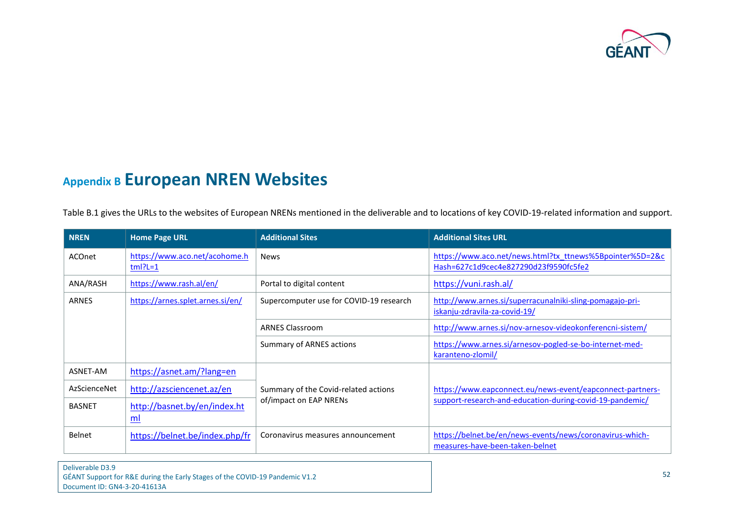

## **Appendix B European NREN Websites**

[Table](#page-58-1) B.1 gives the URLs to the websites of European NRENs mentioned in the deliverable and to locations of key COVID-19-related information and support.

<span id="page-55-0"></span>

| <b>NREN</b>   | <b>Home Page URL</b>                          | <b>Additional Sites</b>                 | <b>Additional Sites URL</b>                                                                       |
|---------------|-----------------------------------------------|-----------------------------------------|---------------------------------------------------------------------------------------------------|
| <b>ACOnet</b> | https://www.aco.net/acohome.h<br>$tm$ $P = 1$ | <b>News</b>                             | https://www.aco.net/news.html?tx_ttnews%5Bpointer%5D=2&c<br>Hash=627c1d9cec4e827290d23f9590fc5fe2 |
| ANA/RASH      | https://www.rash.al/en/                       | Portal to digital content               | https://vuni.rash.al/                                                                             |
| <b>ARNES</b>  | https://arnes.splet.arnes.si/en/              | Supercomputer use for COVID-19 research | http://www.arnes.si/superracunalniki-sling-pomagajo-pri-<br>iskanju-zdravila-za-covid-19/         |
|               |                                               | <b>ARNES Classroom</b>                  | http://www.arnes.si/nov-arnesov-videokonferencni-sistem/                                          |
|               |                                               | <b>Summary of ARNES actions</b>         | https://www.arnes.si/arnesov-pogled-se-bo-internet-med-<br>karanteno-zlomil/                      |
| ASNET-AM      | https://asnet.am/?lang=en                     |                                         |                                                                                                   |
| AzScienceNet  | http://azsciencenet.az/en                     | Summary of the Covid-related actions    | https://www.eapconnect.eu/news-event/eapconnect-partners-                                         |
| <b>BASNET</b> | http://basnet.by/en/index.ht<br>ml            | of/impact on EAP NRENs                  | support-research-and-education-during-covid-19-pandemic/                                          |
| Belnet        | https://belnet.be/index.php/fr                | Coronavirus measures announcement       | https://belnet.be/en/news-events/news/coronavirus-which-<br>measures-have-been-taken-belnet       |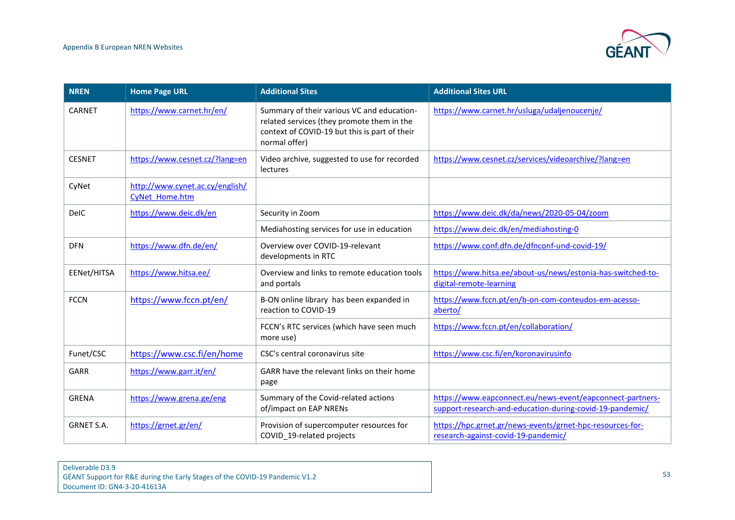

| <b>NREN</b>       | <b>Home Page URL</b>                              | <b>Additional Sites</b>                                                                                                                                    | <b>Additional Sites URL</b>                                                                                           |
|-------------------|---------------------------------------------------|------------------------------------------------------------------------------------------------------------------------------------------------------------|-----------------------------------------------------------------------------------------------------------------------|
| CARNET            | https://www.carnet.hr/en/                         | Summary of their various VC and education-<br>related services (they promote them in the<br>context of COVID-19 but this is part of their<br>normal offer) | https://www.carnet.hr/usluga/udaljenoucenje/                                                                          |
| <b>CESNET</b>     | https://www.cesnet.cz/?lang=en                    | Video archive, suggested to use for recorded<br>lectures                                                                                                   | https://www.cesnet.cz/services/videoarchive/?lang=en                                                                  |
| CyNet             | http://www.cynet.ac.cy/english/<br>CyNet Home.htm |                                                                                                                                                            |                                                                                                                       |
| <b>DelC</b>       | https://www.deic.dk/en                            | Security in Zoom                                                                                                                                           | https://www.deic.dk/da/news/2020-05-04/zoom                                                                           |
|                   |                                                   | Mediahosting services for use in education                                                                                                                 | https://www.deic.dk/en/mediahosting-0                                                                                 |
| <b>DFN</b>        | https://www.dfn.de/en/                            | Overview over COVID-19-relevant<br>developments in RTC                                                                                                     | https://www.conf.dfn.de/dfnconf-und-covid-19/                                                                         |
| EENet/HITSA       | https://www.hitsa.ee/                             | Overview and links to remote education tools<br>and portals                                                                                                | https://www.hitsa.ee/about-us/news/estonia-has-switched-to-<br>digital-remote-learning                                |
| <b>FCCN</b>       | https://www.fccn.pt/en/                           | B-ON online library has been expanded in<br>reaction to COVID-19                                                                                           | https://www.fccn.pt/en/b-on-com-conteudos-em-acesso-<br>aberto/                                                       |
|                   |                                                   | FCCN's RTC services (which have seen much<br>more use)                                                                                                     | https://www.fccn.pt/en/collaboration/                                                                                 |
| Funet/CSC         | https://www.csc.fi/en/home                        | CSC's central coronavirus site                                                                                                                             | https://www.csc.fi/en/koronavirusinfo                                                                                 |
| <b>GARR</b>       | https://www.garr.it/en/                           | GARR have the relevant links on their home<br>page                                                                                                         |                                                                                                                       |
| <b>GRENA</b>      | https://www.grena.ge/eng                          | Summary of the Covid-related actions<br>of/impact on EAP NRENs                                                                                             | https://www.eapconnect.eu/news-event/eapconnect-partners-<br>support-research-and-education-during-covid-19-pandemic/ |
| <b>GRNET S.A.</b> | https://grnet.gr/en/                              | Provision of supercomputer resources for<br>COVID 19-related projects                                                                                      | https://hpc.grnet.gr/news-events/grnet-hpc-resources-for-<br>research-against-covid-19-pandemic/                      |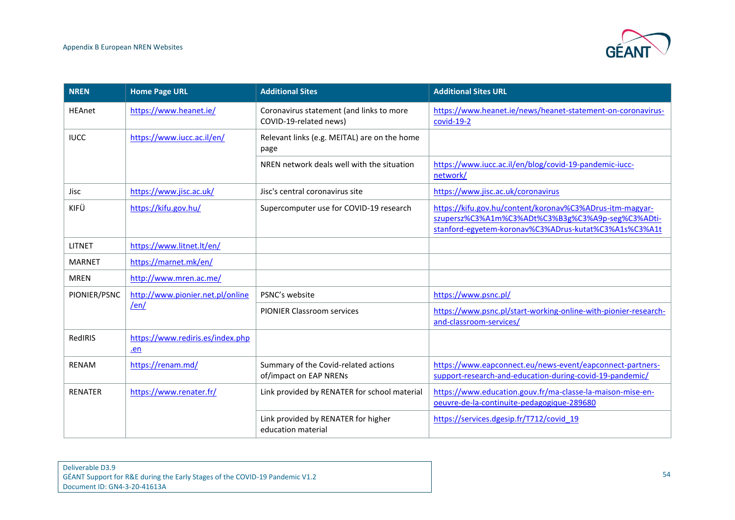

| <b>NREN</b>    | <b>Home Page URL</b>                    | <b>Additional Sites</b>                                            | <b>Additional Sites URL</b>                                                                                                                                            |
|----------------|-----------------------------------------|--------------------------------------------------------------------|------------------------------------------------------------------------------------------------------------------------------------------------------------------------|
| <b>HEAnet</b>  | https://www.heanet.ie/                  | Coronavirus statement (and links to more<br>COVID-19-related news) | https://www.heanet.ie/news/heanet-statement-on-coronavirus-<br>$covid-19-2$                                                                                            |
| <b>IUCC</b>    | https://www.iucc.ac.il/en/              | Relevant links (e.g. MEITAL) are on the home<br>page               |                                                                                                                                                                        |
|                |                                         | NREN network deals well with the situation                         | https://www.iucc.ac.il/en/blog/covid-19-pandemic-iucc-<br>network/                                                                                                     |
| Jisc           | https://www.jisc.ac.uk/                 | Jisc's central coronavirus site                                    | https://www.jisc.ac.uk/coronavirus                                                                                                                                     |
| KIFÜ           | https://kifu.gov.hu/                    | Supercomputer use for COVID-19 research                            | https://kifu.gov.hu/content/koronav%C3%ADrus-itm-magyar-<br>szupersz%C3%A1m%C3%ADt%C3%B3g%C3%A9p-seg%C3%ADti-<br>stanford-egyetem-koronav%C3%ADrus-kutat%C3%A1s%C3%A1t |
| <b>LITNET</b>  | https://www.litnet.lt/en/               |                                                                    |                                                                                                                                                                        |
| <b>MARNET</b>  | https://marnet.mk/en/                   |                                                                    |                                                                                                                                                                        |
| <b>MREN</b>    | http://www.mren.ac.me/                  |                                                                    |                                                                                                                                                                        |
| PIONIER/PSNC   | http://www.pionier.net.pl/online        | PSNC's website                                                     | https://www.psnc.pl/                                                                                                                                                   |
|                | len/                                    | <b>PIONIER Classroom services</b>                                  | https://www.psnc.pl/start-working-online-with-pionier-research-<br>and-classroom-services/                                                                             |
| RedIRIS        | https://www.rediris.es/index.php<br>.en |                                                                    |                                                                                                                                                                        |
| <b>RENAM</b>   | https://renam.md/                       | Summary of the Covid-related actions<br>of/impact on EAP NRENs     | https://www.eapconnect.eu/news-event/eapconnect-partners-<br>support-research-and-education-during-covid-19-pandemic/                                                  |
| <b>RENATER</b> | https://www.renater.fr/                 | Link provided by RENATER for school material                       | https://www.education.gouv.fr/ma-classe-la-maison-mise-en-<br>oeuvre-de-la-continuite-pedagogique-289680                                                               |
|                |                                         | Link provided by RENATER for higher<br>education material          | https://services.dgesip.fr/T712/covid 19                                                                                                                               |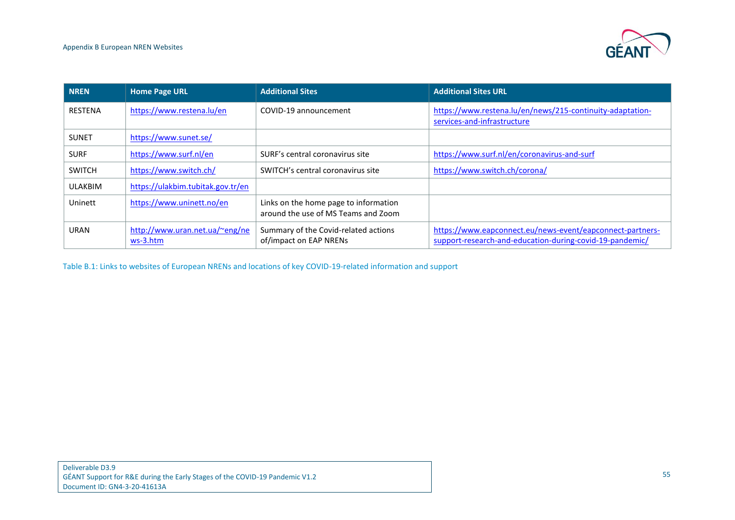

| <b>NREN</b>    | <b>Home Page URL</b>                       | <b>Additional Sites</b>                                                      | <b>Additional Sites URL</b>                                                                                           |
|----------------|--------------------------------------------|------------------------------------------------------------------------------|-----------------------------------------------------------------------------------------------------------------------|
| <b>RESTENA</b> | https://www.restena.lu/en                  | COVID-19 announcement                                                        | https://www.restena.lu/en/news/215-continuity-adaptation-<br>services-and-infrastructure                              |
| <b>SUNET</b>   | https://www.sunet.se/                      |                                                                              |                                                                                                                       |
| <b>SURF</b>    | https://www.surf.nl/en                     | SURF's central coronavirus site                                              | https://www.surf.nl/en/coronavirus-and-surf                                                                           |
| <b>SWITCH</b>  | https://www.switch.ch/                     | SWITCH's central coronavirus site                                            | https://www.switch.ch/corona/                                                                                         |
| <b>ULAKBIM</b> | https://ulakbim.tubitak.gov.tr/en          |                                                                              |                                                                                                                       |
| Uninett        | https://www.uninett.no/en                  | Links on the home page to information<br>around the use of MS Teams and Zoom |                                                                                                                       |
| <b>URAN</b>    | http://www.uran.net.ua/~eng/ne<br>ws-3.htm | Summary of the Covid-related actions<br>of/impact on EAP NRENs               | https://www.eapconnect.eu/news-event/eapconnect-partners-<br>support-research-and-education-during-covid-19-pandemic/ |

<span id="page-58-1"></span><span id="page-58-0"></span>Table B.1: Links to websites of European NRENs and locations of key COVID-19-related information and support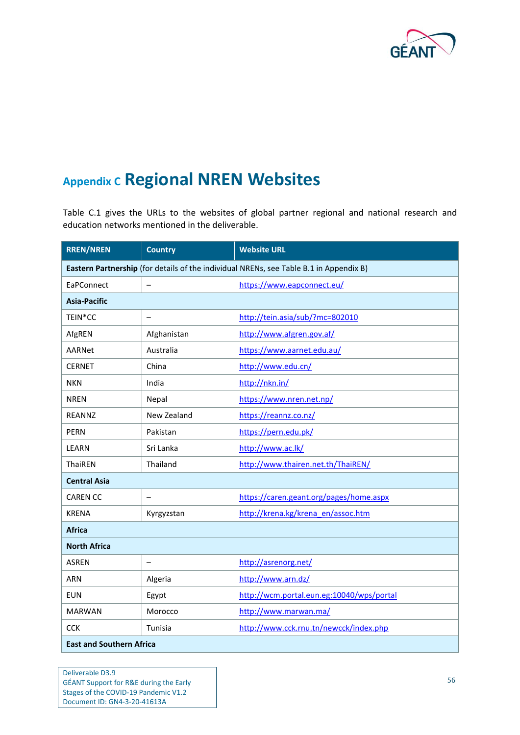

## <span id="page-59-0"></span>**Appendix C Regional NREN Websites**

[Table](#page-60-0) C.1 gives the URLs to the websites of global partner regional and national research and education networks mentioned in the deliverable.

| <b>RREN/NREN</b>    | <b>Country</b>           | <b>Website URL</b>                                                                     |
|---------------------|--------------------------|----------------------------------------------------------------------------------------|
|                     |                          | Eastern Partnership (for details of the individual NRENs, see Table B.1 in Appendix B) |
| EaPConnect          |                          | https://www.eapconnect.eu/                                                             |
| <b>Asia-Pacific</b> |                          |                                                                                        |
| TEIN*CC             | $\qquad \qquad -$        | http://tein.asia/sub/?mc=802010                                                        |
| AfgREN              | Afghanistan              | http://www.afgren.gov.af/                                                              |
| AARNet              | Australia                | https://www.aarnet.edu.au/                                                             |
| <b>CERNET</b>       | China                    | http://www.edu.cn/                                                                     |
| <b>NKN</b>          | India                    | http://nkn.in/                                                                         |
| <b>NREN</b>         | Nepal                    | https://www.nren.net.np/                                                               |
| <b>REANNZ</b>       | New Zealand              | https://reannz.co.nz/                                                                  |
| <b>PERN</b>         | Pakistan                 | https://pern.edu.pk/                                                                   |
| <b>LEARN</b>        | Sri Lanka                | http://www.ac.lk/                                                                      |
| ThaiREN             | Thailand                 | http://www.thairen.net.th/ThaiREN/                                                     |
| <b>Central Asia</b> |                          |                                                                                        |
| <b>CAREN CC</b>     | $\overline{\phantom{0}}$ | https://caren.geant.org/pages/home.aspx                                                |
| <b>KRENA</b>        | Kyrgyzstan               | http://krena.kg/krena en/assoc.htm                                                     |
| <b>Africa</b>       |                          |                                                                                        |
| <b>North Africa</b> |                          |                                                                                        |
| <b>ASREN</b>        | $\overline{\phantom{0}}$ | http://asrenorg.net/                                                                   |
| <b>ARN</b>          | Algeria                  | http://www.arn.dz/                                                                     |
| <b>EUN</b>          | Egypt                    | http://wcm.portal.eun.eg:10040/wps/portal                                              |
| <b>MARWAN</b>       | Morocco                  | http://www.marwan.ma/                                                                  |
| <b>CCK</b>          | Tunisia                  | http://www.cck.rnu.tn/newcck/index.php                                                 |
| a e s               |                          |                                                                                        |

**East and Southern Africa**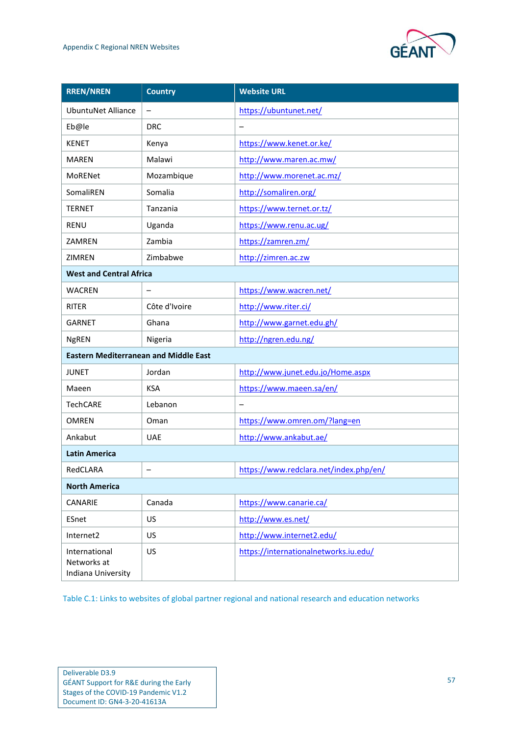

| <b>RREN/NREN</b>                                   | <b>Country</b>           | <b>Website URL</b>                     |
|----------------------------------------------------|--------------------------|----------------------------------------|
| <b>UbuntuNet Alliance</b>                          | $\overline{\phantom{0}}$ | https://ubuntunet.net/                 |
| Eb@le                                              | <b>DRC</b>               |                                        |
| <b>KENET</b>                                       | Kenya                    | https://www.kenet.or.ke/               |
| <b>MAREN</b>                                       | Malawi                   | http://www.maren.ac.mw/                |
| MoRENet                                            | Mozambique               | http://www.morenet.ac.mz/              |
| SomaliREN                                          | Somalia                  | http://somaliren.org/                  |
| <b>TERNET</b>                                      | Tanzania                 | https://www.ternet.or.tz/              |
| <b>RENU</b>                                        | Uganda                   | https://www.renu.ac.ug/                |
| ZAMREN                                             | Zambia                   | https://zamren.zm/                     |
| ZIMREN                                             | Zimbabwe                 | http://zimren.ac.zw                    |
| <b>West and Central Africa</b>                     |                          |                                        |
| <b>WACREN</b>                                      |                          | https://www.wacren.net/                |
| <b>RITER</b>                                       | Côte d'Ivoire            | http://www.riter.ci/                   |
| <b>GARNET</b>                                      | Ghana                    | http://www.garnet.edu.gh/              |
| <b>NgREN</b>                                       | Nigeria                  | http://ngren.edu.ng/                   |
| <b>Eastern Mediterranean and Middle East</b>       |                          |                                        |
| <b>JUNET</b>                                       | Jordan                   | http://www.junet.edu.jo/Home.aspx      |
| Maeen                                              | <b>KSA</b>               | https://www.maeen.sa/en/               |
| <b>TechCARE</b>                                    | Lebanon                  |                                        |
| <b>OMREN</b>                                       | Oman                     | https://www.omren.om/?lang=en          |
| Ankabut                                            | <b>UAE</b>               | http://www.ankabut.ae/                 |
| <b>Latin America</b>                               |                          |                                        |
| RedCLARA                                           | -                        | https://www.redclara.net/index.php/en/ |
| <b>North America</b>                               |                          |                                        |
| CANARIE                                            | Canada                   | https://www.canarie.ca/                |
| ESnet                                              | US                       | http://www.es.net/                     |
| Internet2                                          | US                       | http://www.internet2.edu/              |
| International<br>Networks at<br>Indiana University | US                       | https://internationalnetworks.iu.edu/  |

<span id="page-60-0"></span>Table C.1: Links to websites of global partner regional and national research and education networks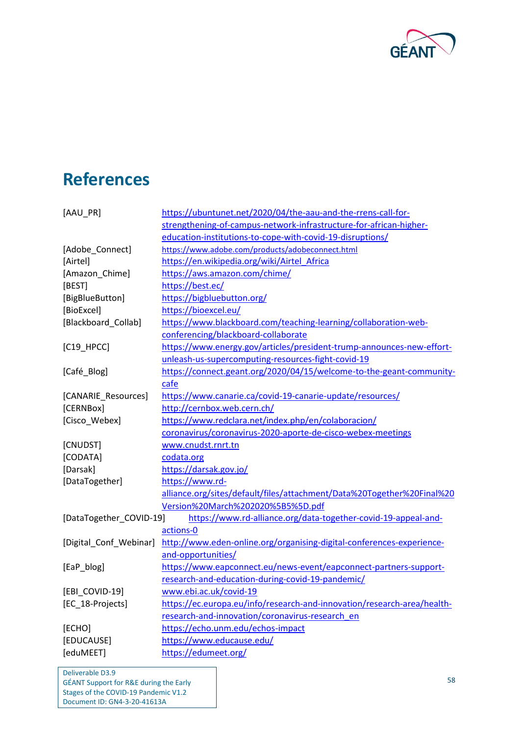

## <span id="page-61-0"></span>**References**

<span id="page-61-23"></span><span id="page-61-22"></span><span id="page-61-21"></span><span id="page-61-20"></span><span id="page-61-19"></span><span id="page-61-18"></span><span id="page-61-17"></span><span id="page-61-16"></span><span id="page-61-15"></span><span id="page-61-14"></span><span id="page-61-13"></span><span id="page-61-12"></span><span id="page-61-11"></span><span id="page-61-10"></span><span id="page-61-9"></span><span id="page-61-8"></span><span id="page-61-7"></span><span id="page-61-6"></span><span id="page-61-5"></span><span id="page-61-4"></span><span id="page-61-3"></span><span id="page-61-2"></span><span id="page-61-1"></span>

| [AAU_PR]                | https://ubuntunet.net/2020/04/the-aau-and-the-rrens-call-for-           |  |
|-------------------------|-------------------------------------------------------------------------|--|
|                         | strengthening-of-campus-network-infrastructure-for-african-higher-      |  |
|                         | education-institutions-to-cope-with-covid-19-disruptions/               |  |
| [Adobe_Connect]         | https://www.adobe.com/products/adobeconnect.html                        |  |
| [Airtel]                | https://en.wikipedia.org/wiki/Airtel_Africa                             |  |
| [Amazon_Chime]          | https://aws.amazon.com/chime/                                           |  |
| [BEST]                  | https://best.ec/                                                        |  |
| [BigBlueButton]         | https://bigbluebutton.org/                                              |  |
| [BioExcel]              | https://bioexcel.eu/                                                    |  |
| [Blackboard_Collab]     | https://www.blackboard.com/teaching-learning/collaboration-web-         |  |
|                         | conferencing/blackboard-collaborate                                     |  |
| $[C19$ HPCC]            | https://www.energy.gov/articles/president-trump-announces-new-effort-   |  |
|                         | unleash-us-supercomputing-resources-fight-covid-19                      |  |
| [Café_Blog]             | https://connect.geant.org/2020/04/15/welcome-to-the-geant-community-    |  |
|                         | cafe                                                                    |  |
| [CANARIE_Resources]     | https://www.canarie.ca/covid-19-canarie-update/resources/               |  |
| [CERNBox]               | http://cernbox.web.cern.ch/                                             |  |
| [Cisco_Webex]           | https://www.redclara.net/index.php/en/colaboracion/                     |  |
|                         | coronavirus/coronavirus-2020-aporte-de-cisco-webex-meetings             |  |
| [CNUDST]                | www.cnudst.rnrt.tn                                                      |  |
| [CODATA]                | codata.org                                                              |  |
| [Darsak]                | https://darsak.gov.jo/                                                  |  |
| [DataTogether]          | https://www.rd-                                                         |  |
|                         | alliance.org/sites/default/files/attachment/Data%20Together%20Final%20  |  |
|                         | Version%20March%202020%5B5%5D.pdf                                       |  |
| [DataTogether_COVID-19] | https://www.rd-alliance.org/data-together-covid-19-appeal-and-          |  |
|                         | actions-0                                                               |  |
| [Digital_Conf_Webinar]  | http://www.eden-online.org/organising-digital-conferences-experience-   |  |
|                         | and-opportunities/                                                      |  |
| [EaP_blog]              | https://www.eapconnect.eu/news-event/eapconnect-partners-support-       |  |
|                         | research-and-education-during-covid-19-pandemic/                        |  |
| [EBI COVID-19]          | www.ebi.ac.uk/covid-19                                                  |  |
| [EC_18-Projects]        | https://ec.europa.eu/info/research-and-innovation/research-area/health- |  |
|                         | research-and-innovation/coronavirus-research en                         |  |
| [ECHO]                  | https://echo.unm.edu/echos-impact                                       |  |
| [EDUCAUSE]              | https://www.educause.edu/                                               |  |
| [eduMEET]               | https://edumeet.org/                                                    |  |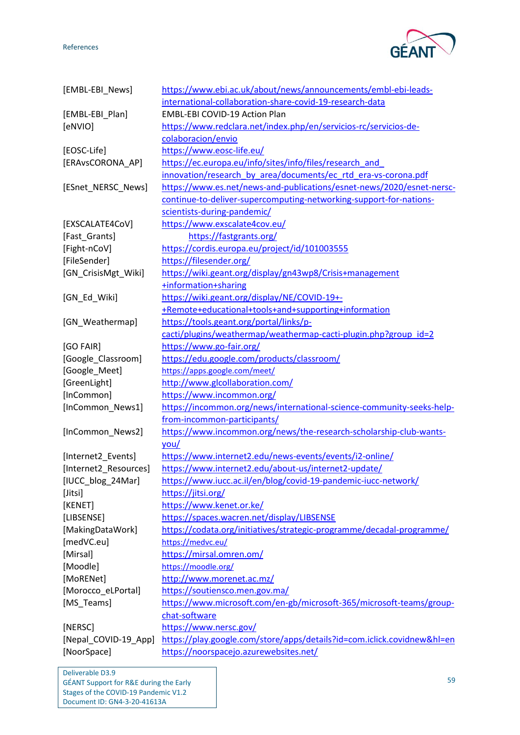References



<span id="page-62-30"></span><span id="page-62-29"></span><span id="page-62-28"></span><span id="page-62-27"></span><span id="page-62-26"></span><span id="page-62-25"></span><span id="page-62-24"></span><span id="page-62-23"></span><span id="page-62-22"></span><span id="page-62-21"></span><span id="page-62-20"></span><span id="page-62-19"></span><span id="page-62-18"></span><span id="page-62-17"></span><span id="page-62-16"></span><span id="page-62-15"></span><span id="page-62-14"></span><span id="page-62-13"></span><span id="page-62-12"></span><span id="page-62-11"></span><span id="page-62-10"></span><span id="page-62-9"></span><span id="page-62-8"></span><span id="page-62-7"></span><span id="page-62-6"></span><span id="page-62-5"></span><span id="page-62-4"></span><span id="page-62-3"></span><span id="page-62-2"></span><span id="page-62-1"></span><span id="page-62-0"></span>

| [EMBL-EBI News]       | https://www.ebi.ac.uk/about/news/announcements/embl-ebi-leads-          |  |
|-----------------------|-------------------------------------------------------------------------|--|
|                       | international-collaboration-share-covid-19-research-data                |  |
| [EMBL-EBI_Plan]       | <b>EMBL-EBI COVID-19 Action Plan</b>                                    |  |
| [eNVIO]               | https://www.redclara.net/index.php/en/servicios-rc/servicios-de-        |  |
|                       | colaboracion/envio                                                      |  |
| [EOSC-Life]           | https://www.eosc-life.eu/                                               |  |
| [ERAvsCORONA_AP]      | https://ec.europa.eu/info/sites/info/files/research_and                 |  |
|                       | innovation/research by area/documents/ec rtd era-vs-corona.pdf          |  |
| [ESnet_NERSC_News]    | https://www.es.net/news-and-publications/esnet-news/2020/esnet-nersc-   |  |
|                       | continue-to-deliver-supercomputing-networking-support-for-nations-      |  |
|                       | scientists-during-pandemic/                                             |  |
| [EXSCALATE4CoV]       | https://www.exscalate4cov.eu/                                           |  |
| [Fast_Grants]         | https://fastgrants.org/                                                 |  |
| [Fight-nCoV]          | https://cordis.europa.eu/project/id/101003555                           |  |
| [FileSender]          | https://filesender.org/                                                 |  |
| [GN_CrisisMgt_Wiki]   | https://wiki.geant.org/display/gn43wp8/Crisis+management                |  |
|                       | +information+sharing                                                    |  |
| [GN_Ed_Wiki]          | https://wiki.geant.org/display/NE/COVID-19+-                            |  |
|                       | +Remote+educational+tools+and+supporting+information                    |  |
| [GN Weathermap]       | https://tools.geant.org/portal/links/p-                                 |  |
|                       | cacti/plugins/weathermap/weathermap-cacti-plugin.php?group id=2         |  |
| [GO FAIR]             | https://www.go-fair.org/                                                |  |
| [Google_Classroom]    | https://edu.google.com/products/classroom/                              |  |
| [Google_Meet]         | https://apps.google.com/meet/                                           |  |
| [GreenLight]          | http://www.glcollaboration.com/                                         |  |
| [InCommon]            | https://www.incommon.org/                                               |  |
| [InCommon_News1]      | https://incommon.org/news/international-science-community-seeks-help-   |  |
|                       | from-incommon-participants/                                             |  |
| [InCommon_News2]      | https://www.incommon.org/news/the-research-scholarship-club-wants-      |  |
|                       | you/                                                                    |  |
| [Internet2_Events]    | https://www.internet2.edu/news-events/events/i2-online/                 |  |
| [Internet2_Resources] | https://www.internet2.edu/about-us/internet2-update/                    |  |
| [IUCC_blog_24Mar]     | https://www.iucc.ac.il/en/blog/covid-19-pandemic-iucc-network/          |  |
| [Jitsi]               | https://jitsi.org/                                                      |  |
| [KENET]               | https://www.kenet.or.ke/                                                |  |
| [LIBSENSE]            | https://spaces.wacren.net/display/LIBSENSE                              |  |
| [MakingDataWork]      | https://codata.org/initiatives/strategic-programme/decadal-programme/   |  |
| [medVC.eu]            | https://medvc.eu/                                                       |  |
| [Mirsal]              | https://mirsal.omren.om/                                                |  |
| [Moodle]              | https://moodle.org/                                                     |  |
| [MoRENet]             | http://www.morenet.ac.mz/                                               |  |
| [Morocco_eLPortal]    | https://soutiensco.men.gov.ma/                                          |  |
| [MS_Teams]            | https://www.microsoft.com/en-gb/microsoft-365/microsoft-teams/group-    |  |
|                       | chat-software                                                           |  |
| [NERSC]               | https://www.nersc.gov/                                                  |  |
| [Nepal_COVID-19_App]  | https://play.google.com/store/apps/details?id=com.iclick.covidnew&hl=en |  |
| [NoorSpace]           | https://noorspacejo.azurewebsites.net/                                  |  |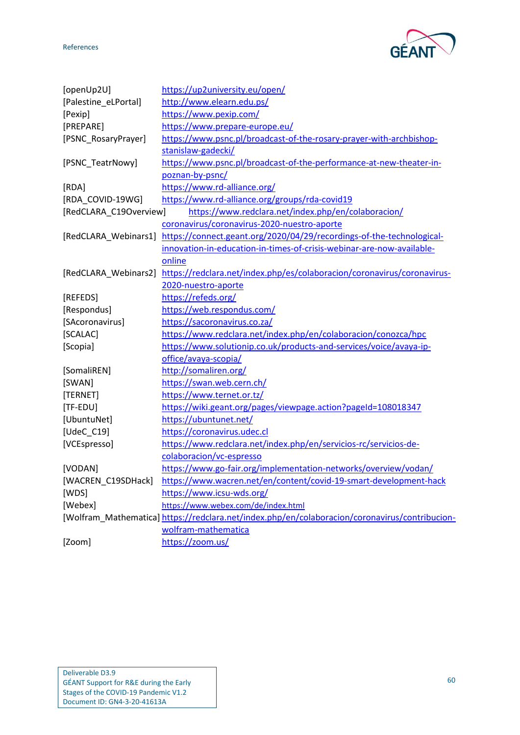GE

<span id="page-63-25"></span><span id="page-63-24"></span><span id="page-63-23"></span><span id="page-63-22"></span><span id="page-63-21"></span><span id="page-63-20"></span><span id="page-63-19"></span><span id="page-63-18"></span><span id="page-63-17"></span><span id="page-63-16"></span><span id="page-63-15"></span><span id="page-63-14"></span><span id="page-63-13"></span><span id="page-63-12"></span><span id="page-63-11"></span><span id="page-63-10"></span><span id="page-63-9"></span><span id="page-63-8"></span><span id="page-63-7"></span><span id="page-63-6"></span><span id="page-63-5"></span><span id="page-63-4"></span><span id="page-63-3"></span><span id="page-63-2"></span><span id="page-63-1"></span><span id="page-63-0"></span>

| [openUp2U]             | https://up2university.eu/open/                                                                 |  |
|------------------------|------------------------------------------------------------------------------------------------|--|
| [Palestine_eLPortal]   | http://www.elearn.edu.ps/                                                                      |  |
| [Pexip]                | https://www.pexip.com/                                                                         |  |
| [PREPARE]              | https://www.prepare-europe.eu/                                                                 |  |
| [PSNC_RosaryPrayer]    | https://www.psnc.pl/broadcast-of-the-rosary-prayer-with-archbishop-                            |  |
|                        | stanislaw-gadecki/                                                                             |  |
| [PSNC_TeatrNowy]       | https://www.psnc.pl/broadcast-of-the-performance-at-new-theater-in-                            |  |
|                        | poznan-by-psnc/                                                                                |  |
| [RDA]                  | https://www.rd-alliance.org/                                                                   |  |
| [RDA COVID-19WG]       | https://www.rd-alliance.org/groups/rda-covid19                                                 |  |
| [RedCLARA_C19Overview] | https://www.redclara.net/index.php/en/colaboracion/                                            |  |
|                        | coronavirus/coronavirus-2020-nuestro-aporte                                                    |  |
| [RedCLARA_Webinars1]   | https://connect.geant.org/2020/04/29/recordings-of-the-technological-                          |  |
|                        | innovation-in-education-in-times-of-crisis-webinar-are-now-available-                          |  |
|                        | online                                                                                         |  |
| [RedCLARA Webinars2]   | https://redclara.net/index.php/es/colaboracion/coronavirus/coronavirus-                        |  |
|                        | 2020-nuestro-aporte                                                                            |  |
| [REFEDS]               | https://refeds.org/                                                                            |  |
| [Respondus]            | https://web.respondus.com/                                                                     |  |
| [SAcoronavirus]        | https://sacoronavirus.co.za/                                                                   |  |
| [SCALAC]               | https://www.redclara.net/index.php/en/colaboracion/conozca/hpc                                 |  |
| [Scopia]               | https://www.solutionip.co.uk/products-and-services/voice/avaya-ip-                             |  |
|                        | office/avaya-scopia/                                                                           |  |
| [SomaliREN]            | http://somaliren.org/                                                                          |  |
| [SWAN]                 | https://swan.web.cern.ch/                                                                      |  |
| [TERNET]               | https://www.ternet.or.tz/                                                                      |  |
| [TF-EDU]               | https://wiki.geant.org/pages/viewpage.action?pageId=108018347                                  |  |
| [UbuntuNet]            | https://ubuntunet.net/                                                                         |  |
| [UdeC_C19]             | https://coronavirus.udec.cl                                                                    |  |
| [VCEspresso]           | https://www.redclara.net/index.php/en/servicios-rc/servicios-de-                               |  |
|                        | colaboracion/vc-espresso                                                                       |  |
| [VODAN]                | https://www.go-fair.org/implementation-networks/overview/vodan/                                |  |
| [WACREN_C19SDHack]     | https://www.wacren.net/en/content/covid-19-smart-development-hack                              |  |
| [WDS]                  | https://www.icsu-wds.org/                                                                      |  |
| [Webex]                | https://www.webex.com/de/index.html                                                            |  |
|                        | [Wolfram_Mathematica] https://redclara.net/index.php/en/colaboracion/coronavirus/contribucion- |  |
|                        | wolfram-mathematica                                                                            |  |
| [Zoom]                 | https://zoom.us/                                                                               |  |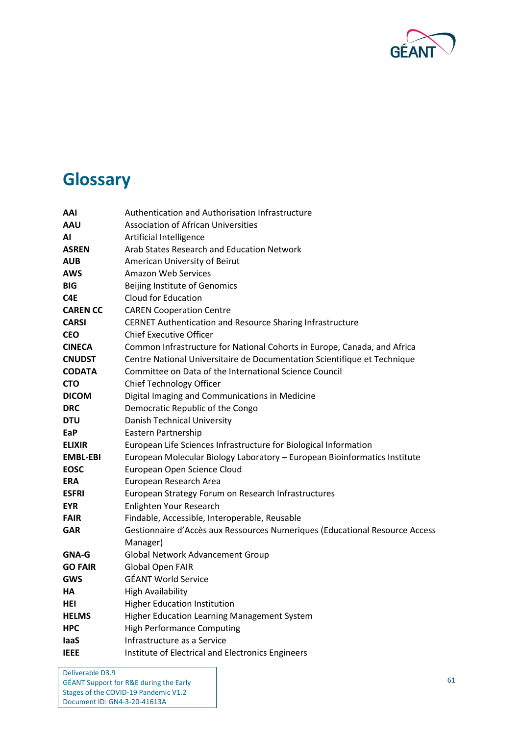

## <span id="page-64-0"></span>**Glossary**

| AAI             | Authentication and Authorisation Infrastructure                             |
|-----------------|-----------------------------------------------------------------------------|
| <b>AAU</b>      | <b>Association of African Universities</b>                                  |
| ΑI              | Artificial Intelligence                                                     |
| <b>ASREN</b>    | Arab States Research and Education Network                                  |
| <b>AUB</b>      | American University of Beirut                                               |
| AWS             | <b>Amazon Web Services</b>                                                  |
| <b>BIG</b>      | Beijing Institute of Genomics                                               |
| C4E             | Cloud for Education                                                         |
| <b>CAREN CC</b> | <b>CAREN Cooperation Centre</b>                                             |
| <b>CARSI</b>    | <b>CERNET Authentication and Resource Sharing Infrastructure</b>            |
| <b>CEO</b>      | <b>Chief Executive Officer</b>                                              |
| <b>CINECA</b>   | Common Infrastructure for National Cohorts in Europe, Canada, and Africa    |
| <b>CNUDST</b>   | Centre National Universitaire de Documentation Scientifique et Technique    |
| <b>CODATA</b>   | Committee on Data of the International Science Council                      |
| <b>CTO</b>      | Chief Technology Officer                                                    |
| <b>DICOM</b>    | Digital Imaging and Communications in Medicine                              |
| <b>DRC</b>      | Democratic Republic of the Congo                                            |
| <b>DTU</b>      | <b>Danish Technical University</b>                                          |
| EaP             | Eastern Partnership                                                         |
| <b>ELIXIR</b>   | European Life Sciences Infrastructure for Biological Information            |
| <b>EMBL-EBI</b> | European Molecular Biology Laboratory - European Bioinformatics Institute   |
| <b>EOSC</b>     | European Open Science Cloud                                                 |
| <b>ERA</b>      | European Research Area                                                      |
| <b>ESFRI</b>    | European Strategy Forum on Research Infrastructures                         |
| <b>EYR</b>      | Enlighten Your Research                                                     |
| <b>FAIR</b>     | Findable, Accessible, Interoperable, Reusable                               |
| <b>GAR</b>      | Gestionnaire d'Accès aux Ressources Numeriques (Educational Resource Access |
|                 | Manager)                                                                    |
| <b>GNA-G</b>    | <b>Global Network Advancement Group</b>                                     |
| <b>GO FAIR</b>  | <b>Global Open FAIR</b>                                                     |
| <b>GWS</b>      | <b>GÉANT World Service</b>                                                  |
| HА              | <b>High Availability</b>                                                    |
| HEI             | <b>Higher Education Institution</b>                                         |
| <b>HELMS</b>    | Higher Education Learning Management System                                 |
| <b>HPC</b>      | <b>High Performance Computing</b>                                           |
| laaS            | Infrastructure as a Service                                                 |
| <b>IEEE</b>     | Institute of Electrical and Electronics Engineers                           |
|                 |                                                                             |